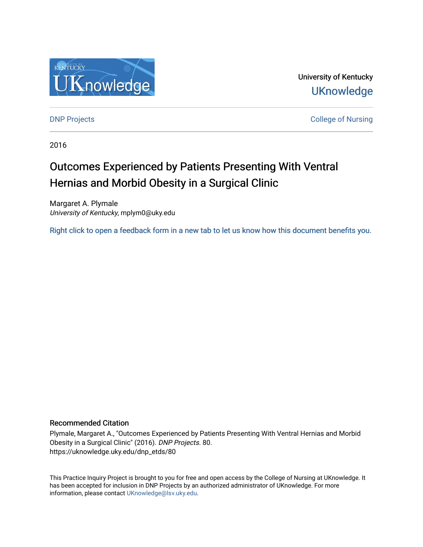

University of Kentucky **UKnowledge** 

[DNP Projects](https://uknowledge.uky.edu/dnp_etds) **College of Nursing** 

2016

# Outcomes Experienced by Patients Presenting With Ventral Hernias and Morbid Obesity in a Surgical Clinic

Margaret A. Plymale University of Kentucky, mplym0@uky.edu

[Right click to open a feedback form in a new tab to let us know how this document benefits you.](https://uky.az1.qualtrics.com/jfe/form/SV_9mq8fx2GnONRfz7)

#### Recommended Citation

Plymale, Margaret A., "Outcomes Experienced by Patients Presenting With Ventral Hernias and Morbid Obesity in a Surgical Clinic" (2016). DNP Projects. 80. https://uknowledge.uky.edu/dnp\_etds/80

This Practice Inquiry Project is brought to you for free and open access by the College of Nursing at UKnowledge. It has been accepted for inclusion in DNP Projects by an authorized administrator of UKnowledge. For more information, please contact [UKnowledge@lsv.uky.edu](mailto:UKnowledge@lsv.uky.edu).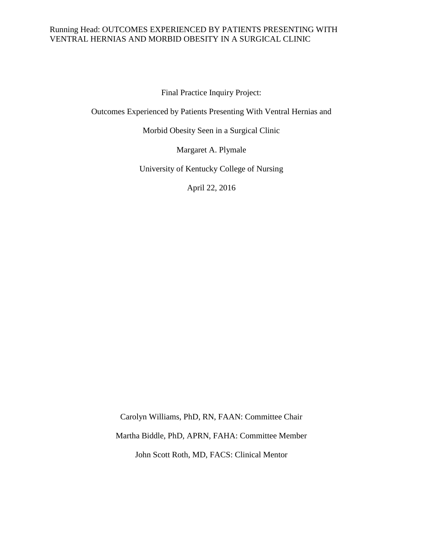Final Practice Inquiry Project:

Outcomes Experienced by Patients Presenting With Ventral Hernias and

Morbid Obesity Seen in a Surgical Clinic

Margaret A. Plymale

University of Kentucky College of Nursing

April 22, 2016

Carolyn Williams, PhD, RN, FAAN: Committee Chair Martha Biddle, PhD, APRN, FAHA: Committee Member John Scott Roth, MD, FACS: Clinical Mentor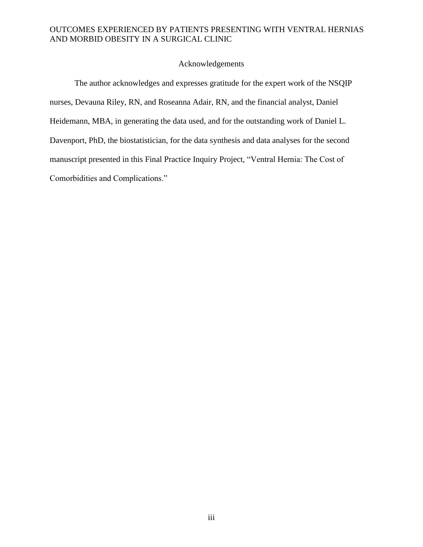#### Acknowledgements

The author acknowledges and expresses gratitude for the expert work of the NSQIP nurses, Devauna Riley, RN, and Roseanna Adair, RN, and the financial analyst, Daniel Heidemann, MBA, in generating the data used, and for the outstanding work of Daniel L. Davenport, PhD, the biostatistician, for the data synthesis and data analyses for the second manuscript presented in this Final Practice Inquiry Project, "Ventral Hernia: The Cost of Comorbidities and Complications."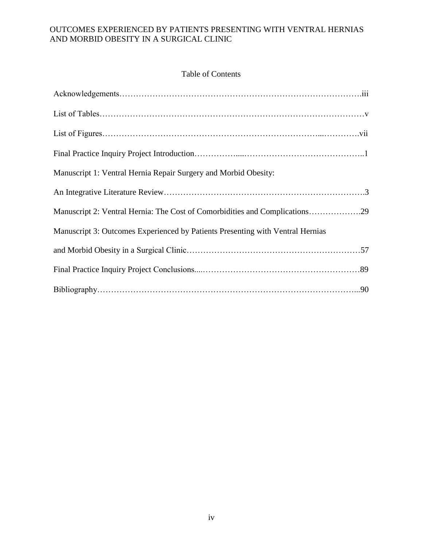# Table of Contents

| Manuscript 1: Ventral Hernia Repair Surgery and Morbid Obesity:                |
|--------------------------------------------------------------------------------|
|                                                                                |
| Manuscript 2: Ventral Hernia: The Cost of Comorbidities and Complications29    |
| Manuscript 3: Outcomes Experienced by Patients Presenting with Ventral Hernias |
|                                                                                |
|                                                                                |
|                                                                                |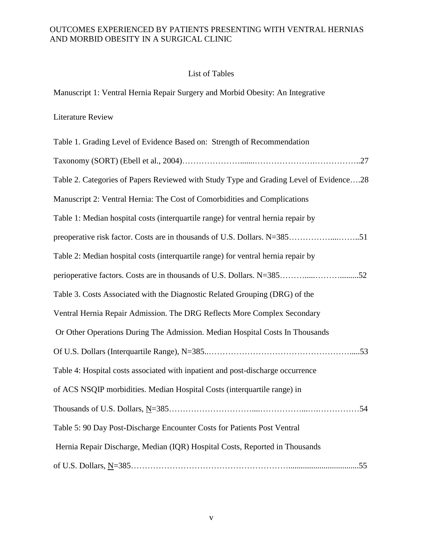# List of Tables

Manuscript 1: Ventral Hernia Repair Surgery and Morbid Obesity: An Integrative

# Literature Review

| Table 1. Grading Level of Evidence Based on: Strength of Recommendation                |
|----------------------------------------------------------------------------------------|
|                                                                                        |
| Table 2. Categories of Papers Reviewed with Study Type and Grading Level of Evidence28 |
| Manuscript 2: Ventral Hernia: The Cost of Comorbidities and Complications              |
| Table 1: Median hospital costs (interquartile range) for ventral hernia repair by      |
|                                                                                        |
| Table 2: Median hospital costs (interquartile range) for ventral hernia repair by      |
| perioperative factors. Costs are in thousands of U.S. Dollars. N=38552                 |
| Table 3. Costs Associated with the Diagnostic Related Grouping (DRG) of the            |
| Ventral Hernia Repair Admission. The DRG Reflects More Complex Secondary               |
| Or Other Operations During The Admission. Median Hospital Costs In Thousands           |
|                                                                                        |
| Table 4: Hospital costs associated with inpatient and post-discharge occurrence        |
| of ACS NSQIP morbidities. Median Hospital Costs (interquartile range) in               |
|                                                                                        |
| Table 5: 90 Day Post-Discharge Encounter Costs for Patients Post Ventral               |
| Hernia Repair Discharge, Median (IQR) Hospital Costs, Reported in Thousands            |
|                                                                                        |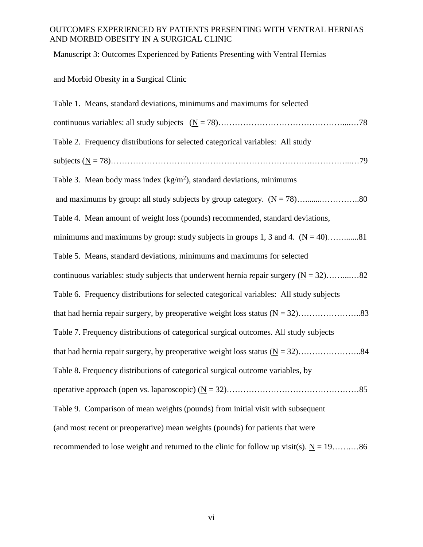Manuscript 3: Outcomes Experienced by Patients Presenting with Ventral Hernias

# and Morbid Obesity in a Surgical Clinic

| Table 1. Means, standard deviations, minimums and maximums for selected                   |
|-------------------------------------------------------------------------------------------|
|                                                                                           |
| Table 2. Frequency distributions for selected categorical variables: All study            |
|                                                                                           |
| Table 3. Mean body mass index $(kg/m2)$ , standard deviations, minimums                   |
|                                                                                           |
| Table 4. Mean amount of weight loss (pounds) recommended, standard deviations,            |
| minimums and maximums by group: study subjects in groups 1, 3 and 4. $(N = 40)$ 81        |
| Table 5. Means, standard deviations, minimums and maximums for selected                   |
| continuous variables: study subjects that underwent hernia repair surgery ( $N = 32$ )82  |
| Table 6. Frequency distributions for selected categorical variables: All study subjects   |
|                                                                                           |
| Table 7. Frequency distributions of categorical surgical outcomes. All study subjects     |
|                                                                                           |
| Table 8. Frequency distributions of categorical surgical outcome variables, by            |
|                                                                                           |
| Table 9. Comparison of mean weights (pounds) from initial visit with subsequent           |
| (and most recent or preoperative) mean weights (pounds) for patients that were            |
| recommended to lose weight and returned to the clinic for follow up visit(s). $N = 19$ 86 |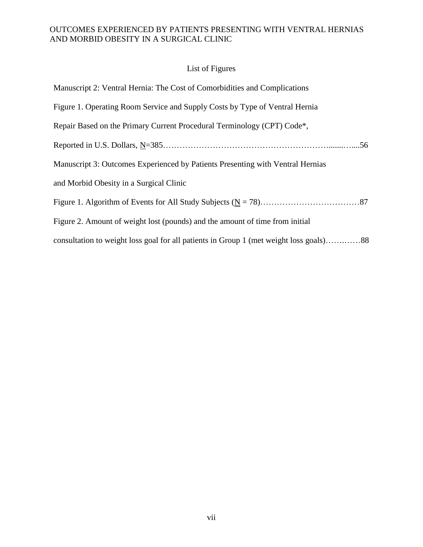# List of Figures

| Manuscript 2: Ventral Hernia: The Cost of Comorbidities and Complications      |
|--------------------------------------------------------------------------------|
| Figure 1. Operating Room Service and Supply Costs by Type of Ventral Hernia    |
| Repair Based on the Primary Current Procedural Terminology (CPT) Code*,        |
| .56                                                                            |
| Manuscript 3: Outcomes Experienced by Patients Presenting with Ventral Hernias |
| and Morbid Obesity in a Surgical Clinic                                        |
|                                                                                |
| Figure 2. Amount of weight lost (pounds) and the amount of time from initial   |
|                                                                                |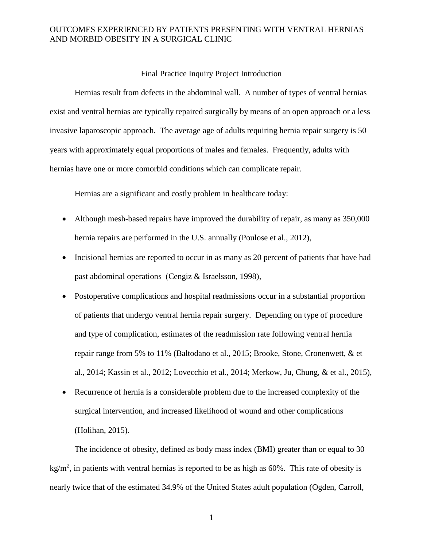#### Final Practice Inquiry Project Introduction

Hernias result from defects in the abdominal wall. A number of types of ventral hernias exist and ventral hernias are typically repaired surgically by means of an open approach or a less invasive laparoscopic approach. The average age of adults requiring hernia repair surgery is 50 years with approximately equal proportions of males and females. Frequently, adults with hernias have one or more comorbid conditions which can complicate repair.

Hernias are a significant and costly problem in healthcare today:

- Although mesh-based repairs have improved the durability of repair, as many as 350,000 hernia repairs are performed in the U.S. annually (Poulose et al., 2012),
- Incisional hernias are reported to occur in as many as 20 percent of patients that have had past abdominal operations (Cengiz & Israelsson, 1998),
- Postoperative complications and hospital readmissions occur in a substantial proportion of patients that undergo ventral hernia repair surgery. Depending on type of procedure and type of complication, estimates of the readmission rate following ventral hernia repair range from 5% to 11% (Baltodano et al., 2015; Brooke, Stone, Cronenwett, & et al., 2014; Kassin et al., 2012; Lovecchio et al., 2014; Merkow, Ju, Chung, & et al., 2015),
- Recurrence of hernia is a considerable problem due to the increased complexity of the surgical intervention, and increased likelihood of wound and other complications (Holihan, 2015).

The incidence of obesity, defined as body mass index (BMI) greater than or equal to 30 kg/m<sup>2</sup>, in patients with ventral hernias is reported to be as high as 60%. This rate of obesity is nearly twice that of the estimated 34.9% of the United States adult population (Ogden, Carroll,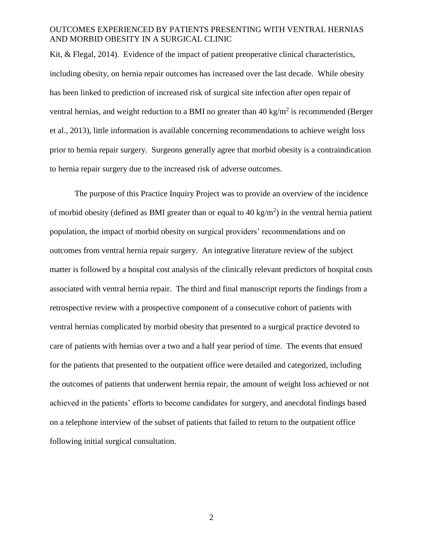Kit, & Flegal, 2014). Evidence of the impact of patient preoperative clinical characteristics, including obesity, on hernia repair outcomes has increased over the last decade. While obesity has been linked to prediction of increased risk of surgical site infection after open repair of ventral hernias, and weight reduction to a BMI no greater than 40 kg/m<sup>2</sup> is recommended (Berger et al., 2013), little information is available concerning recommendations to achieve weight loss prior to hernia repair surgery. Surgeons generally agree that morbid obesity is a contraindication to hernia repair surgery due to the increased risk of adverse outcomes.

The purpose of this Practice Inquiry Project was to provide an overview of the incidence of morbid obesity (defined as BMI greater than or equal to  $40 \text{ kg/m}^2$ ) in the ventral hernia patient population, the impact of morbid obesity on surgical providers' recommendations and on outcomes from ventral hernia repair surgery. An integrative literature review of the subject matter is followed by a hospital cost analysis of the clinically relevant predictors of hospital costs associated with ventral hernia repair. The third and final manuscript reports the findings from a retrospective review with a prospective component of a consecutive cohort of patients with ventral hernias complicated by morbid obesity that presented to a surgical practice devoted to care of patients with hernias over a two and a half year period of time. The events that ensued for the patients that presented to the outpatient office were detailed and categorized, including the outcomes of patients that underwent hernia repair, the amount of weight loss achieved or not achieved in the patients' efforts to become candidates for surgery, and anecdotal findings based on a telephone interview of the subset of patients that failed to return to the outpatient office following initial surgical consultation.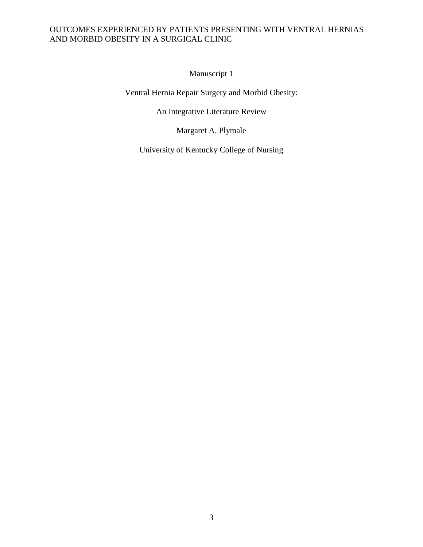Manuscript 1

Ventral Hernia Repair Surgery and Morbid Obesity:

An Integrative Literature Review

Margaret A. Plymale

University of Kentucky College of Nursing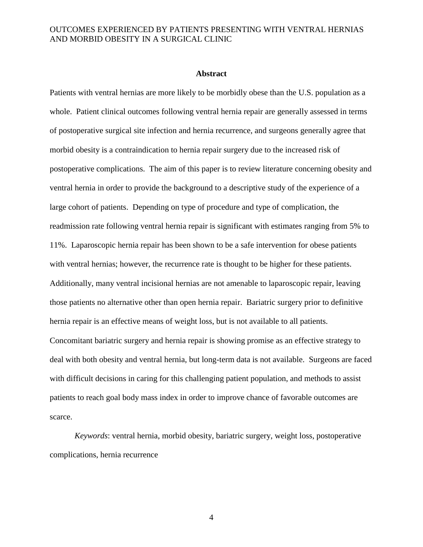#### **Abstract**

Patients with ventral hernias are more likely to be morbidly obese than the U.S. population as a whole. Patient clinical outcomes following ventral hernia repair are generally assessed in terms of postoperative surgical site infection and hernia recurrence, and surgeons generally agree that morbid obesity is a contraindication to hernia repair surgery due to the increased risk of postoperative complications. The aim of this paper is to review literature concerning obesity and ventral hernia in order to provide the background to a descriptive study of the experience of a large cohort of patients. Depending on type of procedure and type of complication, the readmission rate following ventral hernia repair is significant with estimates ranging from 5% to 11%. Laparoscopic hernia repair has been shown to be a safe intervention for obese patients with ventral hernias; however, the recurrence rate is thought to be higher for these patients. Additionally, many ventral incisional hernias are not amenable to laparoscopic repair, leaving those patients no alternative other than open hernia repair. Bariatric surgery prior to definitive hernia repair is an effective means of weight loss, but is not available to all patients. Concomitant bariatric surgery and hernia repair is showing promise as an effective strategy to deal with both obesity and ventral hernia, but long-term data is not available. Surgeons are faced with difficult decisions in caring for this challenging patient population, and methods to assist patients to reach goal body mass index in order to improve chance of favorable outcomes are scarce.

*Keywords*: ventral hernia, morbid obesity, bariatric surgery, weight loss, postoperative complications, hernia recurrence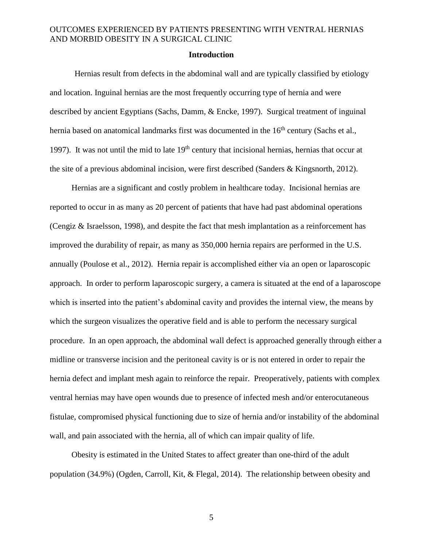#### **Introduction**

Hernias result from defects in the abdominal wall and are typically classified by etiology and location. Inguinal hernias are the most frequently occurring type of hernia and were described by ancient Egyptians (Sachs, Damm, & Encke, 1997). Surgical treatment of inguinal hernia based on anatomical landmarks first was documented in the 16<sup>th</sup> century (Sachs et al., 1997). It was not until the mid to late  $19<sup>th</sup>$  century that incisional hernias, hernias that occur at the site of a previous abdominal incision, were first described (Sanders & Kingsnorth, 2012).

Hernias are a significant and costly problem in healthcare today. Incisional hernias are reported to occur in as many as 20 percent of patients that have had past abdominal operations (Cengiz & Israelsson, 1998), and despite the fact that mesh implantation as a reinforcement has improved the durability of repair, as many as 350,000 hernia repairs are performed in the U.S. annually (Poulose et al., 2012). Hernia repair is accomplished either via an open or laparoscopic approach. In order to perform laparoscopic surgery, a camera is situated at the end of a laparoscope which is inserted into the patient's abdominal cavity and provides the internal view, the means by which the surgeon visualizes the operative field and is able to perform the necessary surgical procedure. In an open approach, the abdominal wall defect is approached generally through either a midline or transverse incision and the peritoneal cavity is or is not entered in order to repair the hernia defect and implant mesh again to reinforce the repair. Preoperatively, patients with complex ventral hernias may have open wounds due to presence of infected mesh and/or enterocutaneous fistulae, compromised physical functioning due to size of hernia and/or instability of the abdominal wall, and pain associated with the hernia, all of which can impair quality of life.

Obesity is estimated in the United States to affect greater than one-third of the adult population (34.9%) (Ogden, Carroll, Kit, & Flegal, 2014). The relationship between obesity and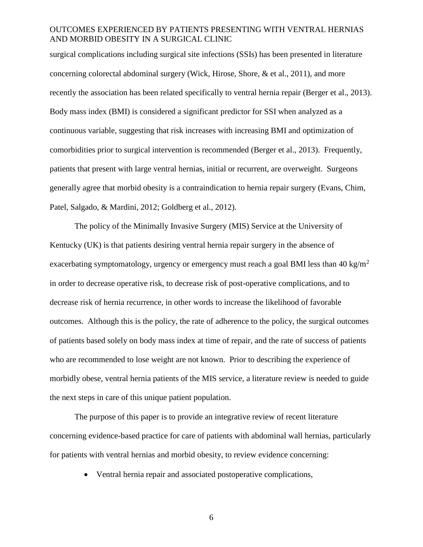surgical complications including surgical site infections (SSIs) has been presented in literature concerning colorectal abdominal surgery (Wick, Hirose, Shore, & et al., 2011), and more recently the association has been related specifically to ventral hernia repair (Berger et al., 2013). Body mass index (BMI) is considered a significant predictor for SSI when analyzed as a continuous variable, suggesting that risk increases with increasing BMI and optimization of comorbidities prior to surgical intervention is recommended (Berger et al., 2013). Frequently, patients that present with large ventral hernias, initial or recurrent, are overweight. Surgeons generally agree that morbid obesity is a contraindication to hernia repair surgery (Evans, Chim, Patel, Salgado, & Mardini, 2012; Goldberg et al., 2012).

The policy of the Minimally Invasive Surgery (MIS) Service at the University of Kentucky (UK) is that patients desiring ventral hernia repair surgery in the absence of exacerbating symptomatology, urgency or emergency must reach a goal BMI less than 40 kg/m<sup>2</sup> in order to decrease operative risk, to decrease risk of post-operative complications, and to decrease risk of hernia recurrence, in other words to increase the likelihood of favorable outcomes. Although this is the policy, the rate of adherence to the policy, the surgical outcomes of patients based solely on body mass index at time of repair, and the rate of success of patients who are recommended to lose weight are not known. Prior to describing the experience of morbidly obese, ventral hernia patients of the MIS service, a literature review is needed to guide the next steps in care of this unique patient population.

The purpose of this paper is to provide an integrative review of recent literature concerning evidence-based practice for care of patients with abdominal wall hernias, particularly for patients with ventral hernias and morbid obesity, to review evidence concerning:

Ventral hernia repair and associated postoperative complications,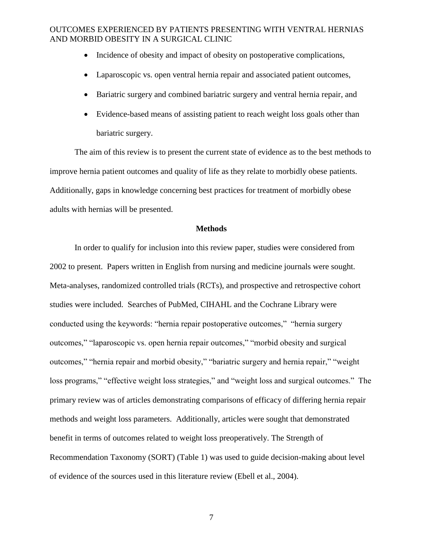- Incidence of obesity and impact of obesity on postoperative complications,
- Laparoscopic vs. open ventral hernia repair and associated patient outcomes,
- Bariatric surgery and combined bariatric surgery and ventral hernia repair, and
- Evidence-based means of assisting patient to reach weight loss goals other than bariatric surgery.

The aim of this review is to present the current state of evidence as to the best methods to improve hernia patient outcomes and quality of life as they relate to morbidly obese patients. Additionally, gaps in knowledge concerning best practices for treatment of morbidly obese adults with hernias will be presented.

#### **Methods**

In order to qualify for inclusion into this review paper, studies were considered from 2002 to present. Papers written in English from nursing and medicine journals were sought. Meta-analyses, randomized controlled trials (RCTs), and prospective and retrospective cohort studies were included. Searches of PubMed, CIHAHL and the Cochrane Library were conducted using the keywords: "hernia repair postoperative outcomes," "hernia surgery outcomes," "laparoscopic vs. open hernia repair outcomes," "morbid obesity and surgical outcomes," "hernia repair and morbid obesity," "bariatric surgery and hernia repair," "weight loss programs," "effective weight loss strategies," and "weight loss and surgical outcomes." The primary review was of articles demonstrating comparisons of efficacy of differing hernia repair methods and weight loss parameters. Additionally, articles were sought that demonstrated benefit in terms of outcomes related to weight loss preoperatively. The Strength of Recommendation Taxonomy (SORT) (Table 1) was used to guide decision-making about level of evidence of the sources used in this literature review (Ebell et al., 2004).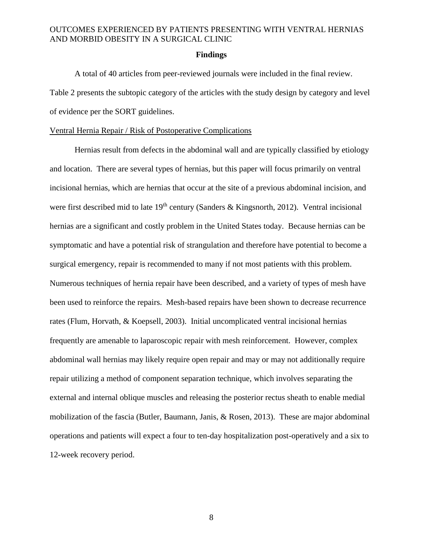#### **Findings**

A total of 40 articles from peer-reviewed journals were included in the final review. Table 2 presents the subtopic category of the articles with the study design by category and level of evidence per the SORT guidelines.

#### Ventral Hernia Repair / Risk of Postoperative Complications

Hernias result from defects in the abdominal wall and are typically classified by etiology and location. There are several types of hernias, but this paper will focus primarily on ventral incisional hernias, which are hernias that occur at the site of a previous abdominal incision, and were first described mid to late  $19<sup>th</sup>$  century (Sanders & Kingsnorth, 2012). Ventral incisional hernias are a significant and costly problem in the United States today. Because hernias can be symptomatic and have a potential risk of strangulation and therefore have potential to become a surgical emergency, repair is recommended to many if not most patients with this problem. Numerous techniques of hernia repair have been described, and a variety of types of mesh have been used to reinforce the repairs. Mesh-based repairs have been shown to decrease recurrence rates (Flum, Horvath, & Koepsell, 2003). Initial uncomplicated ventral incisional hernias frequently are amenable to laparoscopic repair with mesh reinforcement. However, complex abdominal wall hernias may likely require open repair and may or may not additionally require repair utilizing a method of component separation technique, which involves separating the external and internal oblique muscles and releasing the posterior rectus sheath to enable medial mobilization of the fascia (Butler, Baumann, Janis, & Rosen, 2013). These are major abdominal operations and patients will expect a four to ten-day hospitalization post-operatively and a six to 12-week recovery period.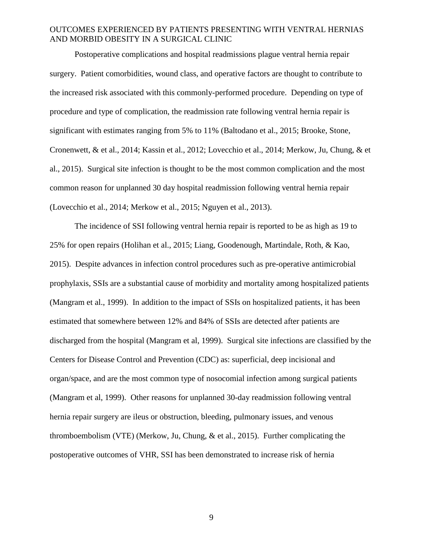Postoperative complications and hospital readmissions plague ventral hernia repair surgery. Patient comorbidities, wound class, and operative factors are thought to contribute to the increased risk associated with this commonly-performed procedure. Depending on type of procedure and type of complication, the readmission rate following ventral hernia repair is significant with estimates ranging from 5% to 11% (Baltodano et al., 2015; Brooke, Stone, Cronenwett, & et al., 2014; Kassin et al., 2012; Lovecchio et al., 2014; Merkow, Ju, Chung, & et al., 2015). Surgical site infection is thought to be the most common complication and the most common reason for unplanned 30 day hospital readmission following ventral hernia repair (Lovecchio et al., 2014; Merkow et al., 2015; Nguyen et al., 2013).

The incidence of SSI following ventral hernia repair is reported to be as high as 19 to 25% for open repairs (Holihan et al., 2015; Liang, Goodenough, Martindale, Roth, & Kao, 2015). Despite advances in infection control procedures such as pre-operative antimicrobial prophylaxis, SSIs are a substantial cause of morbidity and mortality among hospitalized patients (Mangram et al., 1999). In addition to the impact of SSIs on hospitalized patients, it has been estimated that somewhere between 12% and 84% of SSIs are detected after patients are discharged from the hospital (Mangram et al, 1999). Surgical site infections are classified by the Centers for Disease Control and Prevention (CDC) as: superficial, deep incisional and organ/space, and are the most common type of nosocomial infection among surgical patients (Mangram et al, 1999). Other reasons for unplanned 30-day readmission following ventral hernia repair surgery are ileus or obstruction, bleeding, pulmonary issues, and venous thromboembolism (VTE) (Merkow, Ju, Chung, & et al., 2015). Further complicating the postoperative outcomes of VHR, SSI has been demonstrated to increase risk of hernia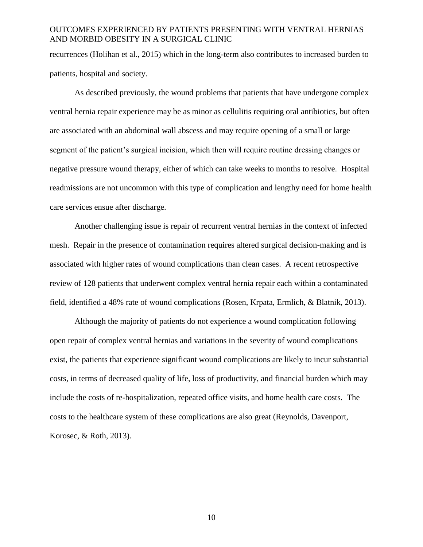recurrences (Holihan et al., 2015) which in the long-term also contributes to increased burden to patients, hospital and society.

As described previously, the wound problems that patients that have undergone complex ventral hernia repair experience may be as minor as cellulitis requiring oral antibiotics, but often are associated with an abdominal wall abscess and may require opening of a small or large segment of the patient's surgical incision, which then will require routine dressing changes or negative pressure wound therapy, either of which can take weeks to months to resolve. Hospital readmissions are not uncommon with this type of complication and lengthy need for home health care services ensue after discharge.

Another challenging issue is repair of recurrent ventral hernias in the context of infected mesh. Repair in the presence of contamination requires altered surgical decision-making and is associated with higher rates of wound complications than clean cases. A recent retrospective review of 128 patients that underwent complex ventral hernia repair each within a contaminated field, identified a 48% rate of wound complications (Rosen, Krpata, Ermlich, & Blatnik, 2013).

Although the majority of patients do not experience a wound complication following open repair of complex ventral hernias and variations in the severity of wound complications exist, the patients that experience significant wound complications are likely to incur substantial costs, in terms of decreased quality of life, loss of productivity, and financial burden which may include the costs of re-hospitalization, repeated office visits, and home health care costs. The costs to the healthcare system of these complications are also great (Reynolds, Davenport, Korosec, & Roth, 2013).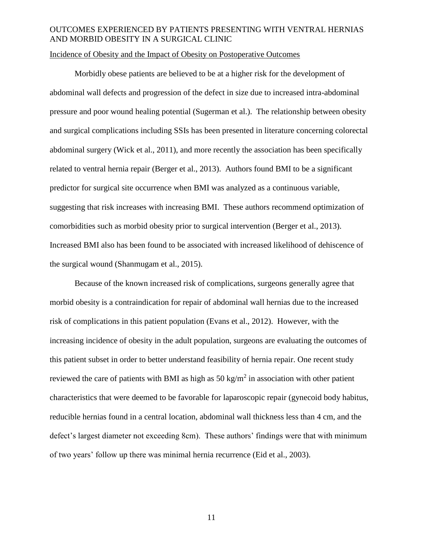#### Incidence of Obesity and the Impact of Obesity on Postoperative Outcomes

Morbidly obese patients are believed to be at a higher risk for the development of abdominal wall defects and progression of the defect in size due to increased intra-abdominal pressure and poor wound healing potential (Sugerman et al.). The relationship between obesity and surgical complications including SSIs has been presented in literature concerning colorectal abdominal surgery (Wick et al., 2011), and more recently the association has been specifically related to ventral hernia repair (Berger et al., 2013). Authors found BMI to be a significant predictor for surgical site occurrence when BMI was analyzed as a continuous variable, suggesting that risk increases with increasing BMI. These authors recommend optimization of comorbidities such as morbid obesity prior to surgical intervention (Berger et al., 2013). Increased BMI also has been found to be associated with increased likelihood of dehiscence of the surgical wound (Shanmugam et al., 2015).

Because of the known increased risk of complications, surgeons generally agree that morbid obesity is a contraindication for repair of abdominal wall hernias due to the increased risk of complications in this patient population (Evans et al., 2012). However, with the increasing incidence of obesity in the adult population, surgeons are evaluating the outcomes of this patient subset in order to better understand feasibility of hernia repair. One recent study reviewed the care of patients with BMI as high as  $50 \text{ kg/m}^2$  in association with other patient characteristics that were deemed to be favorable for laparoscopic repair (gynecoid body habitus, reducible hernias found in a central location, abdominal wall thickness less than 4 cm, and the defect's largest diameter not exceeding 8cm). These authors' findings were that with minimum of two years' follow up there was minimal hernia recurrence (Eid et al., 2003).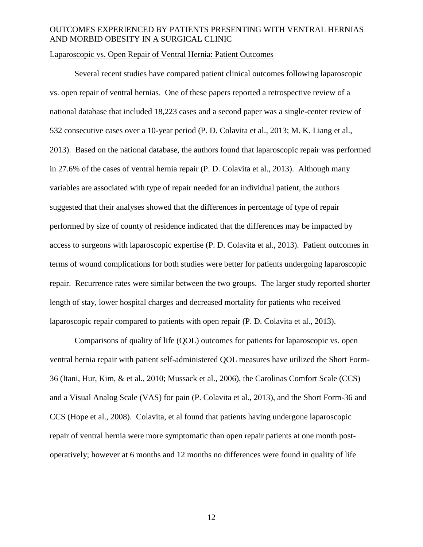#### Laparoscopic vs. Open Repair of Ventral Hernia: Patient Outcomes

Several recent studies have compared patient clinical outcomes following laparoscopic vs. open repair of ventral hernias. One of these papers reported a retrospective review of a national database that included 18,223 cases and a second paper was a single-center review of 532 consecutive cases over a 10-year period (P. D. Colavita et al., 2013; M. K. Liang et al., 2013). Based on the national database, the authors found that laparoscopic repair was performed in 27.6% of the cases of ventral hernia repair (P. D. Colavita et al., 2013). Although many variables are associated with type of repair needed for an individual patient, the authors suggested that their analyses showed that the differences in percentage of type of repair performed by size of county of residence indicated that the differences may be impacted by access to surgeons with laparoscopic expertise (P. D. Colavita et al., 2013). Patient outcomes in terms of wound complications for both studies were better for patients undergoing laparoscopic repair. Recurrence rates were similar between the two groups. The larger study reported shorter length of stay, lower hospital charges and decreased mortality for patients who received laparoscopic repair compared to patients with open repair (P. D. Colavita et al., 2013).

Comparisons of quality of life (QOL) outcomes for patients for laparoscopic vs. open ventral hernia repair with patient self-administered QOL measures have utilized the Short Form-36 (Itani, Hur, Kim, & et al., 2010; Mussack et al., 2006), the Carolinas Comfort Scale (CCS) and a Visual Analog Scale (VAS) for pain (P. Colavita et al., 2013), and the Short Form-36 and CCS (Hope et al., 2008). Colavita, et al found that patients having undergone laparoscopic repair of ventral hernia were more symptomatic than open repair patients at one month postoperatively; however at 6 months and 12 months no differences were found in quality of life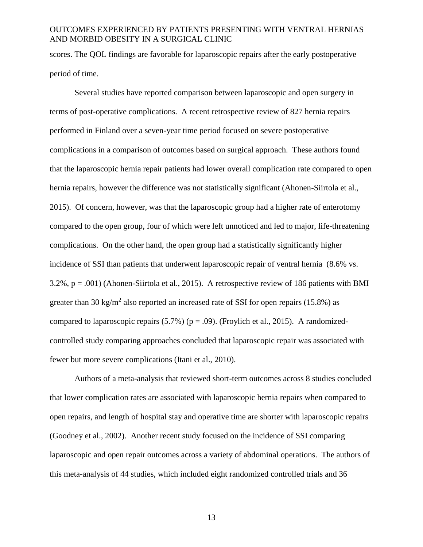scores. The QOL findings are favorable for laparoscopic repairs after the early postoperative period of time.

Several studies have reported comparison between laparoscopic and open surgery in terms of post-operative complications. A recent retrospective review of 827 hernia repairs performed in Finland over a seven-year time period focused on severe postoperative complications in a comparison of outcomes based on surgical approach. These authors found that the laparoscopic hernia repair patients had lower overall complication rate compared to open hernia repairs, however the difference was not statistically significant (Ahonen-Siirtola et al., 2015). Of concern, however, was that the laparoscopic group had a higher rate of enterotomy compared to the open group, four of which were left unnoticed and led to major, life-threatening complications. On the other hand, the open group had a statistically significantly higher incidence of SSI than patients that underwent laparoscopic repair of ventral hernia (8.6% vs. 3.2%, p = .001) (Ahonen-Siirtola et al., 2015). A retrospective review of 186 patients with BMI greater than 30 kg/m<sup>2</sup> also reported an increased rate of SSI for open repairs (15.8%) as compared to laparoscopic repairs  $(5.7%)$  ( $p = .09$ ). (Froylich et al., 2015). A randomizedcontrolled study comparing approaches concluded that laparoscopic repair was associated with fewer but more severe complications (Itani et al., 2010).

Authors of a meta-analysis that reviewed short-term outcomes across 8 studies concluded that lower complication rates are associated with laparoscopic hernia repairs when compared to open repairs, and length of hospital stay and operative time are shorter with laparoscopic repairs (Goodney et al., 2002). Another recent study focused on the incidence of SSI comparing laparoscopic and open repair outcomes across a variety of abdominal operations. The authors of this meta-analysis of 44 studies, which included eight randomized controlled trials and 36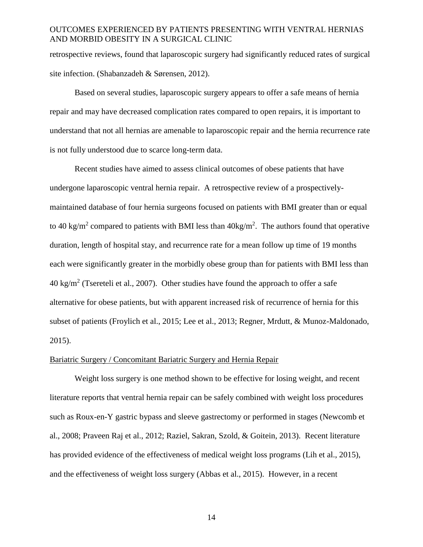retrospective reviews, found that laparoscopic surgery had significantly reduced rates of surgical site infection. (Shabanzadeh & Sørensen, 2012).

Based on several studies, laparoscopic surgery appears to offer a safe means of hernia repair and may have decreased complication rates compared to open repairs, it is important to understand that not all hernias are amenable to laparoscopic repair and the hernia recurrence rate is not fully understood due to scarce long-term data.

Recent studies have aimed to assess clinical outcomes of obese patients that have undergone laparoscopic ventral hernia repair. A retrospective review of a prospectivelymaintained database of four hernia surgeons focused on patients with BMI greater than or equal to 40 kg/m<sup>2</sup> compared to patients with BMI less than  $40$ kg/m<sup>2</sup>. The authors found that operative duration, length of hospital stay, and recurrence rate for a mean follow up time of 19 months each were significantly greater in the morbidly obese group than for patients with BMI less than  $40 \text{ kg/m}^2$  (Tsereteli et al., 2007). Other studies have found the approach to offer a safe alternative for obese patients, but with apparent increased risk of recurrence of hernia for this subset of patients (Froylich et al., 2015; Lee et al., 2013; Regner, Mrdutt, & Munoz-Maldonado, 2015).

#### Bariatric Surgery / Concomitant Bariatric Surgery and Hernia Repair

Weight loss surgery is one method shown to be effective for losing weight, and recent literature reports that ventral hernia repair can be safely combined with weight loss procedures such as Roux-en-Y gastric bypass and sleeve gastrectomy or performed in stages (Newcomb et al., 2008; Praveen Raj et al., 2012; Raziel, Sakran, Szold, & Goitein, 2013). Recent literature has provided evidence of the effectiveness of medical weight loss programs (Lih et al., 2015), and the effectiveness of weight loss surgery (Abbas et al., 2015). However, in a recent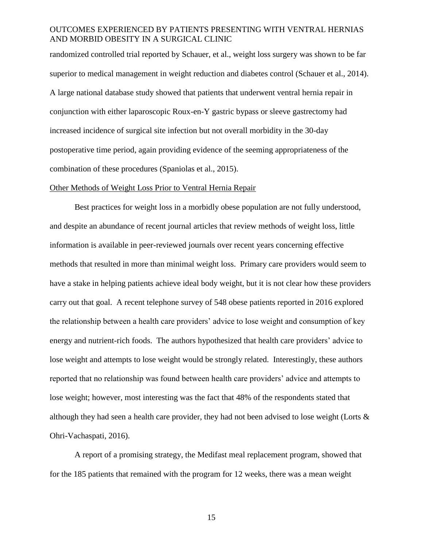randomized controlled trial reported by Schauer, et al., weight loss surgery was shown to be far superior to medical management in weight reduction and diabetes control (Schauer et al., 2014). A large national database study showed that patients that underwent ventral hernia repair in conjunction with either laparoscopic Roux-en-Y gastric bypass or sleeve gastrectomy had increased incidence of surgical site infection but not overall morbidity in the 30-day postoperative time period, again providing evidence of the seeming appropriateness of the combination of these procedures (Spaniolas et al., 2015).

#### Other Methods of Weight Loss Prior to Ventral Hernia Repair

Best practices for weight loss in a morbidly obese population are not fully understood, and despite an abundance of recent journal articles that review methods of weight loss, little information is available in peer-reviewed journals over recent years concerning effective methods that resulted in more than minimal weight loss. Primary care providers would seem to have a stake in helping patients achieve ideal body weight, but it is not clear how these providers carry out that goal. A recent telephone survey of 548 obese patients reported in 2016 explored the relationship between a health care providers' advice to lose weight and consumption of key energy and nutrient-rich foods. The authors hypothesized that health care providers' advice to lose weight and attempts to lose weight would be strongly related. Interestingly, these authors reported that no relationship was found between health care providers' advice and attempts to lose weight; however, most interesting was the fact that 48% of the respondents stated that although they had seen a health care provider, they had not been advised to lose weight (Lorts  $\&$ Ohri-Vachaspati, 2016).

A report of a promising strategy, the Medifast meal replacement program, showed that for the 185 patients that remained with the program for 12 weeks, there was a mean weight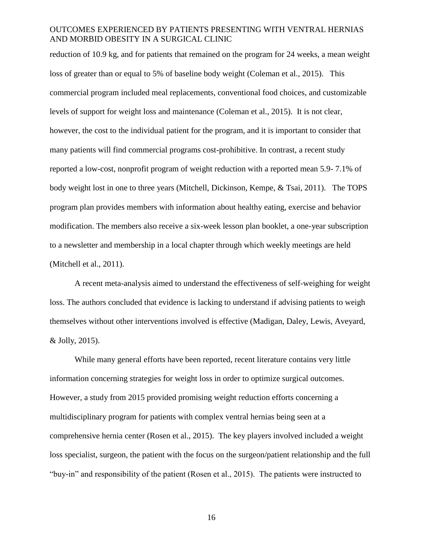reduction of 10.9 kg, and for patients that remained on the program for 24 weeks, a mean weight loss of greater than or equal to 5% of baseline body weight (Coleman et al., 2015). This commercial program included meal replacements, conventional food choices, and customizable levels of support for weight loss and maintenance (Coleman et al., 2015). It is not clear, however, the cost to the individual patient for the program, and it is important to consider that many patients will find commercial programs cost-prohibitive. In contrast, a recent study reported a low-cost, nonprofit program of weight reduction with a reported mean 5.9- 7.1% of body weight lost in one to three years (Mitchell, Dickinson, Kempe, & Tsai, 2011). The TOPS program plan provides members with information about healthy eating, exercise and behavior modification. The members also receive a six-week lesson plan booklet, a one-year subscription to a newsletter and membership in a local chapter through which weekly meetings are held (Mitchell et al., 2011).

A recent meta-analysis aimed to understand the effectiveness of self-weighing for weight loss. The authors concluded that evidence is lacking to understand if advising patients to weigh themselves without other interventions involved is effective (Madigan, Daley, Lewis, Aveyard, & Jolly, 2015).

While many general efforts have been reported, recent literature contains very little information concerning strategies for weight loss in order to optimize surgical outcomes. However, a study from 2015 provided promising weight reduction efforts concerning a multidisciplinary program for patients with complex ventral hernias being seen at a comprehensive hernia center (Rosen et al., 2015). The key players involved included a weight loss specialist, surgeon, the patient with the focus on the surgeon/patient relationship and the full "buy-in" and responsibility of the patient (Rosen et al., 2015). The patients were instructed to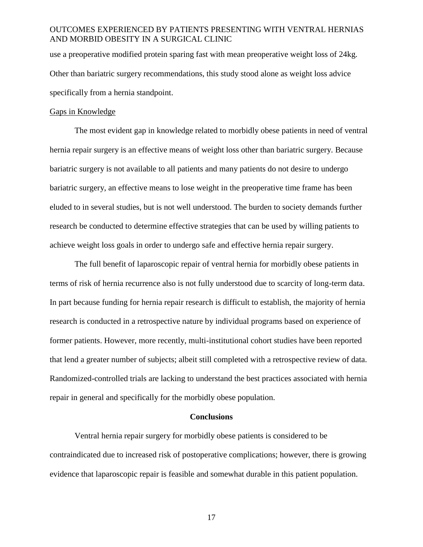use a preoperative modified protein sparing fast with mean preoperative weight loss of 24kg. Other than bariatric surgery recommendations, this study stood alone as weight loss advice specifically from a hernia standpoint.

#### Gaps in Knowledge

The most evident gap in knowledge related to morbidly obese patients in need of ventral hernia repair surgery is an effective means of weight loss other than bariatric surgery. Because bariatric surgery is not available to all patients and many patients do not desire to undergo bariatric surgery, an effective means to lose weight in the preoperative time frame has been eluded to in several studies, but is not well understood. The burden to society demands further research be conducted to determine effective strategies that can be used by willing patients to achieve weight loss goals in order to undergo safe and effective hernia repair surgery.

The full benefit of laparoscopic repair of ventral hernia for morbidly obese patients in terms of risk of hernia recurrence also is not fully understood due to scarcity of long-term data. In part because funding for hernia repair research is difficult to establish, the majority of hernia research is conducted in a retrospective nature by individual programs based on experience of former patients. However, more recently, multi-institutional cohort studies have been reported that lend a greater number of subjects; albeit still completed with a retrospective review of data. Randomized-controlled trials are lacking to understand the best practices associated with hernia repair in general and specifically for the morbidly obese population.

#### **Conclusions**

Ventral hernia repair surgery for morbidly obese patients is considered to be contraindicated due to increased risk of postoperative complications; however, there is growing evidence that laparoscopic repair is feasible and somewhat durable in this patient population.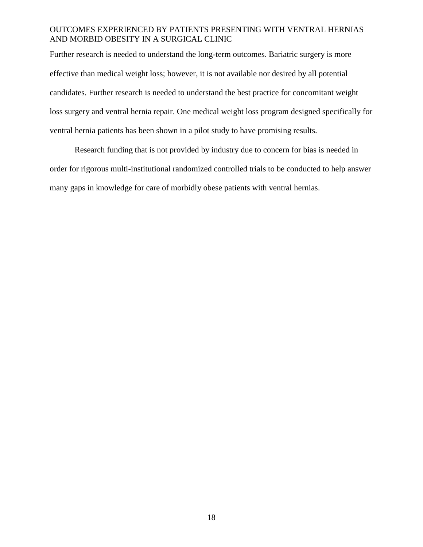Further research is needed to understand the long-term outcomes. Bariatric surgery is more effective than medical weight loss; however, it is not available nor desired by all potential candidates. Further research is needed to understand the best practice for concomitant weight loss surgery and ventral hernia repair. One medical weight loss program designed specifically for ventral hernia patients has been shown in a pilot study to have promising results.

Research funding that is not provided by industry due to concern for bias is needed in order for rigorous multi-institutional randomized controlled trials to be conducted to help answer many gaps in knowledge for care of morbidly obese patients with ventral hernias.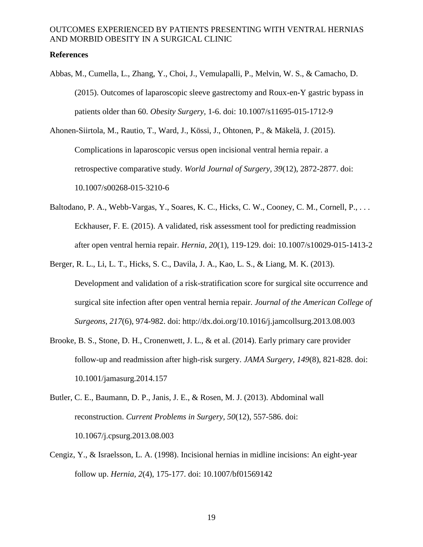#### **References**

Abbas, M., Cumella, L., Zhang, Y., Choi, J., Vemulapalli, P., Melvin, W. S., & Camacho, D. (2015). Outcomes of laparoscopic sleeve gastrectomy and Roux-en-Y gastric bypass in patients older than 60. *Obesity Surgery,* 1-6. doi: 10.1007/s11695-015-1712-9

Ahonen-Siirtola, M., Rautio, T., Ward, J., Kössi, J., Ohtonen, P., & Mäkelä, J. (2015). Complications in laparoscopic versus open incisional ventral hernia repair. a retrospective comparative study. *World Journal of Surgery, 39*(12), 2872-2877. doi: 10.1007/s00268-015-3210-6

- Baltodano, P. A., Webb-Vargas, Y., Soares, K. C., Hicks, C. W., Cooney, C. M., Cornell, P., ... Eckhauser, F. E. (2015). A validated, risk assessment tool for predicting readmission after open ventral hernia repair. *Hernia, 20*(1), 119-129. doi: 10.1007/s10029-015-1413-2
- Berger, R. L., Li, L. T., Hicks, S. C., Davila, J. A., Kao, L. S., & Liang, M. K. (2013). Development and validation of a risk-stratification score for surgical site occurrence and surgical site infection after open ventral hernia repair. *Journal of the American College of Surgeons, 217*(6), 974-982. doi: http://dx.doi.org/10.1016/j.jamcollsurg.2013.08.003
- Brooke, B. S., Stone, D. H., Cronenwett, J. L., & et al. (2014). Early primary care provider follow-up and readmission after high-risk surgery. *JAMA Surgery, 149*(8), 821-828. doi: 10.1001/jamasurg.2014.157
- Butler, C. E., Baumann, D. P., Janis, J. E., & Rosen, M. J. (2013). Abdominal wall reconstruction. *Current Problems in Surgery, 50*(12), 557-586. doi: 10.1067/j.cpsurg.2013.08.003
- Cengiz, Y., & Israelsson, L. A. (1998). Incisional hernias in midline incisions: An eight-year follow up. *Hernia, 2*(4), 175-177. doi: 10.1007/bf01569142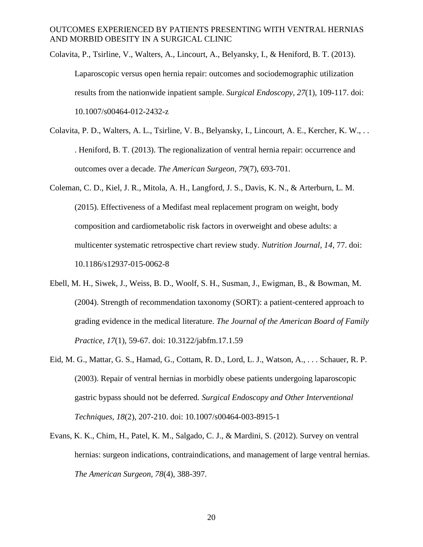- Colavita, P., Tsirline, V., Walters, A., Lincourt, A., Belyansky, I., & Heniford, B. T. (2013). Laparoscopic versus open hernia repair: outcomes and sociodemographic utilization results from the nationwide inpatient sample. *Surgical Endoscopy, 27*(1), 109-117. doi: 10.1007/s00464-012-2432-z
- Colavita, P. D., Walters, A. L., Tsirline, V. B., Belyansky, I., Lincourt, A. E., Kercher, K. W., . . . Heniford, B. T. (2013). The regionalization of ventral hernia repair: occurrence and outcomes over a decade. *The American Surgeon, 79*(7), 693-701.
- Coleman, C. D., Kiel, J. R., Mitola, A. H., Langford, J. S., Davis, K. N., & Arterburn, L. M. (2015). Effectiveness of a Medifast meal replacement program on weight, body composition and cardiometabolic risk factors in overweight and obese adults: a multicenter systematic retrospective chart review study. *Nutrition Journal, 14*, 77. doi: 10.1186/s12937-015-0062-8
- Ebell, M. H., Siwek, J., Weiss, B. D., Woolf, S. H., Susman, J., Ewigman, B., & Bowman, M. (2004). Strength of recommendation taxonomy (SORT): a patient-centered approach to grading evidence in the medical literature. *The Journal of the American Board of Family Practice, 17*(1), 59-67. doi: 10.3122/jabfm.17.1.59
- Eid, M. G., Mattar, G. S., Hamad, G., Cottam, R. D., Lord, L. J., Watson, A., . . . Schauer, R. P. (2003). Repair of ventral hernias in morbidly obese patients undergoing laparoscopic gastric bypass should not be deferred*. Surgical Endoscopy and Other Interventional Techniques, 18*(2), 207-210. doi: 10.1007/s00464-003-8915-1
- Evans, K. K., Chim, H., Patel, K. M., Salgado, C. J., & Mardini, S. (2012). Survey on ventral hernias: surgeon indications, contraindications, and management of large ventral hernias. *The American Surgeon, 78*(4), 388-397.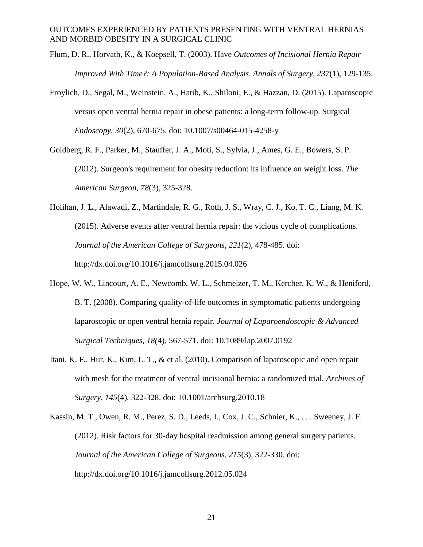- Flum, D. R., Horvath, K., & Koepsell, T. (2003). Have *Outcomes of Incisional Hernia Repair Improved With Time?: A Population-Based Analysis*. *Annals of Surgery, 237*(1), 129-135.
- Froylich, D., Segal, M., Weinstein, A., Hatib, K., Shiloni, E., & Hazzan, D. (2015). Laparoscopic versus open ventral hernia repair in obese patients: a long-term follow-up. Surgical *Endoscopy, 30*(2), 670-675. doi: 10.1007/s00464-015-4258-y
- Goldberg, R. F., Parker, M., Stauffer, J. A., Moti, S., Sylvia, J., Ames, G. E., Bowers, S. P. (2012). Surgeon's requirement for obesity reduction: its influence on weight loss. *The American Surgeon, 78*(3), 325-328.
- Holihan, J. L., Alawadi, Z., Martindale, R. G., Roth, J. S., Wray, C. J., Ko, T. C., Liang, M. K. (2015). Adverse events after ventral hernia repair: the vicious cycle of complications. *Journal of the American College of Surgeons, 221*(2), 478-485. doi: http://dx.doi.org/10.1016/j.jamcollsurg.2015.04.026
- Hope, W. W., Lincourt, A. E., Newcomb, W. L., Schmelzer, T. M., Kercher, K. W., & Heniford, B. T. (2008). Comparing quality-of-life outcomes in symptomatic patients undergoing laparoscopic or open ventral hernia repair. *Journal of Laparoendoscopic & Advanced Surgical Techniques, 18(*4), 567-571. doi: 10.1089/lap.2007.0192
- Itani, K. F., Hur, K., Kim, L. T., & et al. (2010). Comparison of laparoscopic and open repair with mesh for the treatment of ventral incisional hernia: a randomized trial. *Archives of Surgery, 145*(4), 322-328. doi: 10.1001/archsurg.2010.18
- Kassin, M. T., Owen, R. M., Perez, S. D., Leeds, I., Cox, J. C., Schnier, K., . . . Sweeney, J. F. (2012). Risk factors for 30-day hospital readmission among general surgery patients. *Journal of the American College of Surgeons, 215*(3), 322-330. doi: http://dx.doi.org/10.1016/j.jamcollsurg.2012.05.024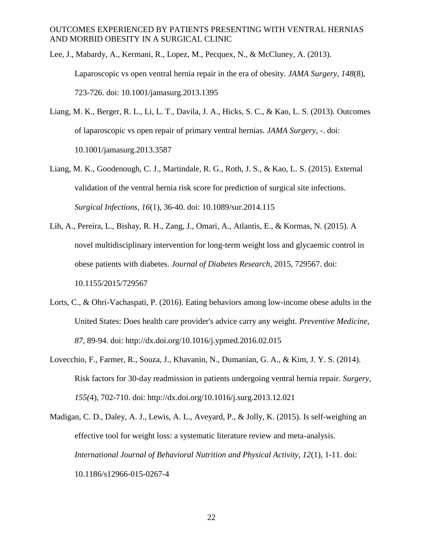Lee, J., Mabardy, A., Kermani, R., Lopez, M., Pecquex, N., & McCluney, A. (2013). Laparoscopic vs open ventral hernia repair in the era of obesity. *JAMA Surgery, 148*(8), 723-726. doi: 10.1001/jamasurg.2013.1395

- Liang, M. K., Berger, R. L., Li, L. T., Davila, J. A., Hicks, S. C., & Kao, L. S. (2013). Outcomes of laparoscopic vs open repair of primary ventral hernias. *JAMA Surgery*, -. doi: 10.1001/jamasurg.2013.3587
- Liang, M. K., Goodenough, C. J., Martindale, R. G., Roth, J. S., & Kao, L. S. (2015). External validation of the ventral hernia risk score for prediction of surgical site infections. *Surgical Infections, 16*(1), 36-40. doi: 10.1089/sur.2014.115
- Lih, A., Pereira, L., Bishay, R. H., Zang, J., Omari, A., Atlantis, E., & Kormas, N. (2015). A novel multidisciplinary intervention for long-term weight loss and glycaemic control in obese patients with diabetes. *Journal of Diabetes Research*, 2015, 729567. doi: 10.1155/2015/729567
- Lorts, C., & Ohri-Vachaspati, P. (2016). Eating behaviors among low-income obese adults in the United States: Does health care provider's advice carry any weight. *Preventive Medicine, 87*, 89-94. doi: http://dx.doi.org/10.1016/j.ypmed.2016.02.015
- Lovecchio, F., Farmer, R., Souza, J., Khavanin, N., Dumanian, G. A., & Kim, J. Y. S. (2014). Risk factors for 30-day readmission in patients undergoing ventral hernia repair. *Surgery, 155(*4), 702-710. doi: http://dx.doi.org/10.1016/j.surg.2013.12.021
- Madigan, C. D., Daley, A. J., Lewis, A. L., Aveyard, P., & Jolly, K. (2015). Is self-weighing an effective tool for weight loss: a systematic literature review and meta-analysis. *International Journal of Behavioral Nutrition and Physical Activity, 12*(1), 1-11. doi: 10.1186/s12966-015-0267-4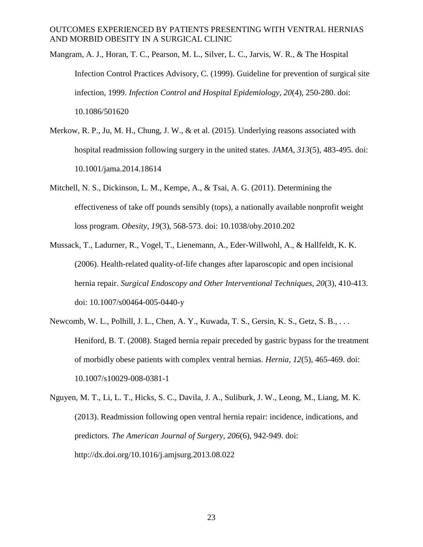- Mangram, A. J., Horan, T. C., Pearson, M. L., Silver, L. C., Jarvis, W. R., & The Hospital Infection Control Practices Advisory, C. (1999). Guideline for prevention of surgical site infection, 1999. *Infection Control and Hospital Epidemiology, 20*(4), 250-280. doi: 10.1086/501620
- Merkow, R. P., Ju, M. H., Chung, J. W., & et al. (2015). Underlying reasons associated with hospital readmission following surgery in the united states. *JAMA, 313*(5), 483-495. doi: 10.1001/jama.2014.18614
- Mitchell, N. S., Dickinson, L. M., Kempe, A., & Tsai, A. G. (2011). Determining the effectiveness of take off pounds sensibly (tops), a nationally available nonprofit weight loss program. *Obesity, 19*(3), 568-573. doi: 10.1038/oby.2010.202
- Mussack, T., Ladurner, R., Vogel, T., Lienemann, A., Eder-Willwohl, A., & Hallfeldt, K. K. (2006). Health-related quality-of-life changes after laparoscopic and open incisional hernia repair. *Surgical Endoscopy and Other Interventional Techniques, 20*(3), 410-413. doi: 10.1007/s00464-005-0440-y
- Newcomb, W. L., Polhill, J. L., Chen, A. Y., Kuwada, T. S., Gersin, K. S., Getz, S. B., . . . Heniford, B. T. (2008). Staged hernia repair preceded by gastric bypass for the treatment of morbidly obese patients with complex ventral hernias. *Hernia, 12*(5), 465-469. doi: 10.1007/s10029-008-0381-1
- Nguyen, M. T., Li, L. T., Hicks, S. C., Davila, J. A., Suliburk, J. W., Leong, M., Liang, M. K. (2013). Readmission following open ventral hernia repair: incidence, indications, and predictors. *The American Journal of Surgery, 206*(6), 942-949. doi: http://dx.doi.org/10.1016/j.amjsurg.2013.08.022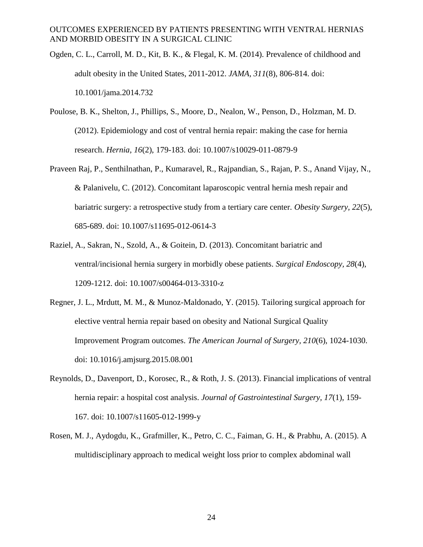- Ogden, C. L., Carroll, M. D., Kit, B. K., & Flegal, K. M. (2014). Prevalence of childhood and adult obesity in the United States, 2011-2012. *JAMA, 311*(8), 806-814. doi: 10.1001/jama.2014.732
- Poulose, B. K., Shelton, J., Phillips, S., Moore, D., Nealon, W., Penson, D., Holzman, M. D. (2012). Epidemiology and cost of ventral hernia repair: making the case for hernia research. *Hernia, 16*(2), 179-183. doi: 10.1007/s10029-011-0879-9
- Praveen Raj, P., Senthilnathan, P., Kumaravel, R., Rajpandian, S., Rajan, P. S., Anand Vijay, N., & Palanivelu, C. (2012). Concomitant laparoscopic ventral hernia mesh repair and bariatric surgery: a retrospective study from a tertiary care center. *Obesity Surgery, 22*(5), 685-689. doi: 10.1007/s11695-012-0614-3
- Raziel, A., Sakran, N., Szold, A., & Goitein, D. (2013). Concomitant bariatric and ventral/incisional hernia surgery in morbidly obese patients. *Surgical Endoscopy, 28*(4), 1209-1212. doi: 10.1007/s00464-013-3310-z
- Regner, J. L., Mrdutt, M. M., & Munoz-Maldonado, Y. (2015). Tailoring surgical approach for elective ventral hernia repair based on obesity and National Surgical Quality Improvement Program outcomes. *The American Journal of Surgery, 210*(6), 1024-1030. doi: 10.1016/j.amjsurg.2015.08.001
- Reynolds, D., Davenport, D., Korosec, R., & Roth, J. S. (2013). Financial implications of ventral hernia repair: a hospital cost analysis. *Journal of Gastrointestinal Surgery, 17*(1), 159- 167. doi: 10.1007/s11605-012-1999-y
- Rosen, M. J., Aydogdu, K., Grafmiller, K., Petro, C. C., Faiman, G. H., & Prabhu, A. (2015). A multidisciplinary approach to medical weight loss prior to complex abdominal wall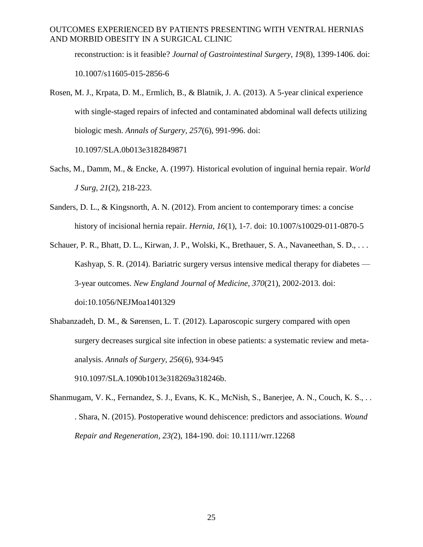reconstruction: is it feasible? *Journal of Gastrointestinal Surgery, 19*(8), 1399-1406. doi: 10.1007/s11605-015-2856-6

- Rosen, M. J., Krpata, D. M., Ermlich, B., & Blatnik, J. A. (2013). A 5-year clinical experience with single-staged repairs of infected and contaminated abdominal wall defects utilizing biologic mesh. *Annals of Surgery, 257*(6), 991-996. doi: 10.1097/SLA.0b013e3182849871
- Sachs, M., Damm, M., & Encke, A. (1997). Historical evolution of inguinal hernia repair. *World J Surg, 21*(2), 218-223.
- Sanders, D. L., & Kingsnorth, A. N. (2012). From ancient to contemporary times: a concise history of incisional hernia repair. *Hernia, 16*(1), 1-7. doi: 10.1007/s10029-011-0870-5

Schauer, P. R., Bhatt, D. L., Kirwan, J. P., Wolski, K., Brethauer, S. A., Navaneethan, S. D., . . . Kashyap, S. R. (2014). Bariatric surgery versus intensive medical therapy for diabetes — 3-year outcomes. *New England Journal of Medicine, 370*(21), 2002-2013. doi: doi:10.1056/NEJMoa1401329

Shabanzadeh, D. M., & Sørensen, L. T. (2012). Laparoscopic surgery compared with open surgery decreases surgical site infection in obese patients: a systematic review and metaanalysis. *Annals of Surgery, 256*(6), 934-945

910.1097/SLA.1090b1013e318269a318246b.

Shanmugam, V. K., Fernandez, S. J., Evans, K. K., McNish, S., Banerjee, A. N., Couch, K. S., . . . Shara, N. (2015). Postoperative wound dehiscence: predictors and associations. *Wound Repair and Regeneration, 23(*2), 184-190. doi: 10.1111/wrr.12268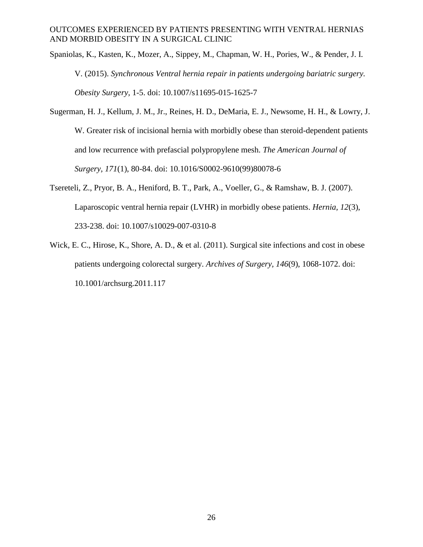- Spaniolas, K., Kasten, K., Mozer, A., Sippey, M., Chapman, W. H., Pories, W., & Pender, J. I. V. (2015). *Synchronous Ventral hernia repair in patients undergoing bariatric surgery. Obesity Surgery,* 1-5. doi: 10.1007/s11695-015-1625-7
- Sugerman, H. J., Kellum, J. M., Jr., Reines, H. D., DeMaria, E. J., Newsome, H. H., & Lowry, J. W. Greater risk of incisional hernia with morbidly obese than steroid-dependent patients and low recurrence with prefascial polypropylene mesh. *The American Journal of Surgery, 171*(1), 80-84. doi: 10.1016/S0002-9610(99)80078-6
- Tsereteli, Z., Pryor, B. A., Heniford, B. T., Park, A., Voeller, G., & Ramshaw, B. J. (2007). Laparoscopic ventral hernia repair (LVHR) in morbidly obese patients. *Hernia, 12*(3), 233-238. doi: 10.1007/s10029-007-0310-8
- Wick, E. C., Hirose, K., Shore, A. D., & et al. (2011). Surgical site infections and cost in obese patients undergoing colorectal surgery. *Archives of Surgery, 146*(9), 1068-1072. doi: 10.1001/archsurg.2011.117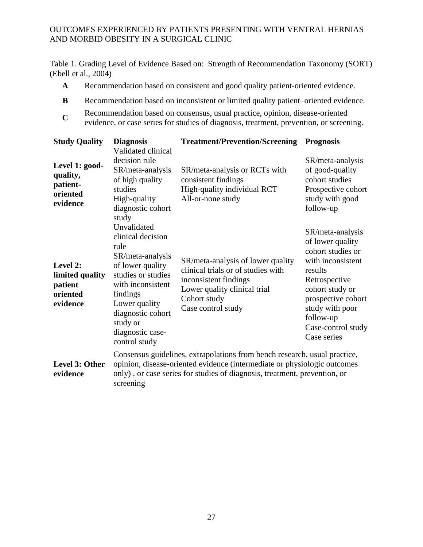Table 1. Grading Level of Evidence Based on: Strength of Recommendation Taxonomy (SORT) (Ebell et al., 2004)

- **A** Recommendation based on consistent and good quality patient-oriented evidence.
- **B** Recommendation based on inconsistent or limited quality patient–oriented evidence.
- **C** Recommendation based on consensus, usual practice, opinion, disease-oriented
- evidence, or case series for studies of diagnosis, treatment, prevention, or screening.

| <b>Study Quality</b>                                           | <b>Diagnosis</b><br>Validated clinical                                                                                                                                                                                                          | <b>Treatment/Prevention/Screening</b>                                                                                                                                  | <b>Prognosis</b>                                                                                                                                                                                                         |  |
|----------------------------------------------------------------|-------------------------------------------------------------------------------------------------------------------------------------------------------------------------------------------------------------------------------------------------|------------------------------------------------------------------------------------------------------------------------------------------------------------------------|--------------------------------------------------------------------------------------------------------------------------------------------------------------------------------------------------------------------------|--|
| Level 1: good-<br>quality,<br>patient-<br>oriented<br>evidence | decision rule<br>SR/meta-analysis<br>of high quality<br>studies<br>High-quality<br>diagnostic cohort<br>study                                                                                                                                   | SR/meta-analysis or RCTs with<br>consistent findings<br>High-quality individual RCT<br>All-or-none study                                                               | SR/meta-analysis<br>of good-quality<br>cohort studies<br>Prospective cohort<br>study with good<br>follow-up                                                                                                              |  |
| Level 2:<br>limited quality<br>patient<br>oriented<br>evidence | Unvalidated<br>clinical decision<br>rule<br>SR/meta-analysis<br>of lower quality<br>studies or studies<br>with inconsistent<br>findings<br>Lower quality<br>diagnostic cohort<br>study or<br>diagnostic case-<br>control study                  | SR/meta-analysis of lower quality<br>clinical trials or of studies with<br>inconsistent findings<br>Lower quality clinical trial<br>Cohort study<br>Case control study | SR/meta-analysis<br>of lower quality<br>cohort studies or<br>with inconsistent<br>results<br>Retrospective<br>cohort study or<br>prospective cohort<br>study with poor<br>follow-up<br>Case-control study<br>Case series |  |
| Level 3: Other<br>evidence                                     | Consensus guidelines, extrapolations from bench research, usual practice,<br>opinion, disease-oriented evidence (intermediate or physiologic outcomes<br>only), or case series for studies of diagnosis, treatment, prevention, or<br>screening |                                                                                                                                                                        |                                                                                                                                                                                                                          |  |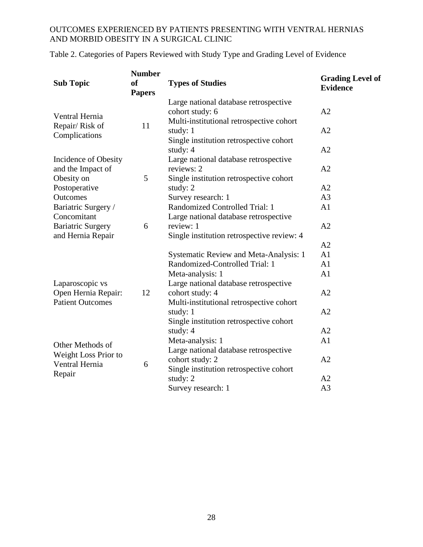| <b>Sub Topic</b>                                                                    | <b>Number</b><br>of<br><b>Papers</b> | <b>Types of Studies</b>                                                                              | <b>Grading Level of</b><br><b>Evidence</b> |
|-------------------------------------------------------------------------------------|--------------------------------------|------------------------------------------------------------------------------------------------------|--------------------------------------------|
| Ventral Hernia<br>Repair/Risk of<br>Complications                                   | 11                                   | Large national database retrospective<br>cohort study: 6<br>Multi-institutional retrospective cohort | A2                                         |
|                                                                                     |                                      | study: 1<br>Single institution retrospective cohort                                                  | A2                                         |
| Incidence of Obesity                                                                |                                      | study: 4<br>Large national database retrospective                                                    | A2                                         |
| and the Impact of<br>Obesity on                                                     | 5                                    | reviews: 2<br>Single institution retrospective cohort                                                | A2                                         |
| Postoperative                                                                       |                                      | study: $2$                                                                                           | A2                                         |
| <b>Outcomes</b>                                                                     |                                      | Survey research: 1                                                                                   | A <sub>3</sub>                             |
| Bariatric Surgery /<br>Concomitant<br><b>Bariatric Surgery</b><br>and Hernia Repair | 6                                    | Randomized Controlled Trial: 1<br>Large national database retrospective                              | A <sub>1</sub>                             |
|                                                                                     |                                      | review: 1<br>Single institution retrospective review: 4                                              | A2                                         |
|                                                                                     |                                      |                                                                                                      | A2                                         |
|                                                                                     | 12                                   | <b>Systematic Review and Meta-Analysis: 1</b>                                                        | A <sub>1</sub>                             |
|                                                                                     |                                      | Randomized-Controlled Trial: 1                                                                       | A1                                         |
| Laparoscopic vs<br>Open Hernia Repair:<br><b>Patient Outcomes</b>                   |                                      | Meta-analysis: 1                                                                                     | A <sub>1</sub>                             |
|                                                                                     |                                      | Large national database retrospective<br>cohort study: 4                                             | A <sub>2</sub>                             |
|                                                                                     |                                      | Multi-institutional retrospective cohort<br>study: 1<br>Single institution retrospective cohort      | A2                                         |
|                                                                                     |                                      | study: 4                                                                                             | A2                                         |
|                                                                                     | 6                                    | Meta-analysis: 1                                                                                     | A1                                         |
| Other Methods of<br>Weight Loss Prior to<br>Ventral Hernia                          |                                      | Large national database retrospective                                                                |                                            |
|                                                                                     |                                      | cohort study: 2                                                                                      | A2                                         |
| Repair                                                                              |                                      | Single institution retrospective cohort<br>study: 2                                                  | A2                                         |
|                                                                                     |                                      | Survey research: 1                                                                                   | A <sub>3</sub>                             |

Table 2. Categories of Papers Reviewed with Study Type and Grading Level of Evidence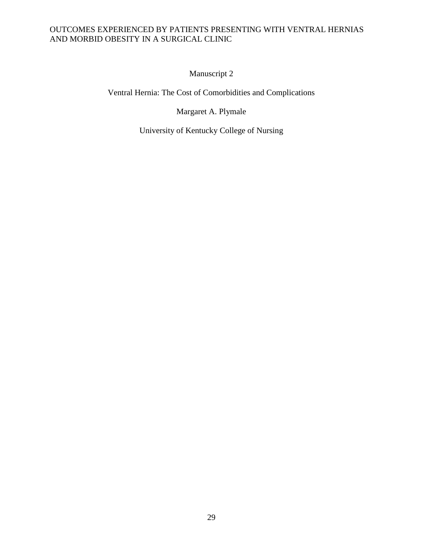Manuscript 2

Ventral Hernia: The Cost of Comorbidities and Complications

Margaret A. Plymale

University of Kentucky College of Nursing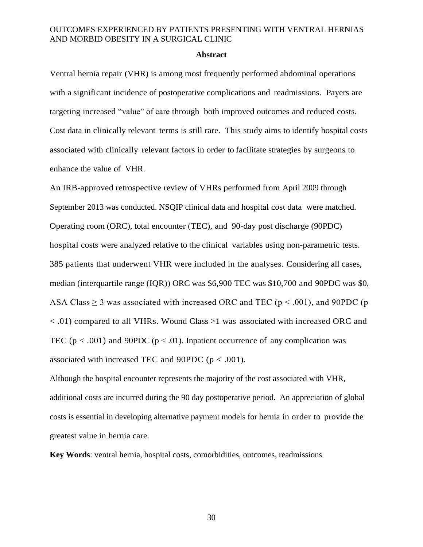#### **Abstract**

Ventral hernia repair (VHR) is among most frequently performed abdominal operations with a significant incidence of postoperative complications and readmissions. Payers are targeting increased "value" of care through both improved outcomes and reduced costs. Cost data in clinically relevant terms is still rare. This study aims to identify hospital costs associated with clinically relevant factors in order to facilitate strategies by surgeons to enhance the value of VHR.

An IRB-approved retrospective review of VHRs performed from April 2009 through September 2013 was conducted. NSQIP clinical data and hospital cost data were matched. Operating room (ORC), total encounter (TEC), and 90-day post discharge (90PDC) hospital costs were analyzed relative to the clinical variables using non-parametric tests. 385 patients that underwent VHR were included in the analyses. Considering all cases, median (interquartile range (IQR)) ORC was \$6,900 TEC was \$10,700 and 90PDC was \$0, ASA Class  $\geq$  3 was associated with increased ORC and TEC ( $p < .001$ ), and 90PDC ( $p$ ) < .01) compared to all VHRs. Wound Class >1 was associated with increased ORC and TEC ( $p < .001$ ) and 90PDC ( $p < .01$ ). Inpatient occurrence of any complication was associated with increased TEC and 90PDC ( $p < .001$ ).

Although the hospital encounter represents the majority of the cost associated with VHR, additional costs are incurred during the 90 day postoperative period. An appreciation of global costs is essential in developing alternative payment models for hernia in order to provide the greatest value in hernia care.

**Key Words**: ventral hernia, hospital costs, comorbidities, outcomes, readmissions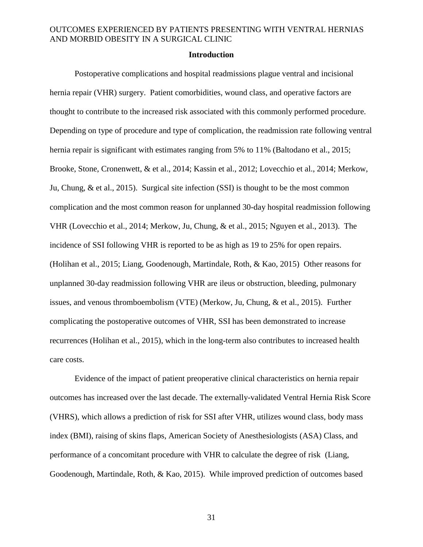#### **Introduction**

Postoperative complications and hospital readmissions plague ventral and incisional hernia repair (VHR) surgery. Patient comorbidities, wound class, and operative factors are thought to contribute to the increased risk associated with this commonly performed procedure. Depending on type of procedure and type of complication, the readmission rate following ventral hernia repair is significant with estimates ranging from 5% to 11% (Baltodano et al., 2015; Brooke, Stone, Cronenwett, & et al., 2014; Kassin et al., 2012; Lovecchio et al., 2014; Merkow, Ju, Chung, & et al., 2015). Surgical site infection (SSI) is thought to be the most common complication and the most common reason for unplanned 30-day hospital readmission following VHR (Lovecchio et al., 2014; Merkow, Ju, Chung, & et al., 2015; Nguyen et al., 2013). The incidence of SSI following VHR is reported to be as high as 19 to 25% for open repairs. (Holihan et al., 2015; Liang, Goodenough, Martindale, Roth, & Kao, 2015) Other reasons for unplanned 30-day readmission following VHR are ileus or obstruction, bleeding, pulmonary issues, and venous thromboembolism (VTE) (Merkow, Ju, Chung, & et al., 2015). Further complicating the postoperative outcomes of VHR, SSI has been demonstrated to increase recurrences (Holihan et al., 2015), which in the long-term also contributes to increased health care costs.

Evidence of the impact of patient preoperative clinical characteristics on hernia repair outcomes has increased over the last decade. The externally-validated Ventral Hernia Risk Score (VHRS), which allows a prediction of risk for SSI after VHR, utilizes wound class, body mass index (BMI), raising of skins flaps, American Society of Anesthesiologists (ASA) Class, and performance of a concomitant procedure with VHR to calculate the degree of risk (Liang, Goodenough, Martindale, Roth, & Kao, 2015). While improved prediction of outcomes based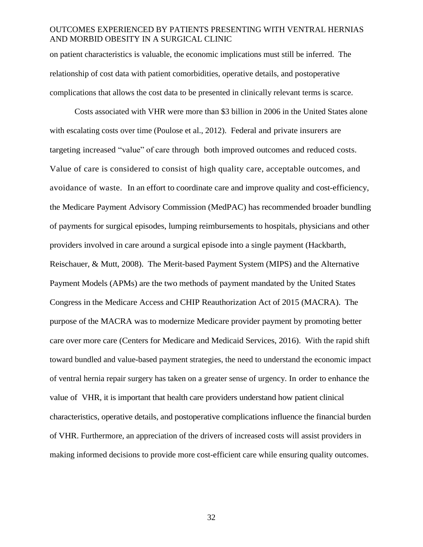on patient characteristics is valuable, the economic implications must still be inferred. The relationship of cost data with patient comorbidities, operative details, and postoperative complications that allows the cost data to be presented in clinically relevant terms is scarce.

Costs associated with VHR were more than \$3 billion in 2006 in the United States alone with escalating costs over time (Poulose et al., 2012). Federal and private insurers are targeting increased "value" of care through both improved outcomes and reduced costs. Value of care is considered to consist of high quality care, acceptable outcomes, and avoidance of waste. In an effort to coordinate care and improve quality and cost-efficiency, the Medicare Payment Advisory Commission (MedPAC) has recommended broader bundling of payments for surgical episodes, lumping reimbursements to hospitals, physicians and other providers involved in care around a surgical episode into a single payment (Hackbarth, Reischauer, & Mutt, 2008). The Merit-based Payment System (MIPS) and the Alternative Payment Models (APMs) are the two methods of payment mandated by the United States Congress in the Medicare Access and CHIP Reauthorization Act of 2015 (MACRA). The purpose of the MACRA was to modernize Medicare provider payment by promoting better care over more care (Centers for Medicare and Medicaid Services, 2016). With the rapid shift toward bundled and value-based payment strategies, the need to understand the economic impact of ventral hernia repair surgery has taken on a greater sense of urgency. In order to enhance the value of VHR, it is important that health care providers understand how patient clinical characteristics, operative details, and postoperative complications influence the financial burden of VHR. Furthermore, an appreciation of the drivers of increased costs will assist providers in making informed decisions to provide more cost-efficient care while ensuring quality outcomes.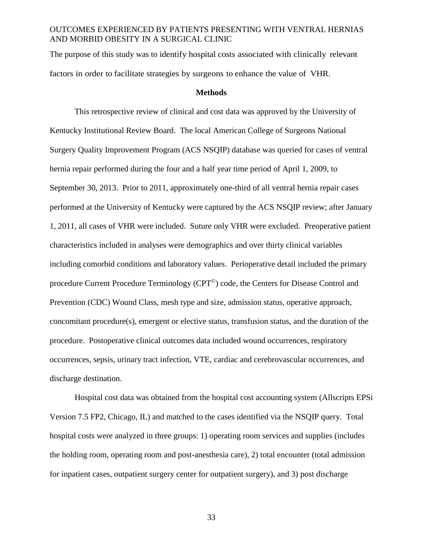The purpose of this study was to identify hospital costs associated with clinically relevant factors in order to facilitate strategies by surgeons to enhance the value of VHR.

#### **Methods**

This retrospective review of clinical and cost data was approved by the University of Kentucky Institutional Review Board. The local American College of Surgeons National Surgery Quality Improvement Program (ACS NSQIP) database was queried for cases of ventral hernia repair performed during the four and a half year time period of April 1, 2009, to September 30, 2013. Prior to 2011, approximately one-third of all ventral hernia repair cases performed at the University of Kentucky were captured by the ACS NSQIP review; after January 1, 2011, all cases of VHR were included. Suture only VHR were excluded. Preoperative patient characteristics included in analyses were demographics and over thirty clinical variables including comorbid conditions and laboratory values. Perioperative detail included the primary procedure Current Procedure Terminology (CPT©) code, the Centers for Disease Control and Prevention (CDC) Wound Class, mesh type and size, admission status, operative approach, concomitant procedure(s), emergent or elective status, transfusion status, and the duration of the procedure. Postoperative clinical outcomes data included wound occurrences, respiratory occurrences, sepsis, urinary tract infection, VTE, cardiac and cerebrovascular occurrences, and discharge destination.

Hospital cost data was obtained from the hospital cost accounting system (Allscripts EPSi Version 7.5 FP2, Chicago, IL) and matched to the cases identified via the NSQIP query. Total hospital costs were analyzed in three groups: 1) operating room services and supplies (includes the holding room, operating room and post-anesthesia care), 2) total encounter (total admission for inpatient cases, outpatient surgery center for outpatient surgery), and 3) post discharge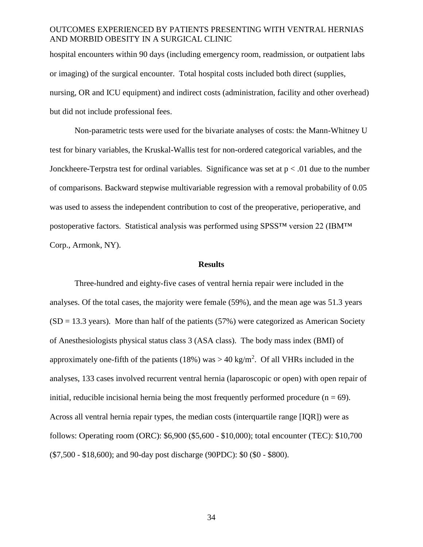hospital encounters within 90 days (including emergency room, readmission, or outpatient labs or imaging) of the surgical encounter. Total hospital costs included both direct (supplies, nursing, OR and ICU equipment) and indirect costs (administration, facility and other overhead) but did not include professional fees.

Non-parametric tests were used for the bivariate analyses of costs: the Mann-Whitney U test for binary variables, the Kruskal-Wallis test for non-ordered categorical variables, and the Jonckheere-Terpstra test for ordinal variables. Significance was set at  $p < .01$  due to the number of comparisons. Backward stepwise multivariable regression with a removal probability of 0.05 was used to assess the independent contribution to cost of the preoperative, perioperative, and postoperative factors. Statistical analysis was performed using SPSS™ version 22 (IBM™ Corp., Armonk, NY).

#### **Results**

Three-hundred and eighty-five cases of ventral hernia repair were included in the analyses. Of the total cases, the majority were female (59%), and the mean age was 51.3 years  $(SD = 13.3 \text{ years})$ . More than half of the patients (57%) were categorized as American Society of Anesthesiologists physical status class 3 (ASA class). The body mass index (BMI) of approximately one-fifth of the patients (18%) was  $> 40 \text{ kg/m}^2$ . Of all VHRs included in the analyses, 133 cases involved recurrent ventral hernia (laparoscopic or open) with open repair of initial, reducible incisional hernia being the most frequently performed procedure ( $n = 69$ ). Across all ventral hernia repair types, the median costs (interquartile range [IQR]) were as follows: Operating room (ORC): \$6,900 (\$5,600 - \$10,000); total encounter (TEC): \$10,700 (\$7,500 - \$18,600); and 90-day post discharge (90PDC): \$0 (\$0 - \$800).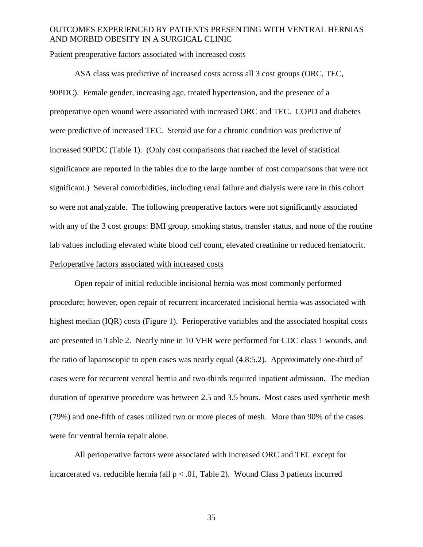#### Patient preoperative factors associated with increased costs

ASA class was predictive of increased costs across all 3 cost groups (ORC, TEC, 90PDC). Female gender, increasing age, treated hypertension, and the presence of a preoperative open wound were associated with increased ORC and TEC. COPD and diabetes were predictive of increased TEC. Steroid use for a chronic condition was predictive of increased 90PDC (Table 1). (Only cost comparisons that reached the level of statistical significance are reported in the tables due to the large number of cost comparisons that were not significant.) Several comorbidities, including renal failure and dialysis were rare in this cohort so were not analyzable. The following preoperative factors were not significantly associated with any of the 3 cost groups: BMI group, smoking status, transfer status, and none of the routine lab values including elevated white blood cell count, elevated creatinine or reduced hematocrit. Perioperative factors associated with increased costs

Open repair of initial reducible incisional hernia was most commonly performed procedure; however, open repair of recurrent incarcerated incisional hernia was associated with highest median (IQR) costs (Figure 1). Perioperative variables and the associated hospital costs are presented in Table 2. Nearly nine in 10 VHR were performed for CDC class 1 wounds, and the ratio of laparoscopic to open cases was nearly equal (4.8:5.2). Approximately one-third of cases were for recurrent ventral hernia and two-thirds required inpatient admission. The median duration of operative procedure was between 2.5 and 3.5 hours. Most cases used synthetic mesh (79%) and one-fifth of cases utilized two or more pieces of mesh. More than 90% of the cases were for ventral hernia repair alone.

All perioperative factors were associated with increased ORC and TEC except for incarcerated vs. reducible hernia (all  $p < .01$ , Table 2). Wound Class 3 patients incurred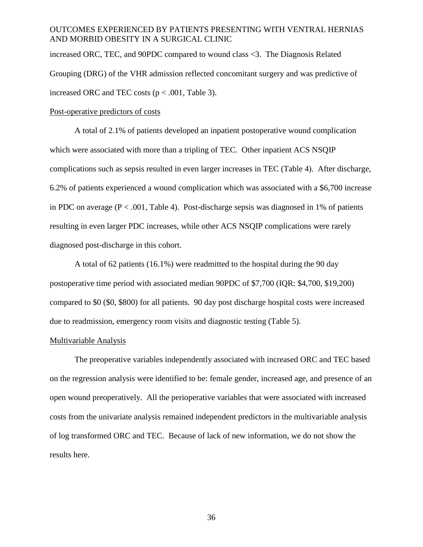increased ORC, TEC, and 90PDC compared to wound class <3. The Diagnosis Related Grouping (DRG) of the VHR admission reflected concomitant surgery and was predictive of increased ORC and TEC costs ( $p < .001$ , Table 3).

#### Post-operative predictors of costs

A total of 2.1% of patients developed an inpatient postoperative wound complication which were associated with more than a tripling of TEC. Other inpatient ACS NSQIP complications such as sepsis resulted in even larger increases in TEC (Table 4). After discharge, 6.2% of patients experienced a wound complication which was associated with a \$6,700 increase in PDC on average  $(P < .001,$  Table 4). Post-discharge sepsis was diagnosed in 1% of patients resulting in even larger PDC increases, while other ACS NSQIP complications were rarely diagnosed post-discharge in this cohort.

A total of 62 patients (16.1%) were readmitted to the hospital during the 90 day postoperative time period with associated median 90PDC of \$7,700 (IQR: \$4,700, \$19,200) compared to \$0 (\$0, \$800) for all patients. 90 day post discharge hospital costs were increased due to readmission, emergency room visits and diagnostic testing (Table 5).

#### Multivariable Analysis

The preoperative variables independently associated with increased ORC and TEC based on the regression analysis were identified to be: female gender, increased age, and presence of an open wound preoperatively. All the perioperative variables that were associated with increased costs from the univariate analysis remained independent predictors in the multivariable analysis of log transformed ORC and TEC. Because of lack of new information, we do not show the results here.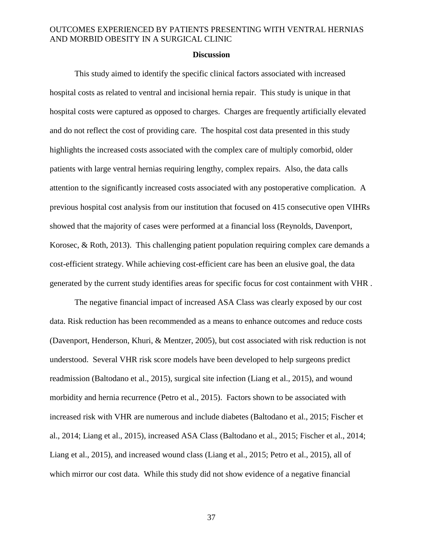#### **Discussion**

This study aimed to identify the specific clinical factors associated with increased hospital costs as related to ventral and incisional hernia repair. This study is unique in that hospital costs were captured as opposed to charges. Charges are frequently artificially elevated and do not reflect the cost of providing care. The hospital cost data presented in this study highlights the increased costs associated with the complex care of multiply comorbid, older patients with large ventral hernias requiring lengthy, complex repairs. Also, the data calls attention to the significantly increased costs associated with any postoperative complication. A previous hospital cost analysis from our institution that focused on 415 consecutive open VIHRs showed that the majority of cases were performed at a financial loss (Reynolds, Davenport, Korosec, & Roth, 2013). This challenging patient population requiring complex care demands a cost-efficient strategy. While achieving cost-efficient care has been an elusive goal, the data generated by the current study identifies areas for specific focus for cost containment with VHR .

The negative financial impact of increased ASA Class was clearly exposed by our cost data. Risk reduction has been recommended as a means to enhance outcomes and reduce costs (Davenport, Henderson, Khuri, & Mentzer, 2005), but cost associated with risk reduction is not understood. Several VHR risk score models have been developed to help surgeons predict readmission (Baltodano et al., 2015), surgical site infection (Liang et al., 2015), and wound morbidity and hernia recurrence (Petro et al., 2015). Factors shown to be associated with increased risk with VHR are numerous and include diabetes (Baltodano et al., 2015; Fischer et al., 2014; Liang et al., 2015), increased ASA Class (Baltodano et al., 2015; Fischer et al., 2014; Liang et al., 2015), and increased wound class (Liang et al., 2015; Petro et al., 2015), all of which mirror our cost data. While this study did not show evidence of a negative financial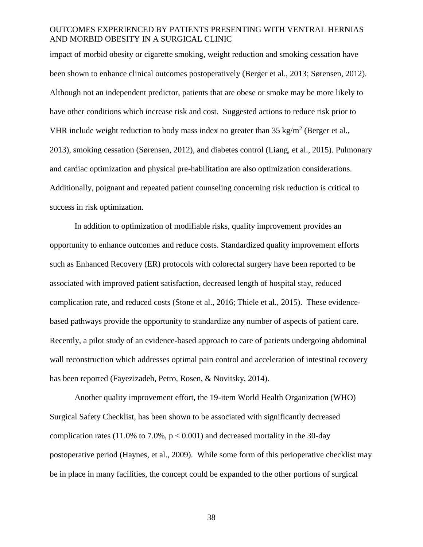impact of morbid obesity or cigarette smoking, weight reduction and smoking cessation have been shown to enhance clinical outcomes postoperatively (Berger et al., 2013; Sørensen, 2012). Although not an independent predictor, patients that are obese or smoke may be more likely to have other conditions which increase risk and cost. Suggested actions to reduce risk prior to VHR include weight reduction to body mass index no greater than  $35 \text{ kg/m}^2$  (Berger et al., 2013), smoking cessation (Sørensen, 2012), and diabetes control (Liang, et al., 2015). Pulmonary and cardiac optimization and physical pre-habilitation are also optimization considerations. Additionally, poignant and repeated patient counseling concerning risk reduction is critical to success in risk optimization.

In addition to optimization of modifiable risks, quality improvement provides an opportunity to enhance outcomes and reduce costs. Standardized quality improvement efforts such as Enhanced Recovery (ER) protocols with colorectal surgery have been reported to be associated with improved patient satisfaction, decreased length of hospital stay, reduced complication rate, and reduced costs (Stone et al., 2016; Thiele et al., 2015). These evidencebased pathways provide the opportunity to standardize any number of aspects of patient care. Recently, a pilot study of an evidence-based approach to care of patients undergoing abdominal wall reconstruction which addresses optimal pain control and acceleration of intestinal recovery has been reported (Fayezizadeh, Petro, Rosen, & Novitsky, 2014).

Another quality improvement effort, the 19-item World Health Organization (WHO) Surgical Safety Checklist, has been shown to be associated with significantly decreased complication rates (11.0% to 7.0%,  $p < 0.001$ ) and decreased mortality in the 30-day postoperative period (Haynes, et al., 2009). While some form of this perioperative checklist may be in place in many facilities, the concept could be expanded to the other portions of surgical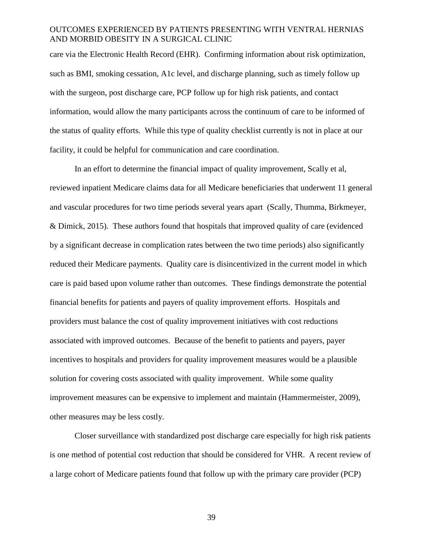care via the Electronic Health Record (EHR). Confirming information about risk optimization, such as BMI, smoking cessation, A1c level, and discharge planning, such as timely follow up with the surgeon, post discharge care, PCP follow up for high risk patients, and contact information, would allow the many participants across the continuum of care to be informed of the status of quality efforts. While this type of quality checklist currently is not in place at our facility, it could be helpful for communication and care coordination.

In an effort to determine the financial impact of quality improvement, Scally et al, reviewed inpatient Medicare claims data for all Medicare beneficiaries that underwent 11 general and vascular procedures for two time periods several years apart (Scally, Thumma, Birkmeyer, & Dimick, 2015). These authors found that hospitals that improved quality of care (evidenced by a significant decrease in complication rates between the two time periods) also significantly reduced their Medicare payments. Quality care is disincentivized in the current model in which care is paid based upon volume rather than outcomes. These findings demonstrate the potential financial benefits for patients and payers of quality improvement efforts. Hospitals and providers must balance the cost of quality improvement initiatives with cost reductions associated with improved outcomes. Because of the benefit to patients and payers, payer incentives to hospitals and providers for quality improvement measures would be a plausible solution for covering costs associated with quality improvement. While some quality improvement measures can be expensive to implement and maintain (Hammermeister, 2009), other measures may be less costly.

Closer surveillance with standardized post discharge care especially for high risk patients is one method of potential cost reduction that should be considered for VHR. A recent review of a large cohort of Medicare patients found that follow up with the primary care provider (PCP)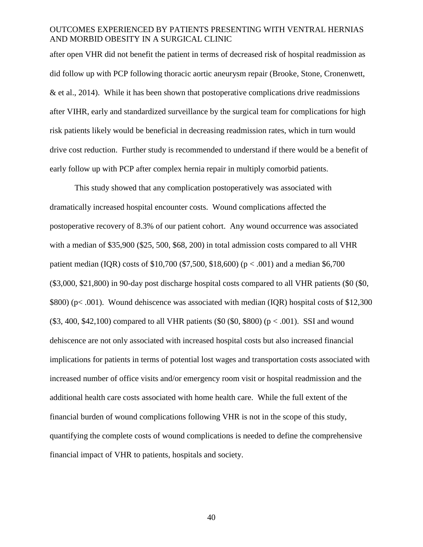after open VHR did not benefit the patient in terms of decreased risk of hospital readmission as did follow up with PCP following thoracic aortic aneurysm repair (Brooke, Stone, Cronenwett, & et al., 2014). While it has been shown that postoperative complications drive readmissions after VIHR, early and standardized surveillance by the surgical team for complications for high risk patients likely would be beneficial in decreasing readmission rates, which in turn would drive cost reduction. Further study is recommended to understand if there would be a benefit of early follow up with PCP after complex hernia repair in multiply comorbid patients.

This study showed that any complication postoperatively was associated with dramatically increased hospital encounter costs. Wound complications affected the postoperative recovery of 8.3% of our patient cohort. Any wound occurrence was associated with a median of \$35,900 (\$25, 500, \$68, 200) in total admission costs compared to all VHR patient median (IQR) costs of \$10,700 (\$7,500, \$18,600) ( $p < .001$ ) and a median \$6,700 (\$3,000, \$21,800) in 90-day post discharge hospital costs compared to all VHR patients (\$0 (\$0, \$800) (p< .001). Wound dehiscence was associated with median (IQR) hospital costs of \$12,300  $($ \$3, 400, \$42,100) compared to all VHR patients  $($ \$0 $($ \$0, \$800 $)$  $($ p $< .001)$ . SSI and wound dehiscence are not only associated with increased hospital costs but also increased financial implications for patients in terms of potential lost wages and transportation costs associated with increased number of office visits and/or emergency room visit or hospital readmission and the additional health care costs associated with home health care. While the full extent of the financial burden of wound complications following VHR is not in the scope of this study, quantifying the complete costs of wound complications is needed to define the comprehensive financial impact of VHR to patients, hospitals and society.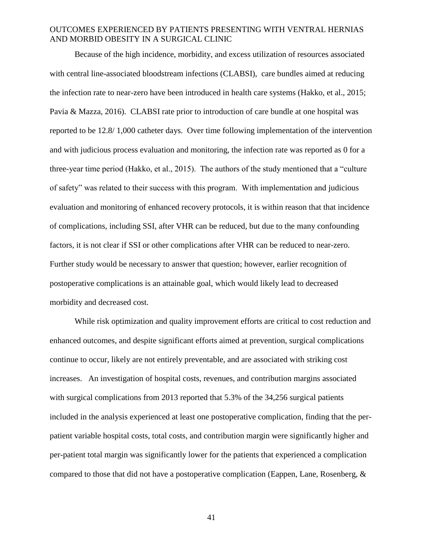Because of the high incidence, morbidity, and excess utilization of resources associated with central line-associated bloodstream infections (CLABSI), care bundles aimed at reducing the infection rate to near-zero have been introduced in health care systems (Hakko, et al., 2015; Pavia & Mazza, 2016). CLABSI rate prior to introduction of care bundle at one hospital was reported to be 12.8/ 1,000 catheter days. Over time following implementation of the intervention and with judicious process evaluation and monitoring, the infection rate was reported as 0 for a three-year time period (Hakko, et al., 2015). The authors of the study mentioned that a "culture of safety" was related to their success with this program. With implementation and judicious evaluation and monitoring of enhanced recovery protocols, it is within reason that that incidence of complications, including SSI, after VHR can be reduced, but due to the many confounding factors, it is not clear if SSI or other complications after VHR can be reduced to near-zero. Further study would be necessary to answer that question; however, earlier recognition of postoperative complications is an attainable goal, which would likely lead to decreased morbidity and decreased cost.

While risk optimization and quality improvement efforts are critical to cost reduction and enhanced outcomes, and despite significant efforts aimed at prevention, surgical complications continue to occur, likely are not entirely preventable, and are associated with striking cost increases. An investigation of hospital costs, revenues, and contribution margins associated with surgical complications from 2013 reported that 5.3% of the 34,256 surgical patients included in the analysis experienced at least one postoperative complication, finding that the perpatient variable hospital costs, total costs, and contribution margin were significantly higher and per-patient total margin was significantly lower for the patients that experienced a complication compared to those that did not have a postoperative complication (Eappen, Lane, Rosenberg, &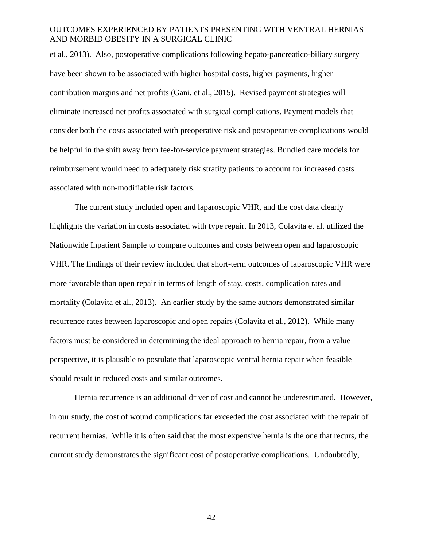et al., 2013). Also, postoperative complications following hepato-pancreatico-biliary surgery have been shown to be associated with higher hospital costs, higher payments, higher contribution margins and net profits (Gani, et al., 2015). Revised payment strategies will eliminate increased net profits associated with surgical complications. Payment models that consider both the costs associated with preoperative risk and postoperative complications would be helpful in the shift away from fee-for-service payment strategies. Bundled care models for reimbursement would need to adequately risk stratify patients to account for increased costs associated with non-modifiable risk factors.

The current study included open and laparoscopic VHR, and the cost data clearly highlights the variation in costs associated with type repair. In 2013, Colavita et al. utilized the Nationwide Inpatient Sample to compare outcomes and costs between open and laparoscopic VHR. The findings of their review included that short-term outcomes of laparoscopic VHR were more favorable than open repair in terms of length of stay, costs, complication rates and mortality (Colavita et al., 2013). An earlier study by the same authors demonstrated similar recurrence rates between laparoscopic and open repairs (Colavita et al., 2012). While many factors must be considered in determining the ideal approach to hernia repair, from a value perspective, it is plausible to postulate that laparoscopic ventral hernia repair when feasible should result in reduced costs and similar outcomes.

Hernia recurrence is an additional driver of cost and cannot be underestimated. However, in our study, the cost of wound complications far exceeded the cost associated with the repair of recurrent hernias. While it is often said that the most expensive hernia is the one that recurs, the current study demonstrates the significant cost of postoperative complications. Undoubtedly,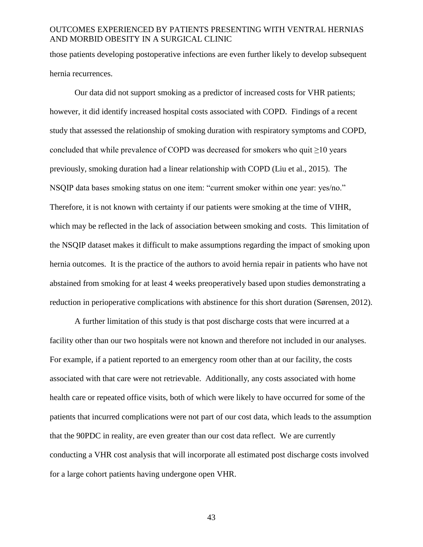those patients developing postoperative infections are even further likely to develop subsequent hernia recurrences.

Our data did not support smoking as a predictor of increased costs for VHR patients; however, it did identify increased hospital costs associated with COPD. Findings of a recent study that assessed the relationship of smoking duration with respiratory symptoms and COPD, concluded that while prevalence of COPD was decreased for smokers who quit  $\geq$ 10 years previously, smoking duration had a linear relationship with COPD (Liu et al., 2015). The NSQIP data bases smoking status on one item: "current smoker within one year: yes/no." Therefore, it is not known with certainty if our patients were smoking at the time of VIHR, which may be reflected in the lack of association between smoking and costs. This limitation of the NSQIP dataset makes it difficult to make assumptions regarding the impact of smoking upon hernia outcomes. It is the practice of the authors to avoid hernia repair in patients who have not abstained from smoking for at least 4 weeks preoperatively based upon studies demonstrating a reduction in perioperative complications with abstinence for this short duration (Sørensen, 2012).

A further limitation of this study is that post discharge costs that were incurred at a facility other than our two hospitals were not known and therefore not included in our analyses. For example, if a patient reported to an emergency room other than at our facility, the costs associated with that care were not retrievable. Additionally, any costs associated with home health care or repeated office visits, both of which were likely to have occurred for some of the patients that incurred complications were not part of our cost data, which leads to the assumption that the 90PDC in reality, are even greater than our cost data reflect. We are currently conducting a VHR cost analysis that will incorporate all estimated post discharge costs involved for a large cohort patients having undergone open VHR.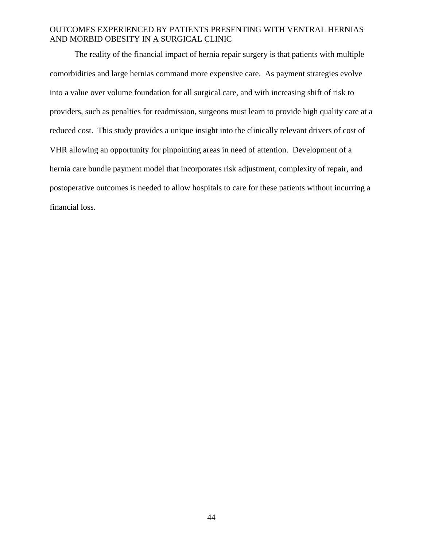The reality of the financial impact of hernia repair surgery is that patients with multiple comorbidities and large hernias command more expensive care. As payment strategies evolve into a value over volume foundation for all surgical care, and with increasing shift of risk to providers, such as penalties for readmission, surgeons must learn to provide high quality care at a reduced cost. This study provides a unique insight into the clinically relevant drivers of cost of VHR allowing an opportunity for pinpointing areas in need of attention. Development of a hernia care bundle payment model that incorporates risk adjustment, complexity of repair, and postoperative outcomes is needed to allow hospitals to care for these patients without incurring a financial loss.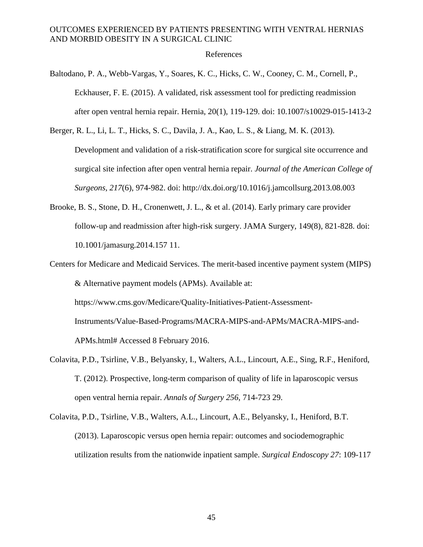#### References

- Baltodano, P. A., Webb-Vargas, Y., Soares, K. C., Hicks, C. W., Cooney, C. M., Cornell, P., Eckhauser, F. E. (2015). A validated, risk assessment tool for predicting readmission after open ventral hernia repair. Hernia, 20(1), 119-129. doi: 10.1007/s10029-015-1413-2
- Berger, R. L., Li, L. T., Hicks, S. C., Davila, J. A., Kao, L. S., & Liang, M. K. (2013). Development and validation of a risk-stratification score for surgical site occurrence and surgical site infection after open ventral hernia repair. *Journal of the American College of Surgeons, 217*(6), 974-982. doi: http://dx.doi.org/10.1016/j.jamcollsurg.2013.08.003
- Brooke, B. S., Stone, D. H., Cronenwett, J. L., & et al. (2014). Early primary care provider follow-up and readmission after high-risk surgery. JAMA Surgery, 149(8), 821-828. doi: 10.1001/jamasurg.2014.157 11.
- Centers for Medicare and Medicaid Services. The merit-based incentive payment system (MIPS) & Alternative payment models (APMs). Available at: https://www.cms.gov/Medicare/Quality-Initiatives-Patient-Assessment-Instruments/Value-Based-Programs/MACRA-MIPS-and-APMs/MACRA-MIPS-and-APMs.html# Accessed 8 February 2016.
- Colavita, P.D., Tsirline, V.B., Belyansky, I., Walters, A.L., Lincourt, A.E., Sing, R.F., Heniford, T. (2012). Prospective, long-term comparison of quality of life in laparoscopic versus open ventral hernia repair. *Annals of Surgery 256*, 714-723 29.
- Colavita, P.D., Tsirline, V.B., Walters, A.L., Lincourt, A.E., Belyansky, I., Heniford, B.T. (2013). Laparoscopic versus open hernia repair: outcomes and sociodemographic utilization results from the nationwide inpatient sample. *Surgical Endoscopy 27*: 109-117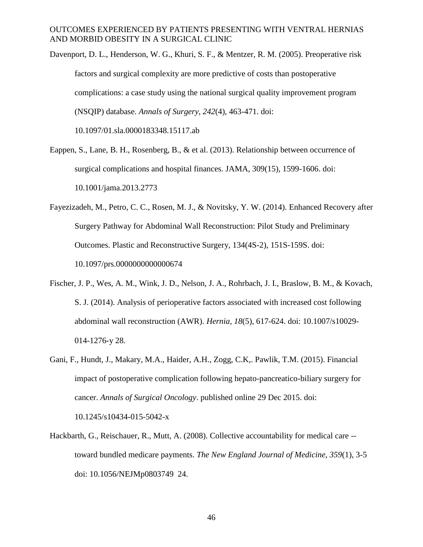Davenport, D. L., Henderson, W. G., Khuri, S. F., & Mentzer, R. M. (2005). Preoperative risk factors and surgical complexity are more predictive of costs than postoperative complications: a case study using the national surgical quality improvement program (NSQIP) database. *Annals of Surgery, 242*(4), 463-471. doi: 10.1097/01.sla.0000183348.15117.ab

- Eappen, S., Lane, B. H., Rosenberg, B., & et al. (2013). Relationship between occurrence of surgical complications and hospital finances. JAMA, 309(15), 1599-1606. doi: 10.1001/jama.2013.2773
- Fayezizadeh, M., Petro, C. C., Rosen, M. J., & Novitsky, Y. W. (2014). Enhanced Recovery after Surgery Pathway for Abdominal Wall Reconstruction: Pilot Study and Preliminary Outcomes. Plastic and Reconstructive Surgery, 134(4S-2), 151S-159S. doi: 10.1097/prs.0000000000000674
- Fischer, J. P., Wes, A. M., Wink, J. D., Nelson, J. A., Rohrbach, J. I., Braslow, B. M., & Kovach, S. J. (2014). Analysis of perioperative factors associated with increased cost following abdominal wall reconstruction (AWR). *Hernia, 18*(5), 617-624. doi: 10.1007/s10029- 014-1276-y 28.
- Gani, F., Hundt, J., Makary, M.A., Haider, A.H., Zogg, C.K,. Pawlik, T.M. (2015). Financial impact of postoperative complication following hepato-pancreatico-biliary surgery for cancer. *Annals of Surgical Oncology*. published online 29 Dec 2015. doi: 10.1245/s10434-015-5042-x
- Hackbarth, G., Reischauer, R., Mutt, A. (2008). Collective accountability for medical care toward bundled medicare payments. *The New England Journal of Medicine, 359*(1), 3-5 doi: 10.1056/NEJMp0803749 24.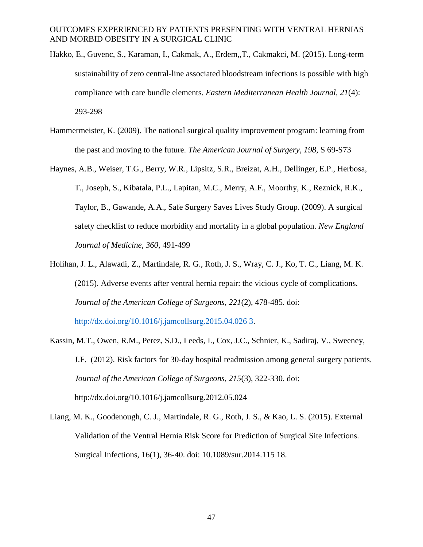- Hakko, E., Guvenc, S., Karaman, I., Cakmak, A., Erdem,,T., Cakmakci, M. (2015). Long-term sustainability of zero central-line associated bloodstream infections is possible with high compliance with care bundle elements. *Eastern Mediterranean Health Journal, 21*(4): 293-298
- Hammermeister, K. (2009). The national surgical quality improvement program: learning from the past and moving to the future. *The American Journal of Surgery, 198*, S 69-S73
- Haynes, A.B., Weiser, T.G., Berry, W.R., Lipsitz, S.R., Breizat, A.H., Dellinger, E.P., Herbosa, T., Joseph, S., Kibatala, P.L., Lapitan, M.C., Merry, A.F., Moorthy, K., Reznick, R.K., Taylor, B., Gawande, A.A., Safe Surgery Saves Lives Study Group. (2009). A surgical safety checklist to reduce morbidity and mortality in a global population. *New England Journal of Medicine, 360*, 491-499
- Holihan, J. L., Alawadi, Z., Martindale, R. G., Roth, J. S., Wray, C. J., Ko, T. C., Liang, M. K. (2015). Adverse events after ventral hernia repair: the vicious cycle of complications. *Journal of the American College of Surgeons, 221*(2), 478-485. doi: [http://dx.doi.org/10.1016/j.jamcollsurg.2015.04.026 3.](http://dx.doi.org/10.1016/j.jamcollsurg.2015.04.026%203)
- Kassin, M.T., Owen, R.M., Perez, S.D., Leeds, I., Cox, J.C., Schnier, K., Sadiraj, V., Sweeney, J.F. (2012). Risk factors for 30-day hospital readmission among general surgery patients. *Journal of the American College of Surgeons, 215*(3), 322-330. doi: http://dx.doi.org/10.1016/j.jamcollsurg.2012.05.024
- Liang, M. K., Goodenough, C. J., Martindale, R. G., Roth, J. S., & Kao, L. S. (2015). External Validation of the Ventral Hernia Risk Score for Prediction of Surgical Site Infections. Surgical Infections, 16(1), 36-40. doi: 10.1089/sur.2014.115 18.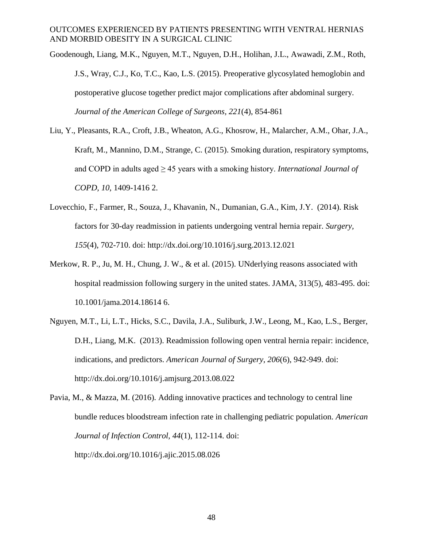Goodenough, Liang, M.K., Nguyen, M.T., Nguyen, D.H., Holihan, J.L., Awawadi, Z.M., Roth, J.S., Wray, C.J., Ko, T.C., Kao, L.S. (2015). Preoperative glycosylated hemoglobin and postoperative glucose together predict major complications after abdominal surgery. *Journal of the American College of Surgeons, 221*(4), 854-861

- Liu, Y., Pleasants, R.A., Croft, J.B., Wheaton, A.G., Khosrow, H., Malarcher, A.M., Ohar, J.A., Kraft, M., Mannino, D.M., Strange, C. (2015). Smoking duration, respiratory symptoms, and COPD in adults aged ≥ 45 years with a smoking history. *International Journal of COPD, 10*, 1409-1416 2.
- Lovecchio, F., Farmer, R., Souza, J., Khavanin, N., Dumanian, G.A., Kim, J.Y. (2014). Risk factors for 30-day readmission in patients undergoing ventral hernia repair. *Surgery, 155*(4), 702-710. doi: http://dx.doi.org/10.1016/j.surg.2013.12.021
- Merkow, R. P., Ju, M. H., Chung, J. W., & et al. (2015). UNderlying reasons associated with hospital readmission following surgery in the united states. JAMA, 313(5), 483-495. doi: 10.1001/jama.2014.18614 6.
- Nguyen, M.T., Li, L.T., Hicks, S.C., Davila, J.A., Suliburk, J.W., Leong, M., Kao, L.S., Berger, D.H., Liang, M.K. (2013). Readmission following open ventral hernia repair: incidence, indications, and predictors. *American Journal of Surgery, 206*(6), 942-949. doi: http://dx.doi.org/10.1016/j.amjsurg.2013.08.022

Pavia, M., & Mazza, M. (2016). Adding innovative practices and technology to central line bundle reduces bloodstream infection rate in challenging pediatric population. *American Journal of Infection Control, 44*(1), 112-114. doi: http://dx.doi.org/10.1016/j.ajic.2015.08.026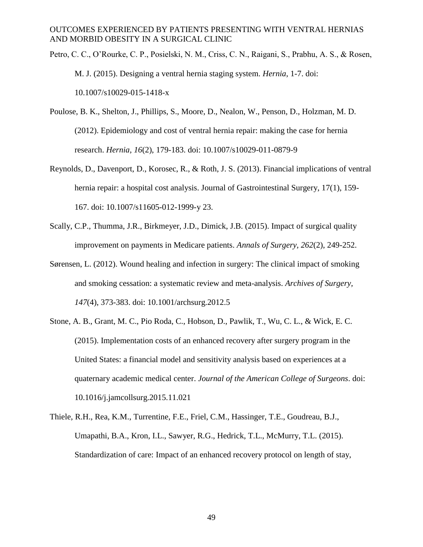- Petro, C. C., O'Rourke, C. P., Posielski, N. M., Criss, C. N., Raigani, S., Prabhu, A. S., & Rosen, M. J. (2015). Designing a ventral hernia staging system. *Hernia*, 1-7. doi: 10.1007/s10029-015-1418-x
- Poulose, B. K., Shelton, J., Phillips, S., Moore, D., Nealon, W., Penson, D., Holzman, M. D. (2012). Epidemiology and cost of ventral hernia repair: making the case for hernia research. *Hernia, 16*(2), 179-183. doi: 10.1007/s10029-011-0879-9
- Reynolds, D., Davenport, D., Korosec, R., & Roth, J. S. (2013). Financial implications of ventral hernia repair: a hospital cost analysis. Journal of Gastrointestinal Surgery, 17(1), 159-167. doi: 10.1007/s11605-012-1999-y 23.
- Scally, C.P., Thumma, J.R., Birkmeyer, J.D., Dimick, J.B. (2015). Impact of surgical quality improvement on payments in Medicare patients. *Annals of Surgery, 262*(2), 249-252.
- Sørensen, L. (2012). Wound healing and infection in surgery: The clinical impact of smoking and smoking cessation: a systematic review and meta-analysis. *Archives of Surgery, 147*(4), 373-383. doi: 10.1001/archsurg.2012.5
- Stone, A. B., Grant, M. C., Pio Roda, C., Hobson, D., Pawlik, T., Wu, C. L., & Wick, E. C. (2015). Implementation costs of an enhanced recovery after surgery program in the United States: a financial model and sensitivity analysis based on experiences at a quaternary academic medical center. *Journal of the American College of Surgeons*. doi: 10.1016/j.jamcollsurg.2015.11.021
- Thiele, R.H., Rea, K.M., Turrentine, F.E., Friel, C.M., Hassinger, T.E., Goudreau, B.J., Umapathi, B.A., Kron, I.L., Sawyer, R.G., Hedrick, T.L., McMurry, T.L. (2015). Standardization of care: Impact of an enhanced recovery protocol on length of stay,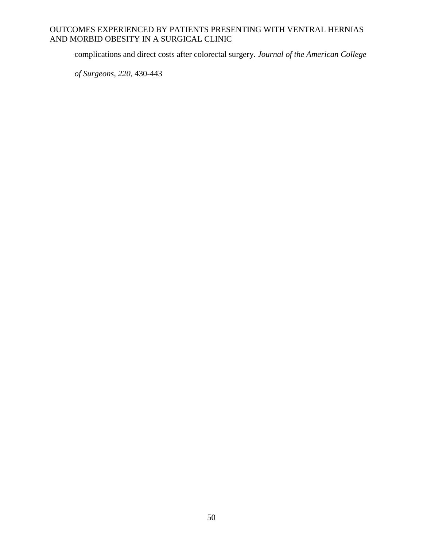complications and direct costs after colorectal surgery. *Journal of the American College* 

*of Surgeons, 220*, 430-443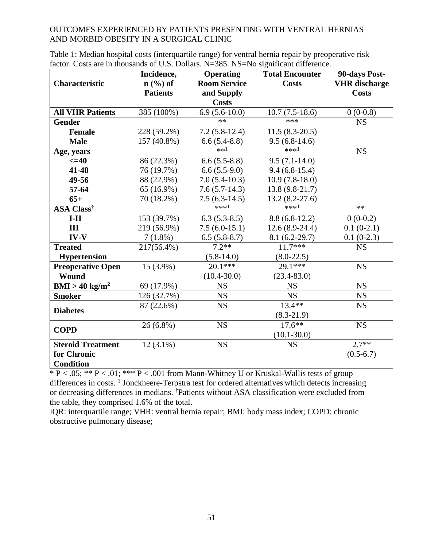|                              | Incidence,      | <b>Operating</b>    | <b>Total Encounter</b> | 90-days Post-        |
|------------------------------|-----------------|---------------------|------------------------|----------------------|
| <b>Characteristic</b>        | $n$ (%) of      | <b>Room Service</b> | <b>Costs</b>           | <b>VHR</b> discharge |
|                              | <b>Patients</b> | and Supply          |                        | <b>Costs</b>         |
|                              |                 | <b>Costs</b>        |                        |                      |
| <b>All VHR Patients</b>      | 385 (100%)      | $6.9(5.6-10.0)$     | $10.7(7.5-18.6)$       | $0(0-0.8)$           |
| <b>Gender</b>                |                 | $**$                | $***$                  | <b>NS</b>            |
| <b>Female</b>                | 228 (59.2%)     | $7.2(5.8-12.4)$     | $11.5(8.3-20.5)$       |                      |
| <b>Male</b>                  | 157 (40.8%)     | $6.6(5.4-8.8)$      | $9.5(6.8-14.6)$        |                      |
| Age, years                   |                 | $**1$               | $***1$                 | <b>NS</b>            |
| $\leq$ =40                   | 86 (22.3%)      | $6.6(5.5-8.8)$      | $9.5(7.1-14.0)$        |                      |
| 41-48                        | 76 (19.7%)      | $6.6(5.5-9.0)$      | $9.4(6.8-15.4)$        |                      |
| 49-56                        | 88 (22.9%)      | $7.0(5.4-10.3)$     | $10.9(7.8-18.0)$       |                      |
| 57-64                        | 65 (16.9%)      | $7.6(5.7-14.3)$     | $13.8(9.8-21.7)$       |                      |
| $65+$                        | 70 (18.2%)      | $7.5(6.3-14.5)$     | 13.2 (8.2-27.6)        |                      |
| <b>ASA Class<sup>†</sup></b> |                 | $***1$              | $***1$                 | $**1$                |
| $I-II$                       | 153 (39.7%)     | $6.3(5.3-8.5)$      | $8.8(6.8-12.2)$        | $0(0-0.2)$           |
| III                          | 219 (56.9%)     | $7.5(6.0-15.1)$     | $12.6(8.9-24.4)$       | $0.1(0-2.1)$         |
| $IV-V$                       | $7(1.8\%)$      | $6.5(5.8-8.7)$      | $8.1(6.2-29.7)$        | $0.1(0-2.3)$         |
| <b>Treated</b>               | 217(56.4%)      | $7.2**$             | $11.7***$              | <b>NS</b>            |
| <b>Hypertension</b>          |                 | $(5.8-14.0)$        | $(8.0-22.5)$           |                      |
| <b>Preoperative Open</b>     | 15 (3.9%)       | $20.1***$           | 29.1***                | <b>NS</b>            |
| Wound                        |                 | $(10.4 - 30.0)$     | $(23.4 - 83.0)$        |                      |
| $BMI > 40$ kg/m <sup>2</sup> | 69 (17.9%)      | <b>NS</b>           | <b>NS</b>              | <b>NS</b>            |
| <b>Smoker</b>                | 126 (32.7%)     | <b>NS</b>           | <b>NS</b>              | <b>NS</b>            |
|                              | 87 (22.6%)      | <b>NS</b>           | $13.4**$               | <b>NS</b>            |
| <b>Diabetes</b>              |                 |                     | $(8.3-21.9)$           |                      |
|                              | $26(6.8\%)$     | <b>NS</b>           | $17.6***$              | <b>NS</b>            |
| <b>COPD</b>                  |                 |                     | $(10.1 - 30.0)$        |                      |
| <b>Steroid Treatment</b>     | $12(3.1\%)$     | <b>NS</b>           | <b>NS</b>              | $2.7**$              |
| for Chronic                  |                 |                     |                        | $(0.5-6.7)$          |
| <b>Condition</b>             |                 |                     |                        |                      |

Table 1: Median hospital costs (interquartile range) for ventral hernia repair by preoperative risk factor. Costs are in thousands of U.S. Dollars. N=385. NS=No significant difference.

\* P < .05; \*\* P < .01; \*\*\* P < .001 from Mann-Whitney U or Kruskal-Wallis tests of group differences in costs. <sup>1</sup> Jonckheere-Terpstra test for ordered alternatives which detects increasing or decreasing differences in medians. †Patients without ASA classification were excluded from the table, they comprised 1.6% of the total.

IQR: interquartile range; VHR: ventral hernia repair; BMI: body mass index; COPD: chronic obstructive pulmonary disease;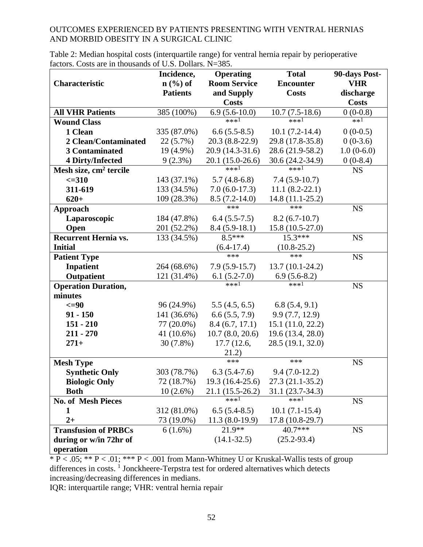| Table 2: Median hospital costs (interquartile range) for ventral hernia repair by perioperative |  |
|-------------------------------------------------------------------------------------------------|--|
| factors. Costs are in thousands of U.S. Dollars. N=385.                                         |  |

|                                    | Incidence,      | <b>Operating</b>    | <b>Total</b>                   | 90-days Post- |
|------------------------------------|-----------------|---------------------|--------------------------------|---------------|
| Characteristic                     | $n$ (%) of      | <b>Room Service</b> | <b>Encounter</b>               | <b>VHR</b>    |
|                                    | <b>Patients</b> | and Supply          | <b>Costs</b>                   | discharge     |
|                                    |                 | <b>Costs</b>        |                                | <b>Costs</b>  |
| <b>All VHR Patients</b>            | 385 (100%)      | $6.9(5.6-10.0)$     | $\overline{10.7}$ $(7.5-18.6)$ | $0(0-0.8)$    |
| <b>Wound Class</b>                 |                 | $***1$              | ***1                           | $**1$         |
| 1 Clean                            | 335 (87.0%)     | $6.6(5.5-8.5)$      | $10.1(7.2-14.4)$               | $0(0-0.5)$    |
| 2 Clean/Contaminated               | $22(5.7\%)$     | $20.3(8.8-22.9)$    | 29.8 (17.8-35.8)               | $0(0-3.6)$    |
| 3 Contaminated                     | 19 (4.9%)       | 20.9 (14.3-31.6)    | 28.6 (21.9-58.2)               | $1.0(0-6.0)$  |
| <b>4 Dirty/Infected</b>            | $9(2.3\%)$      | 20.1 (15.0-26.6)    | 30.6 (24.2-34.9)               | $0(0-8.4)$    |
| Mesh size, cm <sup>2</sup> tercile |                 | $***1$              | $***1$                         | <b>NS</b>     |
| $\leq 310$                         | 143 (37.1%)     | $5.7(4.8-6.8)$      | $7.4(5.9-10.7)$                |               |
| 311-619                            | 133 (34.5%)     | $7.0(6.0-17.3)$     | $11.1(8.2-22.1)$               |               |
| $620+$                             | 109 (28.3%)     | $8.5(7.2-14.0)$     | $14.8(11.1-25.2)$              |               |
| Approach                           |                 | ***                 | $***$                          | <b>NS</b>     |
| Laparoscopic                       | 184 (47.8%)     | $6.4(5.5-7.5)$      | $8.2(6.7-10.7)$                |               |
| Open                               | 201 (52.2%)     | $8.4(5.9-18.1)$     | 15.8 (10.5-27.0)               |               |
| <b>Recurrent Hernia vs.</b>        | 133 (34.5%)     | $8.5***$            | $15.3***$                      | <b>NS</b>     |
| <b>Initial</b>                     |                 | $(6.4-17.4)$        | $(10.8 - 25.2)$                |               |
| <b>Patient Type</b>                |                 | ***                 | $***$                          | <b>NS</b>     |
| <b>Inpatient</b>                   | 264 (68.6%)     | $7.9(5.9-15.7)$     | $13.7(10.1-24.2)$              |               |
| <b>Outpatient</b>                  | 121 (31.4%)     | $6.1(5.2-7.0)$      | $\frac{6.9(5.6-8.2)}{***1}$    |               |
| <b>Operation Duration,</b>         |                 | $***1$              |                                | <b>NS</b>     |
| minutes                            |                 |                     |                                |               |
| $\leq$ =90                         | 96 (24.9%)      | 5.5(4.5, 6.5)       | 6.8(5.4, 9.1)                  |               |
| $91 - 150$                         | 141 (36.6%)     | 6.6(5.5, 7.9)       | 9.9(7.7, 12.9)                 |               |
| $151 - 210$                        | 77 (20.0%)      | 8.4(6.7, 17.1)      | 15.1(11.0, 22.2)               |               |
| $211 - 270$                        | 41 (10.6%)      | 10.7(8.0, 20.6)     | 19.6 (13.4, 28.0)              |               |
| $271+$                             | 30 (7.8%)       | 17.7 (12.6,         | 28.5 (19.1, 32.0)              |               |
|                                    |                 | 21.2)               |                                |               |
| <b>Mesh Type</b>                   |                 | ***                 | ***                            | <b>NS</b>     |
| <b>Synthetic Only</b>              | 303 (78.7%)     | $6.3(5.4-7.6)$      | $9.4(7.0-12.2)$                |               |
| <b>Biologic Only</b>               | 72 (18.7%)      | 19.3 (16.4-25.6)    | $27.3(21.1-35.2)$              |               |
| <b>Both</b>                        | $10(2.6\%)$     | 21.1 (15.5-26.2)    | 31.1 (23.7-34.3)               |               |
| <b>No. of Mesh Pieces</b>          |                 | *** $^1$            | $***1$                         | <b>NS</b>     |
| 1                                  | 312 (81.0%)     | $6.5(5.4-8.5)$      | $10.1(7.1-15.4)$               |               |
| $2+$                               | 73 (19.0%)      | $11.3(8.0-19.9)$    | $17.8(10.8-29.7)$              |               |
| <b>Transfusion of PRBCs</b>        | $6(1.6\%)$      | $21.9**$            | 40.7***                        | <b>NS</b>     |
| during or w/in 72hr of             |                 | $(14.1 - 32.5)$     | $(25.2 - 93.4)$                |               |
| operation                          |                 |                     |                                |               |

\* P < .05; \*\* P < .01; \*\*\* P < .001 from Mann-Whitney U or Kruskal-Wallis tests of group differences in costs.<sup>1</sup> Jonckheere-Terpstra test for ordered alternatives which detects increasing/decreasing differences in medians.

IQR: interquartile range; VHR: ventral hernia repair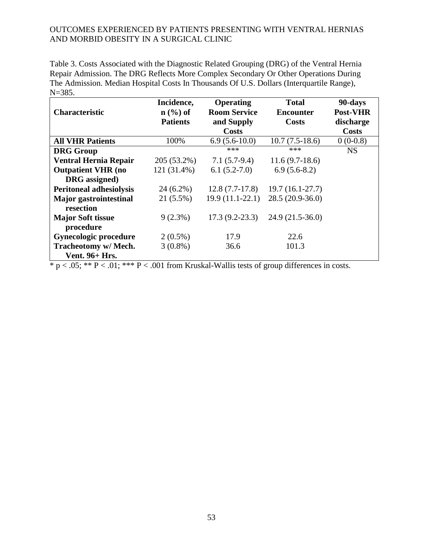Table 3. Costs Associated with the Diagnostic Related Grouping (DRG) of the Ventral Hernia Repair Admission. The DRG Reflects More Complex Secondary Or Other Operations During The Admission. Median Hospital Costs In Thousands Of U.S. Dollars (Interquartile Range), N=385.

|                                | Incidence,          | Operating           | <b>Total</b>      | 90-days         |
|--------------------------------|---------------------|---------------------|-------------------|-----------------|
| <b>Characteristic</b>          | $\mathbf{n}$ (%) of | <b>Room Service</b> | <b>Encounter</b>  | <b>Post-VHR</b> |
|                                | <b>Patients</b>     | and Supply          | <b>Costs</b>      | discharge       |
|                                |                     | <b>Costs</b>        |                   | <b>Costs</b>    |
| <b>All VHR Patients</b>        | 100%                | $6.9(5.6-10.0)$     | $10.7(7.5-18.6)$  | $0(0-0.8)$      |
| <b>DRG</b> Group               |                     | ***                 | ***               | <b>NS</b>       |
| <b>Ventral Hernia Repair</b>   | 205 (53.2%)         | $7.1(5.7-9.4)$      | $11.6(9.7-18.6)$  |                 |
| <b>Outpatient VHR (no</b>      | 121 (31.4%)         | $6.1(5.2-7.0)$      | $6.9(5.6-8.2)$    |                 |
| DRG assigned)                  |                     |                     |                   |                 |
| <b>Peritoneal adhesiolysis</b> | 24 (6.2%)           | $12.8(7.7-17.8)$    | $19.7(16.1-27.7)$ |                 |
| <b>Major</b> gastrointestinal  | 21 (5.5%)           | $19.9(11.1-22.1)$   | $28.5(20.9-36.0)$ |                 |
| resection                      |                     |                     |                   |                 |
| <b>Major Soft tissue</b>       | $9(2.3\%)$          | $17.3(9.2-23.3)$    | $24.9(21.5-36.0)$ |                 |
| procedure                      |                     |                     |                   |                 |
| Gynecologic procedure          | $2(0.5\%)$          | 17.9                | 22.6              |                 |
| Tracheotomy w/ Mech.           | $3(0.8\%)$          | 36.6                | 101.3             |                 |
| <b>Vent. 96+ Hrs.</b>          |                     |                     |                   |                 |

 $* p < .05; ** P < .01; *** P < .001$  from Kruskal-Wallis tests of group differences in costs.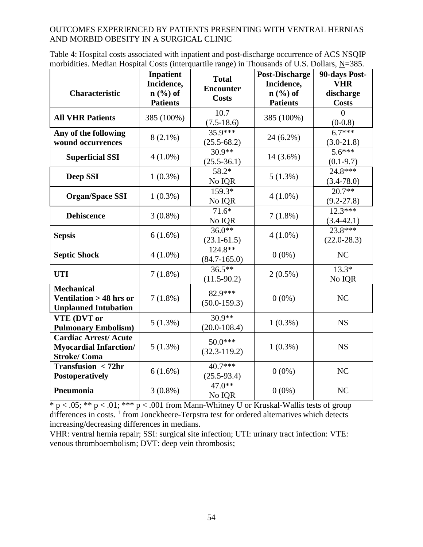| Table 4: Hospital costs associated with inpatient and post-discharge occurrence of ACS NSQIP     |  |
|--------------------------------------------------------------------------------------------------|--|
| morbidities. Median Hospital Costs (interquartile range) in Thousands of U.S. Dollars, $N=385$ . |  |

| <b>Characteristic</b>                                                              | <b>Inpatient</b><br>Incidence,<br>$n$ (%) of<br><b>Patients</b> | <b>Total</b><br><b>Encounter</b><br><b>Costs</b> | <b>Post-Discharge</b><br>Incidence,<br>$n$ (%) of<br><b>Patients</b> | 90-days Post-<br><b>VHR</b><br>discharge<br><b>Costs</b> |
|------------------------------------------------------------------------------------|-----------------------------------------------------------------|--------------------------------------------------|----------------------------------------------------------------------|----------------------------------------------------------|
| <b>All VHR Patients</b>                                                            | 385 (100%)                                                      | 10.7<br>$(7.5-18.6)$                             | 385 (100%)                                                           | $\theta$<br>$(0-0.8)$                                    |
| Any of the following<br>wound occurrences                                          | $8(2.1\%)$                                                      | $35.9***$<br>$(25.5 - 68.2)$                     | 24 (6.2%)                                                            | $6.7***$<br>$(3.0-21.8)$                                 |
| <b>Superficial SSI</b>                                                             | $4(1.0\%)$                                                      | $30.9**$<br>$(25.5 - 36.1)$                      | 14 (3.6%)                                                            | $5.6***$<br>$(0.1-9.7)$                                  |
| Deep SSI                                                                           | $1(0.3\%)$                                                      | 58.2*<br>No IQR                                  | $5(1.3\%)$                                                           | 24.8***<br>$(3.4 - 78.0)$                                |
| <b>Organ/Space SSI</b>                                                             | $1(0.3\%)$                                                      | 159.3*<br>No IQR                                 | $4(1.0\%)$                                                           | $20.7**$<br>$(9.2 - 27.8)$                               |
| <b>Dehiscence</b>                                                                  | $3(0.8\%)$                                                      | $71.6*$<br>No IQR                                | $7(1.8\%)$                                                           | $12.3***$<br>$(3.4 - 42.1)$                              |
| <b>Sepsis</b>                                                                      | $6(1.6\%)$                                                      | $36.0**$<br>$(23.1 - 61.5)$                      | $4(1.0\%)$                                                           | $23.8***$<br>$(22.0 - 28.3)$                             |
| <b>Septic Shock</b>                                                                | $4(1.0\%)$                                                      | $124.8**$<br>$(84.7 - 165.0)$                    | $0(0\%)$                                                             | NC                                                       |
| <b>UTI</b>                                                                         | $7(1.8\%)$                                                      | $36.5***$<br>$(11.5-90.2)$                       | $2(0.5\%)$                                                           | $13.3*$<br>No IQR                                        |
| <b>Mechanical</b><br>Ventilation > 48 hrs or<br><b>Unplanned Intubation</b>        | $7(1.8\%)$                                                      | 82.9***<br>$(50.0 - 159.3)$                      | $0(0\%)$                                                             | NC                                                       |
| VTE (DVT or<br><b>Pulmonary Embolism)</b>                                          | $5(1.3\%)$                                                      | $30.9**$<br>$(20.0 - 108.4)$                     | $1(0.3\%)$                                                           | <b>NS</b>                                                |
| <b>Cardiac Arrest/Acute</b><br><b>Myocardial Infarction/</b><br><b>Stroke/Coma</b> | $5(1.3\%)$                                                      | 50.0***<br>$(32.3 - 119.2)$                      | $1(0.3\%)$                                                           | <b>NS</b>                                                |
| <b>Transfusion &lt;72hr</b><br><b>Postoperatively</b>                              | $6(1.6\%)$                                                      | $40.7***$<br>$(25.5-93.4)$                       | $0(0\%)$                                                             | NC                                                       |
| Pneumonia                                                                          | $3(0.8\%)$                                                      | $47.0**$<br>No IQR                               | $0(0\%)$                                                             | NC                                                       |

 $* p < .05; ** p < .01; *** p < .001$  from Mann-Whitney U or Kruskal-Wallis tests of group differences in costs.<sup>1</sup> from Jonckheere-Terpstra test for ordered alternatives which detects increasing/decreasing differences in medians.

VHR: ventral hernia repair; SSI: surgical site infection; UTI: urinary tract infection: VTE: venous thromboembolism; DVT: deep vein thrombosis;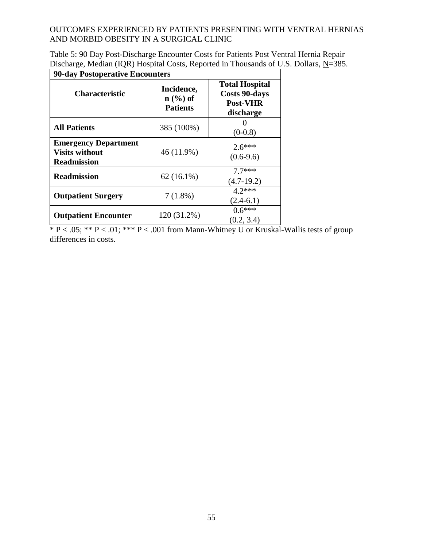| Discharge, Median (IQR) Hospital Costs, Reported in Thousands of U.S. Dollars, N=385. |
|---------------------------------------------------------------------------------------|
| .90-day Postoperative Encounters                                                      |

| <b>Characteristic</b>                                                      | Incidence,<br>$n$ $\left(\frac{9}{6}\right)$ of<br><b>Patients</b> | <b>Total Hospital</b><br><b>Costs 90-days</b><br><b>Post-VHR</b><br>discharge |
|----------------------------------------------------------------------------|--------------------------------------------------------------------|-------------------------------------------------------------------------------|
| <b>All Patients</b>                                                        | 385 (100%)                                                         | $(0-0.8)$                                                                     |
| <b>Emergency Department</b><br><b>Visits without</b><br><b>Readmission</b> | 46 (11.9%)                                                         | $2.6***$<br>$(0.6-9.6)$                                                       |
| <b>Readmission</b>                                                         | $62(16.1\%)$                                                       | $7.7***$<br>$(4.7-19.2)$                                                      |
| <b>Outpatient Surgery</b>                                                  | $7(1.8\%)$                                                         | $4.2***$<br>$(2.4-6.1)$                                                       |
| <b>Outpatient Encounter</b>                                                | 120 (31.2%)                                                        | $0.6***$<br>(0.2, 3.4)                                                        |

\* P < .05; \*\* P < .01; \*\*\* P < .001 from Mann-Whitney U or Kruskal-Wallis tests of group differences in costs.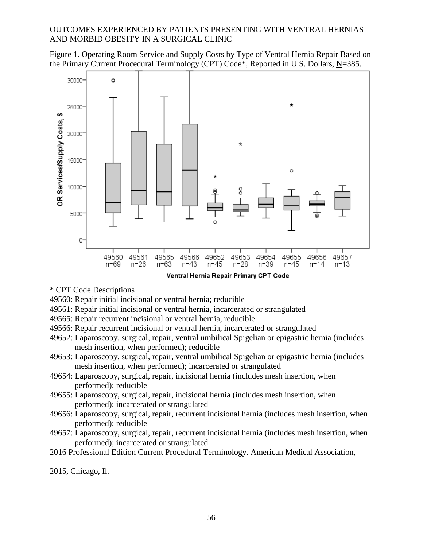Figure 1. Operating Room Service and Supply Costs by Type of Ventral Hernia Repair Based on the Primary Current Procedural Terminology (CPT) Code\*, Reported in U.S. Dollars, N=385.



Ventral Hernia Repair Primary CPT Code

- \* CPT Code Descriptions
- 49560: Repair initial incisional or ventral hernia; reducible
- 49561: Repair initial incisional or ventral hernia, incarcerated or strangulated
- 49565: Repair recurrent incisional or ventral hernia, reducible
- 49566: Repair recurrent incisional or ventral hernia, incarcerated or strangulated
- 49652: Laparoscopy, surgical, repair, ventral umbilical Spigelian or epigastric hernia (includes mesh insertion, when performed); reducible
- 49653: Laparoscopy, surgical, repair, ventral umbilical Spigelian or epigastric hernia (includes mesh insertion, when performed); incarcerated or strangulated
- 49654: Laparoscopy, surgical, repair, incisional hernia (includes mesh insertion, when performed); reducible
- 49655: Laparoscopy, surgical, repair, incisional hernia (includes mesh insertion, when performed); incarcerated or strangulated
- 49656: Laparoscopy, surgical, repair, recurrent incisional hernia (includes mesh insertion, when performed); reducible
- 49657: Laparoscopy, surgical, repair, recurrent incisional hernia (includes mesh insertion, when performed); incarcerated or strangulated
- 2016 Professional Edition Current Procedural Terminology. American Medical Association,

2015, Chicago, Il.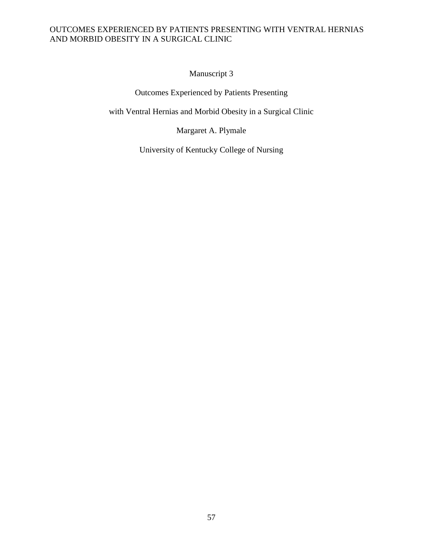Manuscript 3

Outcomes Experienced by Patients Presenting

with Ventral Hernias and Morbid Obesity in a Surgical Clinic

Margaret A. Plymale

University of Kentucky College of Nursing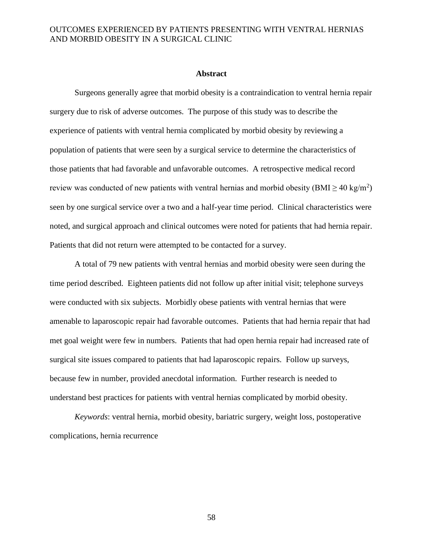#### **Abstract**

Surgeons generally agree that morbid obesity is a contraindication to ventral hernia repair surgery due to risk of adverse outcomes. The purpose of this study was to describe the experience of patients with ventral hernia complicated by morbid obesity by reviewing a population of patients that were seen by a surgical service to determine the characteristics of those patients that had favorable and unfavorable outcomes. A retrospective medical record review was conducted of new patients with ventral hernias and morbid obesity ( $\text{BMI} \geq 40 \text{ kg/m}^2$ ) seen by one surgical service over a two and a half-year time period. Clinical characteristics were noted, and surgical approach and clinical outcomes were noted for patients that had hernia repair. Patients that did not return were attempted to be contacted for a survey.

A total of 79 new patients with ventral hernias and morbid obesity were seen during the time period described. Eighteen patients did not follow up after initial visit; telephone surveys were conducted with six subjects. Morbidly obese patients with ventral hernias that were amenable to laparoscopic repair had favorable outcomes. Patients that had hernia repair that had met goal weight were few in numbers. Patients that had open hernia repair had increased rate of surgical site issues compared to patients that had laparoscopic repairs. Follow up surveys, because few in number, provided anecdotal information. Further research is needed to understand best practices for patients with ventral hernias complicated by morbid obesity.

*Keywords*: ventral hernia, morbid obesity, bariatric surgery, weight loss, postoperative complications, hernia recurrence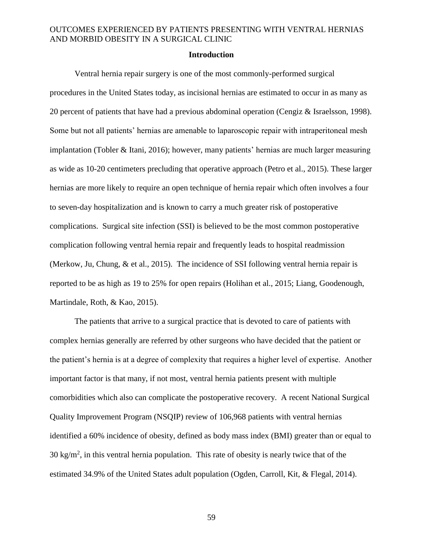#### **Introduction**

Ventral hernia repair surgery is one of the most commonly-performed surgical procedures in the United States today, as incisional hernias are estimated to occur in as many as 20 percent of patients that have had a previous abdominal operation (Cengiz & Israelsson, 1998). Some but not all patients' hernias are amenable to laparoscopic repair with intraperitoneal mesh implantation (Tobler & Itani, 2016); however, many patients' hernias are much larger measuring as wide as 10-20 centimeters precluding that operative approach (Petro et al., 2015). These larger hernias are more likely to require an open technique of hernia repair which often involves a four to seven-day hospitalization and is known to carry a much greater risk of postoperative complications. Surgical site infection (SSI) is believed to be the most common postoperative complication following ventral hernia repair and frequently leads to hospital readmission (Merkow, Ju, Chung, & et al., 2015). The incidence of SSI following ventral hernia repair is reported to be as high as 19 to 25% for open repairs (Holihan et al., 2015; Liang, Goodenough, Martindale, Roth, & Kao, 2015).

The patients that arrive to a surgical practice that is devoted to care of patients with complex hernias generally are referred by other surgeons who have decided that the patient or the patient's hernia is at a degree of complexity that requires a higher level of expertise. Another important factor is that many, if not most, ventral hernia patients present with multiple comorbidities which also can complicate the postoperative recovery. A recent National Surgical Quality Improvement Program (NSQIP) review of 106,968 patients with ventral hernias identified a 60% incidence of obesity, defined as body mass index (BMI) greater than or equal to  $30 \text{ kg/m}^2$ , in this ventral hernia population. This rate of obesity is nearly twice that of the estimated 34.9% of the United States adult population (Ogden, Carroll, Kit, & Flegal, 2014).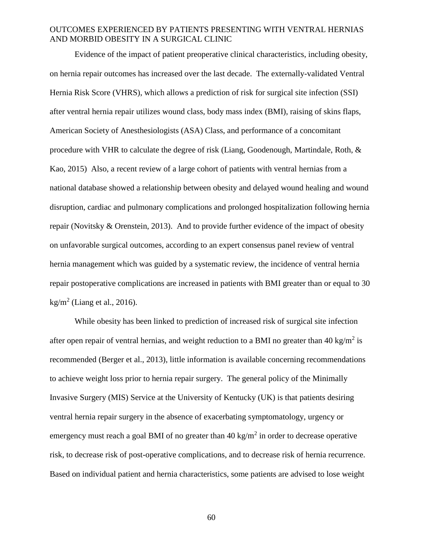Evidence of the impact of patient preoperative clinical characteristics, including obesity, on hernia repair outcomes has increased over the last decade. The externally-validated Ventral Hernia Risk Score (VHRS), which allows a prediction of risk for surgical site infection (SSI) after ventral hernia repair utilizes wound class, body mass index (BMI), raising of skins flaps, American Society of Anesthesiologists (ASA) Class, and performance of a concomitant procedure with VHR to calculate the degree of risk (Liang, Goodenough, Martindale, Roth, & Kao, 2015) Also, a recent review of a large cohort of patients with ventral hernias from a national database showed a relationship between obesity and delayed wound healing and wound disruption, cardiac and pulmonary complications and prolonged hospitalization following hernia repair (Novitsky & Orenstein, 2013). And to provide further evidence of the impact of obesity on unfavorable surgical outcomes, according to an expert consensus panel review of ventral hernia management which was guided by a systematic review, the incidence of ventral hernia repair postoperative complications are increased in patients with BMI greater than or equal to 30  $\text{kg/m}^2$  (Liang et al., 2016).

While obesity has been linked to prediction of increased risk of surgical site infection after open repair of ventral hernias, and weight reduction to a BMI no greater than 40 kg/m<sup>2</sup> is recommended (Berger et al., 2013), little information is available concerning recommendations to achieve weight loss prior to hernia repair surgery. The general policy of the Minimally Invasive Surgery (MIS) Service at the University of Kentucky (UK) is that patients desiring ventral hernia repair surgery in the absence of exacerbating symptomatology, urgency or emergency must reach a goal BMI of no greater than  $40 \text{ kg/m}^2$  in order to decrease operative risk, to decrease risk of post-operative complications, and to decrease risk of hernia recurrence. Based on individual patient and hernia characteristics, some patients are advised to lose weight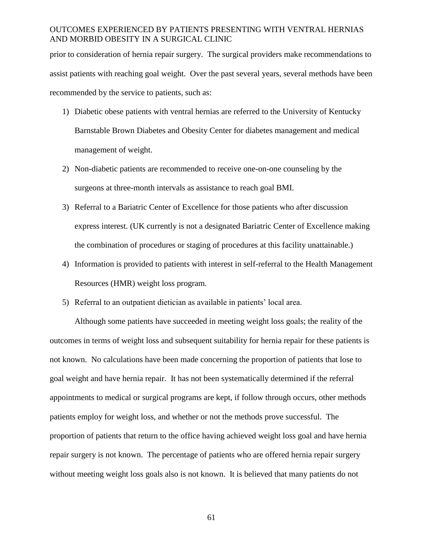prior to consideration of hernia repair surgery. The surgical providers make recommendations to assist patients with reaching goal weight. Over the past several years, several methods have been recommended by the service to patients, such as:

- 1) Diabetic obese patients with ventral hernias are referred to the University of Kentucky Barnstable Brown Diabetes and Obesity Center for diabetes management and medical management of weight.
- 2) Non-diabetic patients are recommended to receive one-on-one counseling by the surgeons at three-month intervals as assistance to reach goal BMI.
- 3) Referral to a Bariatric Center of Excellence for those patients who after discussion express interest. (UK currently is not a designated Bariatric Center of Excellence making the combination of procedures or staging of procedures at this facility unattainable.)
- 4) Information is provided to patients with interest in self-referral to the Health Management Resources (HMR) weight loss program.
- 5) Referral to an outpatient dietician as available in patients' local area.

Although some patients have succeeded in meeting weight loss goals; the reality of the outcomes in terms of weight loss and subsequent suitability for hernia repair for these patients is not known. No calculations have been made concerning the proportion of patients that lose to goal weight and have hernia repair. It has not been systematically determined if the referral appointments to medical or surgical programs are kept, if follow through occurs, other methods patients employ for weight loss, and whether or not the methods prove successful. The proportion of patients that return to the office having achieved weight loss goal and have hernia repair surgery is not known. The percentage of patients who are offered hernia repair surgery without meeting weight loss goals also is not known. It is believed that many patients do not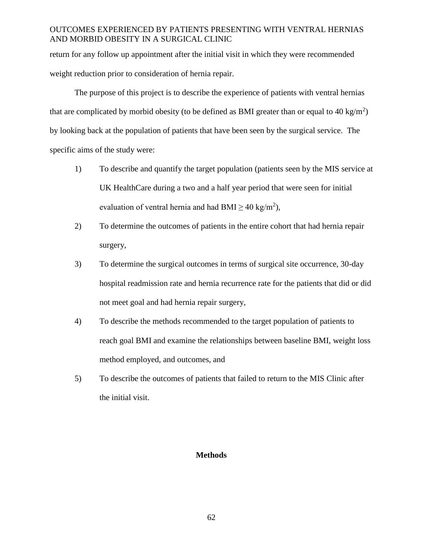return for any follow up appointment after the initial visit in which they were recommended weight reduction prior to consideration of hernia repair.

The purpose of this project is to describe the experience of patients with ventral hernias that are complicated by morbid obesity (to be defined as BMI greater than or equal to 40 kg/m<sup>2</sup>) by looking back at the population of patients that have been seen by the surgical service. The specific aims of the study were:

- 1) To describe and quantify the target population (patients seen by the MIS service at UK HealthCare during a two and a half year period that were seen for initial evaluation of ventral hernia and had BMI  $\geq 40 \text{ kg/m}^2$ ),
- 2) To determine the outcomes of patients in the entire cohort that had hernia repair surgery,
- 3) To determine the surgical outcomes in terms of surgical site occurrence, 30-day hospital readmission rate and hernia recurrence rate for the patients that did or did not meet goal and had hernia repair surgery,
- 4) To describe the methods recommended to the target population of patients to reach goal BMI and examine the relationships between baseline BMI, weight loss method employed, and outcomes, and
- 5) To describe the outcomes of patients that failed to return to the MIS Clinic after the initial visit.

## **Methods**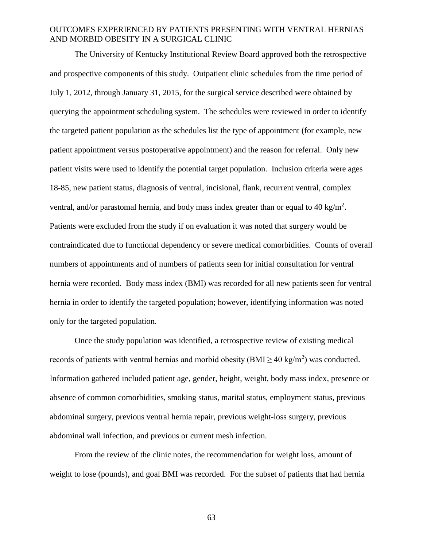The University of Kentucky Institutional Review Board approved both the retrospective and prospective components of this study. Outpatient clinic schedules from the time period of July 1, 2012, through January 31, 2015, for the surgical service described were obtained by querying the appointment scheduling system. The schedules were reviewed in order to identify the targeted patient population as the schedules list the type of appointment (for example, new patient appointment versus postoperative appointment) and the reason for referral. Only new patient visits were used to identify the potential target population. Inclusion criteria were ages 18-85, new patient status, diagnosis of ventral, incisional, flank, recurrent ventral, complex ventral, and/or parastomal hernia, and body mass index greater than or equal to 40 kg/m<sup>2</sup>. Patients were excluded from the study if on evaluation it was noted that surgery would be contraindicated due to functional dependency or severe medical comorbidities. Counts of overall numbers of appointments and of numbers of patients seen for initial consultation for ventral hernia were recorded. Body mass index (BMI) was recorded for all new patients seen for ventral hernia in order to identify the targeted population; however, identifying information was noted only for the targeted population.

Once the study population was identified, a retrospective review of existing medical records of patients with ventral hernias and morbid obesity ( $\text{BMI} \geq 40 \text{ kg/m}^2$ ) was conducted. Information gathered included patient age, gender, height, weight, body mass index, presence or absence of common comorbidities, smoking status, marital status, employment status, previous abdominal surgery, previous ventral hernia repair, previous weight-loss surgery, previous abdominal wall infection, and previous or current mesh infection.

From the review of the clinic notes, the recommendation for weight loss, amount of weight to lose (pounds), and goal BMI was recorded. For the subset of patients that had hernia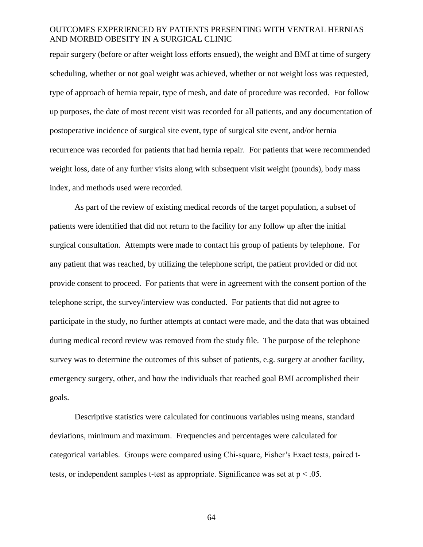repair surgery (before or after weight loss efforts ensued), the weight and BMI at time of surgery scheduling, whether or not goal weight was achieved, whether or not weight loss was requested, type of approach of hernia repair, type of mesh, and date of procedure was recorded. For follow up purposes, the date of most recent visit was recorded for all patients, and any documentation of postoperative incidence of surgical site event, type of surgical site event, and/or hernia recurrence was recorded for patients that had hernia repair. For patients that were recommended weight loss, date of any further visits along with subsequent visit weight (pounds), body mass index, and methods used were recorded.

As part of the review of existing medical records of the target population, a subset of patients were identified that did not return to the facility for any follow up after the initial surgical consultation. Attempts were made to contact his group of patients by telephone. For any patient that was reached, by utilizing the telephone script, the patient provided or did not provide consent to proceed. For patients that were in agreement with the consent portion of the telephone script, the survey/interview was conducted. For patients that did not agree to participate in the study, no further attempts at contact were made, and the data that was obtained during medical record review was removed from the study file. The purpose of the telephone survey was to determine the outcomes of this subset of patients, e.g. surgery at another facility, emergency surgery, other, and how the individuals that reached goal BMI accomplished their goals.

Descriptive statistics were calculated for continuous variables using means, standard deviations, minimum and maximum. Frequencies and percentages were calculated for categorical variables. Groups were compared using Chi-square, Fisher's Exact tests, paired ttests, or independent samples t-test as appropriate. Significance was set at  $p < .05$ .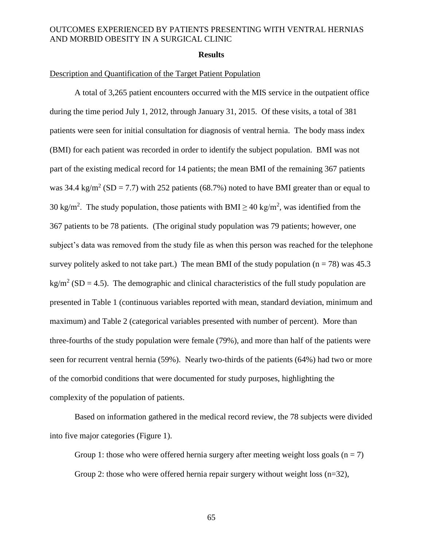#### **Results**

#### Description and Quantification of the Target Patient Population

A total of 3,265 patient encounters occurred with the MIS service in the outpatient office during the time period July 1, 2012, through January 31, 2015. Of these visits, a total of 381 patients were seen for initial consultation for diagnosis of ventral hernia. The body mass index (BMI) for each patient was recorded in order to identify the subject population. BMI was not part of the existing medical record for 14 patients; the mean BMI of the remaining 367 patients was 34.4 kg/m<sup>2</sup> (SD = 7.7) with 252 patients (68.7%) noted to have BMI greater than or equal to 30 kg/m<sup>2</sup>. The study population, those patients with BMI  $\geq$  40 kg/m<sup>2</sup>, was identified from the 367 patients to be 78 patients. (The original study population was 79 patients; however, one subject's data was removed from the study file as when this person was reached for the telephone survey politely asked to not take part.) The mean BMI of the study population ( $n = 78$ ) was 45.3  $\text{kg/m}^2$  (SD = 4.5). The demographic and clinical characteristics of the full study population are presented in Table 1 (continuous variables reported with mean, standard deviation, minimum and maximum) and Table 2 (categorical variables presented with number of percent). More than three-fourths of the study population were female (79%), and more than half of the patients were seen for recurrent ventral hernia (59%). Nearly two-thirds of the patients (64%) had two or more of the comorbid conditions that were documented for study purposes, highlighting the complexity of the population of patients.

Based on information gathered in the medical record review, the 78 subjects were divided into five major categories (Figure 1).

Group 1: those who were offered hernia surgery after meeting weight loss goals ( $n = 7$ ) Group 2: those who were offered hernia repair surgery without weight loss  $(n=32)$ ,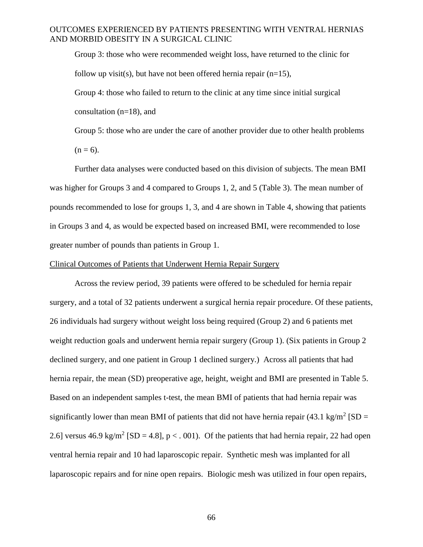Group 3: those who were recommended weight loss, have returned to the clinic for follow up visit(s), but have not been offered hernia repair  $(n=15)$ ,

Group 4: those who failed to return to the clinic at any time since initial surgical

consultation (n=18), and

Group 5: those who are under the care of another provider due to other health problems  $(n = 6)$ .

Further data analyses were conducted based on this division of subjects. The mean BMI was higher for Groups 3 and 4 compared to Groups 1, 2, and 5 (Table 3). The mean number of pounds recommended to lose for groups 1, 3, and 4 are shown in Table 4, showing that patients in Groups 3 and 4, as would be expected based on increased BMI, were recommended to lose greater number of pounds than patients in Group 1.

#### Clinical Outcomes of Patients that Underwent Hernia Repair Surgery

Across the review period, 39 patients were offered to be scheduled for hernia repair surgery, and a total of 32 patients underwent a surgical hernia repair procedure. Of these patients, 26 individuals had surgery without weight loss being required (Group 2) and 6 patients met weight reduction goals and underwent hernia repair surgery (Group 1). (Six patients in Group 2 declined surgery, and one patient in Group 1 declined surgery.) Across all patients that had hernia repair, the mean (SD) preoperative age, height, weight and BMI are presented in Table 5. Based on an independent samples t-test, the mean BMI of patients that had hernia repair was significantly lower than mean BMI of patients that did not have hernia repair (43.1 kg/m<sup>2</sup> [SD = 2.6] versus 46.9 kg/m<sup>2</sup> [SD = 4.8], p < . 001). Of the patients that had hernia repair, 22 had open ventral hernia repair and 10 had laparoscopic repair. Synthetic mesh was implanted for all laparoscopic repairs and for nine open repairs. Biologic mesh was utilized in four open repairs,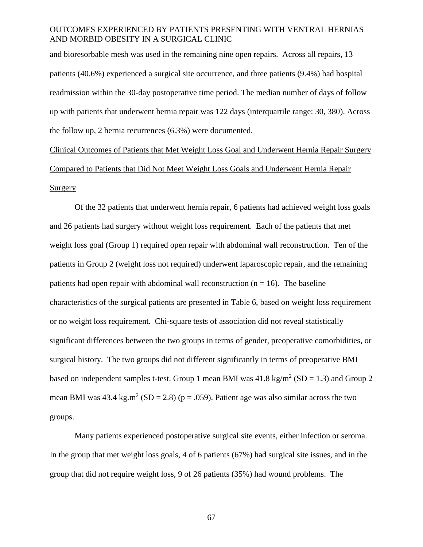and bioresorbable mesh was used in the remaining nine open repairs. Across all repairs, 13 patients (40.6%) experienced a surgical site occurrence, and three patients (9.4%) had hospital readmission within the 30-day postoperative time period. The median number of days of follow up with patients that underwent hernia repair was 122 days (interquartile range: 30, 380). Across the follow up, 2 hernia recurrences (6.3%) were documented.

Clinical Outcomes of Patients that Met Weight Loss Goal and Underwent Hernia Repair Surgery Compared to Patients that Did Not Meet Weight Loss Goals and Underwent Hernia Repair Surgery

Of the 32 patients that underwent hernia repair, 6 patients had achieved weight loss goals and 26 patients had surgery without weight loss requirement. Each of the patients that met weight loss goal (Group 1) required open repair with abdominal wall reconstruction. Ten of the patients in Group 2 (weight loss not required) underwent laparoscopic repair, and the remaining patients had open repair with abdominal wall reconstruction  $(n = 16)$ . The baseline characteristics of the surgical patients are presented in Table 6, based on weight loss requirement or no weight loss requirement. Chi-square tests of association did not reveal statistically significant differences between the two groups in terms of gender, preoperative comorbidities, or surgical history. The two groups did not different significantly in terms of preoperative BMI based on independent samples t-test. Group 1 mean BMI was  $41.8 \text{ kg/m}^2 \text{ (SD = 1.3)}$  and Group 2 mean BMI was  $43.4 \text{ kg.m}^2 \text{ (SD = 2.8) (p = .059)}$ . Patient age was also similar across the two groups.

Many patients experienced postoperative surgical site events, either infection or seroma. In the group that met weight loss goals, 4 of 6 patients (67%) had surgical site issues, and in the group that did not require weight loss, 9 of 26 patients (35%) had wound problems. The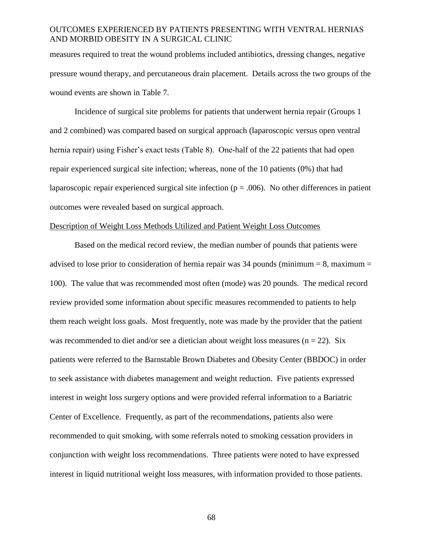measures required to treat the wound problems included antibiotics, dressing changes, negative pressure wound therapy, and percutaneous drain placement. Details across the two groups of the wound events are shown in Table 7.

Incidence of surgical site problems for patients that underwent hernia repair (Groups 1 and 2 combined) was compared based on surgical approach (laparoscopic versus open ventral hernia repair) using Fisher's exact tests (Table 8). One-half of the 22 patients that had open repair experienced surgical site infection; whereas, none of the 10 patients (0%) that had laparoscopic repair experienced surgical site infection ( $p = .006$ ). No other differences in patient outcomes were revealed based on surgical approach.

# Description of Weight Loss Methods Utilized and Patient Weight Loss Outcomes

Based on the medical record review, the median number of pounds that patients were advised to lose prior to consideration of hernia repair was  $34$  pounds (minimum = 8, maximum = 100). The value that was recommended most often (mode) was 20 pounds. The medical record review provided some information about specific measures recommended to patients to help them reach weight loss goals. Most frequently, note was made by the provider that the patient was recommended to diet and/or see a dietician about weight loss measures ( $n = 22$ ). Six patients were referred to the Barnstable Brown Diabetes and Obesity Center (BBDOC) in order to seek assistance with diabetes management and weight reduction. Five patients expressed interest in weight loss surgery options and were provided referral information to a Bariatric Center of Excellence. Frequently, as part of the recommendations, patients also were recommended to quit smoking, with some referrals noted to smoking cessation providers in conjunction with weight loss recommendations. Three patients were noted to have expressed interest in liquid nutritional weight loss measures, with information provided to those patients.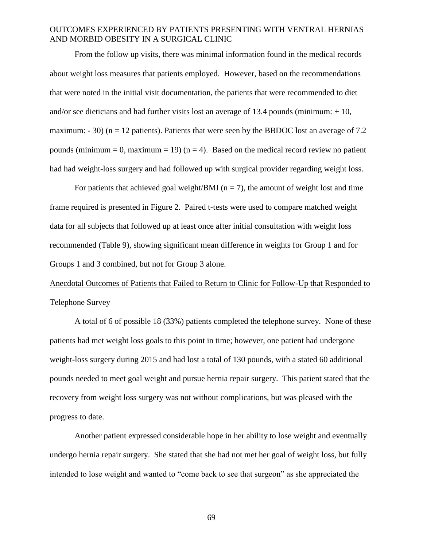From the follow up visits, there was minimal information found in the medical records about weight loss measures that patients employed. However, based on the recommendations that were noted in the initial visit documentation, the patients that were recommended to diet and/or see dieticians and had further visits lost an average of 13.4 pounds (minimum:  $+10$ , maximum:  $-30$  (n = 12 patients). Patients that were seen by the BBDOC lost an average of 7.2 pounds (minimum = 0, maximum = 19) ( $n = 4$ ). Based on the medical record review no patient had had weight-loss surgery and had followed up with surgical provider regarding weight loss.

For patients that achieved goal weight/BMI ( $n = 7$ ), the amount of weight lost and time frame required is presented in Figure 2. Paired t-tests were used to compare matched weight data for all subjects that followed up at least once after initial consultation with weight loss recommended (Table 9), showing significant mean difference in weights for Group 1 and for Groups 1 and 3 combined, but not for Group 3 alone.

# Anecdotal Outcomes of Patients that Failed to Return to Clinic for Follow-Up that Responded to Telephone Survey

A total of 6 of possible 18 (33%) patients completed the telephone survey. None of these patients had met weight loss goals to this point in time; however, one patient had undergone weight-loss surgery during 2015 and had lost a total of 130 pounds, with a stated 60 additional pounds needed to meet goal weight and pursue hernia repair surgery. This patient stated that the recovery from weight loss surgery was not without complications, but was pleased with the progress to date.

Another patient expressed considerable hope in her ability to lose weight and eventually undergo hernia repair surgery. She stated that she had not met her goal of weight loss, but fully intended to lose weight and wanted to "come back to see that surgeon" as she appreciated the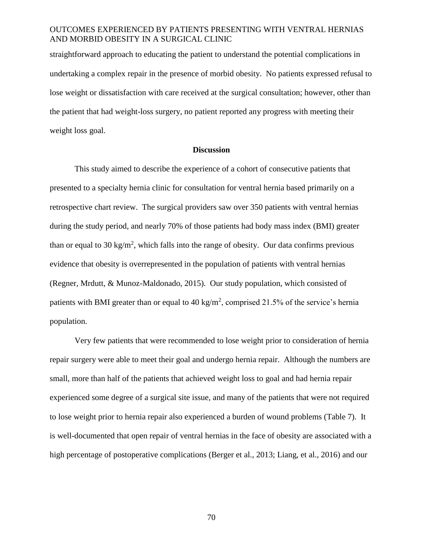straightforward approach to educating the patient to understand the potential complications in undertaking a complex repair in the presence of morbid obesity. No patients expressed refusal to lose weight or dissatisfaction with care received at the surgical consultation; however, other than the patient that had weight-loss surgery, no patient reported any progress with meeting their weight loss goal.

#### **Discussion**

This study aimed to describe the experience of a cohort of consecutive patients that presented to a specialty hernia clinic for consultation for ventral hernia based primarily on a retrospective chart review. The surgical providers saw over 350 patients with ventral hernias during the study period, and nearly 70% of those patients had body mass index (BMI) greater than or equal to 30 kg/m<sup>2</sup>, which falls into the range of obesity. Our data confirms previous evidence that obesity is overrepresented in the population of patients with ventral hernias (Regner, Mrdutt, & Munoz-Maldonado, 2015). Our study population, which consisted of patients with BMI greater than or equal to 40 kg/m<sup>2</sup>, comprised 21.5% of the service's hernia population.

Very few patients that were recommended to lose weight prior to consideration of hernia repair surgery were able to meet their goal and undergo hernia repair. Although the numbers are small, more than half of the patients that achieved weight loss to goal and had hernia repair experienced some degree of a surgical site issue, and many of the patients that were not required to lose weight prior to hernia repair also experienced a burden of wound problems (Table 7). It is well-documented that open repair of ventral hernias in the face of obesity are associated with a high percentage of postoperative complications (Berger et al., 2013; Liang, et al., 2016) and our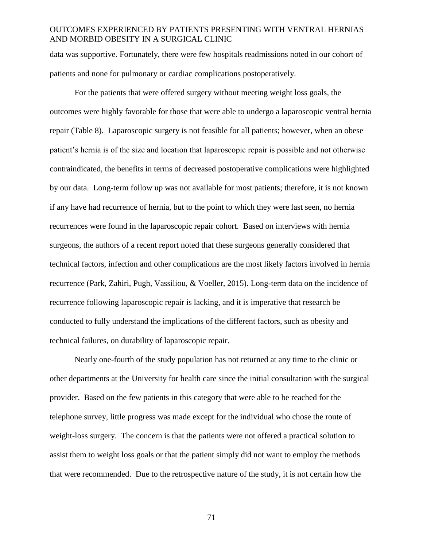data was supportive. Fortunately, there were few hospitals readmissions noted in our cohort of patients and none for pulmonary or cardiac complications postoperatively.

For the patients that were offered surgery without meeting weight loss goals, the outcomes were highly favorable for those that were able to undergo a laparoscopic ventral hernia repair (Table 8). Laparoscopic surgery is not feasible for all patients; however, when an obese patient's hernia is of the size and location that laparoscopic repair is possible and not otherwise contraindicated, the benefits in terms of decreased postoperative complications were highlighted by our data. Long-term follow up was not available for most patients; therefore, it is not known if any have had recurrence of hernia, but to the point to which they were last seen, no hernia recurrences were found in the laparoscopic repair cohort. Based on interviews with hernia surgeons, the authors of a recent report noted that these surgeons generally considered that technical factors, infection and other complications are the most likely factors involved in hernia recurrence (Park, Zahiri, Pugh, Vassiliou, & Voeller, 2015). Long-term data on the incidence of recurrence following laparoscopic repair is lacking, and it is imperative that research be conducted to fully understand the implications of the different factors, such as obesity and technical failures, on durability of laparoscopic repair.

Nearly one-fourth of the study population has not returned at any time to the clinic or other departments at the University for health care since the initial consultation with the surgical provider. Based on the few patients in this category that were able to be reached for the telephone survey, little progress was made except for the individual who chose the route of weight-loss surgery. The concern is that the patients were not offered a practical solution to assist them to weight loss goals or that the patient simply did not want to employ the methods that were recommended. Due to the retrospective nature of the study, it is not certain how the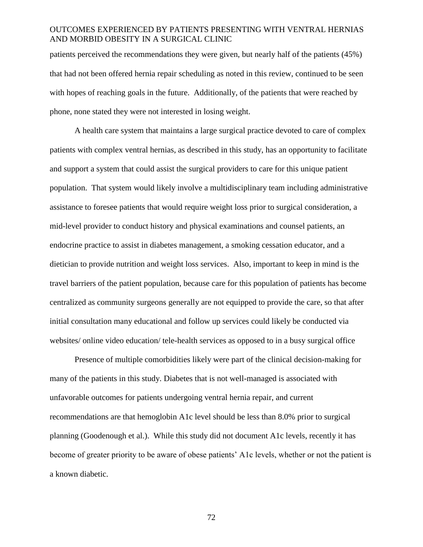patients perceived the recommendations they were given, but nearly half of the patients (45%) that had not been offered hernia repair scheduling as noted in this review, continued to be seen with hopes of reaching goals in the future. Additionally, of the patients that were reached by phone, none stated they were not interested in losing weight.

A health care system that maintains a large surgical practice devoted to care of complex patients with complex ventral hernias, as described in this study, has an opportunity to facilitate and support a system that could assist the surgical providers to care for this unique patient population. That system would likely involve a multidisciplinary team including administrative assistance to foresee patients that would require weight loss prior to surgical consideration, a mid-level provider to conduct history and physical examinations and counsel patients, an endocrine practice to assist in diabetes management, a smoking cessation educator, and a dietician to provide nutrition and weight loss services. Also, important to keep in mind is the travel barriers of the patient population, because care for this population of patients has become centralized as community surgeons generally are not equipped to provide the care, so that after initial consultation many educational and follow up services could likely be conducted via websites/ online video education/ tele-health services as opposed to in a busy surgical office

Presence of multiple comorbidities likely were part of the clinical decision-making for many of the patients in this study. Diabetes that is not well-managed is associated with unfavorable outcomes for patients undergoing ventral hernia repair, and current recommendations are that hemoglobin A1c level should be less than 8.0% prior to surgical planning (Goodenough et al.). While this study did not document A1c levels, recently it has become of greater priority to be aware of obese patients' A1c levels, whether or not the patient is a known diabetic.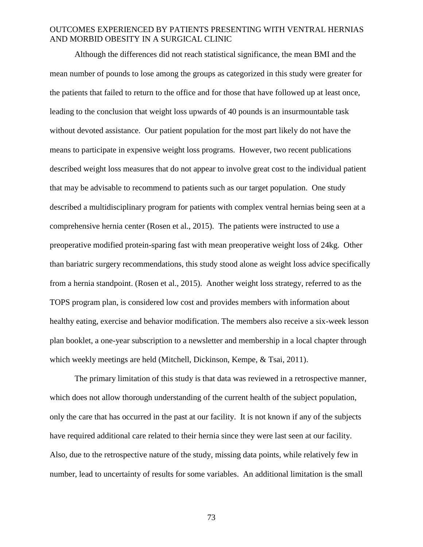Although the differences did not reach statistical significance, the mean BMI and the mean number of pounds to lose among the groups as categorized in this study were greater for the patients that failed to return to the office and for those that have followed up at least once, leading to the conclusion that weight loss upwards of 40 pounds is an insurmountable task without devoted assistance. Our patient population for the most part likely do not have the means to participate in expensive weight loss programs. However, two recent publications described weight loss measures that do not appear to involve great cost to the individual patient that may be advisable to recommend to patients such as our target population. One study described a multidisciplinary program for patients with complex ventral hernias being seen at a comprehensive hernia center (Rosen et al., 2015). The patients were instructed to use a preoperative modified protein-sparing fast with mean preoperative weight loss of 24kg. Other than bariatric surgery recommendations, this study stood alone as weight loss advice specifically from a hernia standpoint. (Rosen et al., 2015). Another weight loss strategy, referred to as the TOPS program plan, is considered low cost and provides members with information about healthy eating, exercise and behavior modification. The members also receive a six-week lesson plan booklet, a one-year subscription to a newsletter and membership in a local chapter through which weekly meetings are held (Mitchell, Dickinson, Kempe, & Tsai, 2011).

The primary limitation of this study is that data was reviewed in a retrospective manner, which does not allow thorough understanding of the current health of the subject population, only the care that has occurred in the past at our facility. It is not known if any of the subjects have required additional care related to their hernia since they were last seen at our facility. Also, due to the retrospective nature of the study, missing data points, while relatively few in number, lead to uncertainty of results for some variables. An additional limitation is the small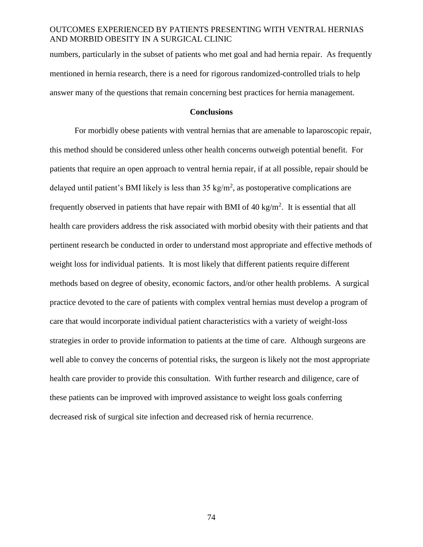numbers, particularly in the subset of patients who met goal and had hernia repair. As frequently mentioned in hernia research, there is a need for rigorous randomized-controlled trials to help answer many of the questions that remain concerning best practices for hernia management.

#### **Conclusions**

For morbidly obese patients with ventral hernias that are amenable to laparoscopic repair, this method should be considered unless other health concerns outweigh potential benefit. For patients that require an open approach to ventral hernia repair, if at all possible, repair should be delayed until patient's BMI likely is less than  $35 \text{ kg/m}^2$ , as postoperative complications are frequently observed in patients that have repair with BMI of  $40 \text{ kg/m}^2$ . It is essential that all health care providers address the risk associated with morbid obesity with their patients and that pertinent research be conducted in order to understand most appropriate and effective methods of weight loss for individual patients. It is most likely that different patients require different methods based on degree of obesity, economic factors, and/or other health problems. A surgical practice devoted to the care of patients with complex ventral hernias must develop a program of care that would incorporate individual patient characteristics with a variety of weight-loss strategies in order to provide information to patients at the time of care. Although surgeons are well able to convey the concerns of potential risks, the surgeon is likely not the most appropriate health care provider to provide this consultation. With further research and diligence, care of these patients can be improved with improved assistance to weight loss goals conferring decreased risk of surgical site infection and decreased risk of hernia recurrence.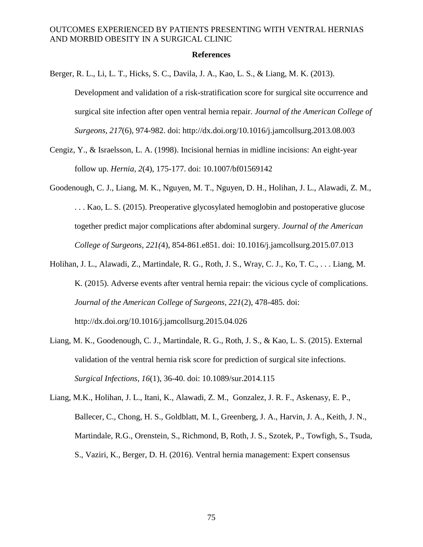#### **References**

Berger, R. L., Li, L. T., Hicks, S. C., Davila, J. A., Kao, L. S., & Liang, M. K. (2013).

Development and validation of a risk-stratification score for surgical site occurrence and surgical site infection after open ventral hernia repair. *Journal of the American College of Surgeons, 217*(6), 974-982. doi: http://dx.doi.org/10.1016/j.jamcollsurg.2013.08.003

- Cengiz, Y., & Israelsson, L. A. (1998). Incisional hernias in midline incisions: An eight-year follow up. *Hernia, 2*(4), 175-177. doi: 10.1007/bf01569142
- Goodenough, C. J., Liang, M. K., Nguyen, M. T., Nguyen, D. H., Holihan, J. L., Alawadi, Z. M., . . . Kao, L. S. (2015). Preoperative glycosylated hemoglobin and postoperative glucose together predict major complications after abdominal surgery. *Journal of the American College of Surgeons, 221(*4), 854-861.e851. doi: 10.1016/j.jamcollsurg.2015.07.013
- Holihan, J. L., Alawadi, Z., Martindale, R. G., Roth, J. S., Wray, C. J., Ko, T. C., . . . Liang, M. K. (2015). Adverse events after ventral hernia repair: the vicious cycle of complications. *Journal of the American College of Surgeons, 221*(2), 478-485. doi: http://dx.doi.org/10.1016/j.jamcollsurg.2015.04.026
- Liang, M. K., Goodenough, C. J., Martindale, R. G., Roth, J. S., & Kao, L. S. (2015). External validation of the ventral hernia risk score for prediction of surgical site infections. *Surgical Infections, 16*(1), 36-40. doi: 10.1089/sur.2014.115
- Liang, M.K., Holihan, J. L., Itani, K., Alawadi, Z. M., Gonzalez, J. R. F., Askenasy, E. P., Ballecer, C., Chong, H. S., Goldblatt, M. I., Greenberg, J. A., Harvin, J. A., Keith, J. N., Martindale, R.G., Orenstein, S., Richmond, B, Roth, J. S., Szotek, P., Towfigh, S., Tsuda, S., Vaziri, K., Berger, D. H. (2016). Ventral hernia management: Expert consensus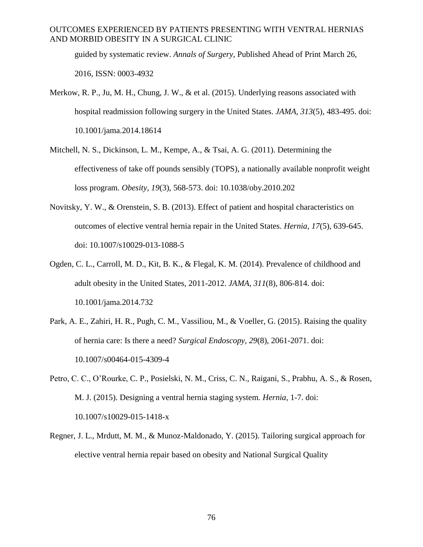guided by systematic review. *Annals of Surgery*, Published Ahead of Print March 26, 2016, ISSN: 0003-4932

- Merkow, R. P., Ju, M. H., Chung, J. W., & et al. (2015). Underlying reasons associated with hospital readmission following surgery in the United States. *JAMA, 313*(5), 483-495. doi: 10.1001/jama.2014.18614
- Mitchell, N. S., Dickinson, L. M., Kempe, A., & Tsai, A. G. (2011). Determining the effectiveness of take off pounds sensibly (TOPS), a nationally available nonprofit weight loss program. *Obesity, 19*(3), 568-573. doi: 10.1038/oby.2010.202
- Novitsky, Y. W., & Orenstein, S. B. (2013). Effect of patient and hospital characteristics on outcomes of elective ventral hernia repair in the United States. *Hernia, 17*(5), 639-645. doi: 10.1007/s10029-013-1088-5
- Ogden, C. L., Carroll, M. D., Kit, B. K., & Flegal, K. M. (2014). Prevalence of childhood and adult obesity in the United States, 2011-2012. *JAMA, 311*(8), 806-814. doi: 10.1001/jama.2014.732
- Park, A. E., Zahiri, H. R., Pugh, C. M., Vassiliou, M., & Voeller, G. (2015). Raising the quality of hernia care: Is there a need? *Surgical Endoscopy, 29*(8), 2061-2071. doi: 10.1007/s00464-015-4309-4
- Petro, C. C., O'Rourke, C. P., Posielski, N. M., Criss, C. N., Raigani, S., Prabhu, A. S., & Rosen, M. J. (2015). Designing a ventral hernia staging system. *Hernia*, 1-7. doi: 10.1007/s10029-015-1418-x
- Regner, J. L., Mrdutt, M. M., & Munoz-Maldonado, Y. (2015). Tailoring surgical approach for elective ventral hernia repair based on obesity and National Surgical Quality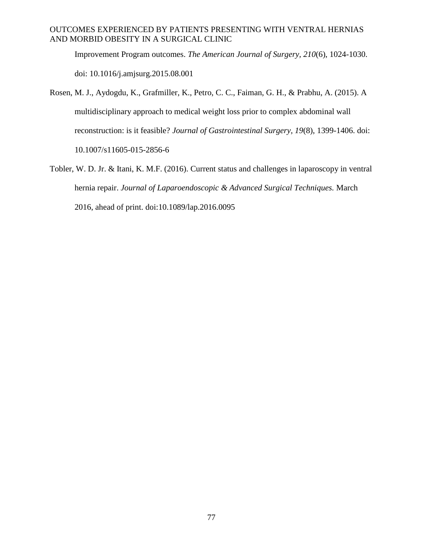Improvement Program outcomes. *The American Journal of Surgery, 210*(6), 1024-1030. doi: 10.1016/j.amjsurg.2015.08.001

- Rosen, M. J., Aydogdu, K., Grafmiller, K., Petro, C. C., Faiman, G. H., & Prabhu, A. (2015). A multidisciplinary approach to medical weight loss prior to complex abdominal wall reconstruction: is it feasible? *Journal of Gastrointestinal Surgery, 19*(8), 1399-1406. doi: 10.1007/s11605-015-2856-6
- Tobler, W. D. Jr. & Itani, K. M.F. (2016). Current status and challenges in laparoscopy in ventral hernia repair. *Journal of Laparoendoscopic & Advanced Surgical Techniques.* March 2016, ahead of print. doi:10.1089/lap.2016.0095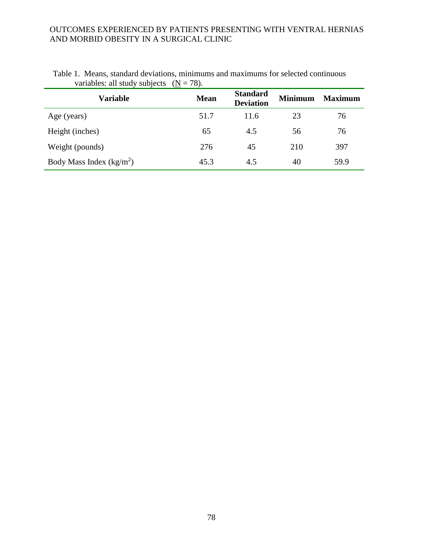| $\cdot$<br><b>Variable</b> | <b>Mean</b> | <b>Standard</b><br><b>Deviation</b> | <b>Minimum</b> | <b>Maximum</b> |
|----------------------------|-------------|-------------------------------------|----------------|----------------|
| Age (years)                | 51.7        | 11.6                                | 23             | 76             |
| Height (inches)            | 65          | 4.5                                 | 56             | 76             |
| Weight (pounds)            | 276         | 45                                  | 210            | 397            |
| Body Mass Index $(kg/m2)$  | 45.3        | 4.5                                 | 40             | 59.9           |

|                                            | Table 1. Means, standard deviations, minimums and maximums for selected continuous |
|--------------------------------------------|------------------------------------------------------------------------------------|
| variables: all study subjects $(N = 78)$ . |                                                                                    |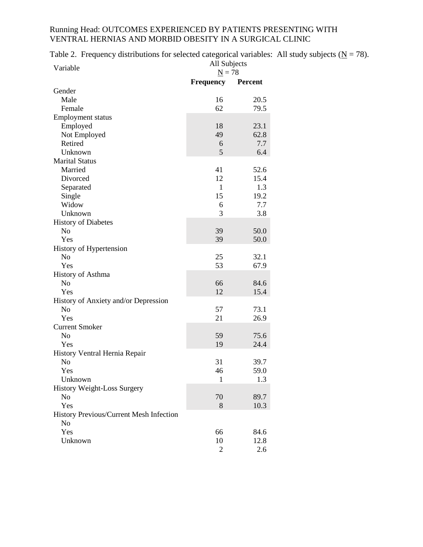Table 2. Frequency distributions for selected categorical variables: All study subjects ( $\underline{N} = 78$ ).

| Variable                                | All Subjects     |         |
|-----------------------------------------|------------------|---------|
|                                         | $N = 78$         |         |
|                                         | <b>Frequency</b> | Percent |
| Gender                                  |                  |         |
| Male                                    | 16               | 20.5    |
| Female                                  | 62               | 79.5    |
| <b>Employment status</b>                |                  |         |
| Employed                                | 18               | 23.1    |
| Not Employed                            | 49               | 62.8    |
| Retired                                 | 6                | 7.7     |
| Unknown                                 | 5                | 6.4     |
| <b>Marital Status</b>                   |                  |         |
| Married                                 | 41               | 52.6    |
| Divorced                                | 12               | 15.4    |
| Separated                               | $\mathbf{1}$     | 1.3     |
| Single                                  | 15               | 19.2    |
| Widow                                   | 6                | 7.7     |
| Unknown                                 | 3                | 3.8     |
| <b>History of Diabetes</b>              |                  |         |
| N <sub>o</sub>                          | 39               | 50.0    |
| Yes                                     | 39               | 50.0    |
| History of Hypertension                 |                  |         |
| No                                      | 25               | 32.1    |
| Yes                                     | 53               | 67.9    |
| History of Asthma                       |                  |         |
| N <sub>o</sub>                          | 66               | 84.6    |
| Yes                                     | 12               | 15.4    |
| History of Anxiety and/or Depression    |                  |         |
| N <sub>o</sub>                          | 57               | 73.1    |
| Yes                                     | 21               | 26.9    |
| <b>Current Smoker</b>                   |                  |         |
| N <sub>o</sub>                          | 59               | 75.6    |
| Yes                                     | 19               | 24.4    |
|                                         |                  |         |
| History Ventral Hernia Repair           | 31               |         |
| N <sub>0</sub>                          |                  | 39.7    |
| Yes                                     | 46               | 59.0    |
| Unknown                                 | 1                | 1.3     |
| <b>History Weight-Loss Surgery</b>      |                  |         |
| No                                      | 70               | 89.7    |
| Yes                                     | 8                | 10.3    |
| History Previous/Current Mesh Infection |                  |         |
| N <sub>o</sub>                          |                  |         |
| Yes                                     | 66               | 84.6    |
| Unknown                                 | 10               | 12.8    |
|                                         | 2                | 2.6     |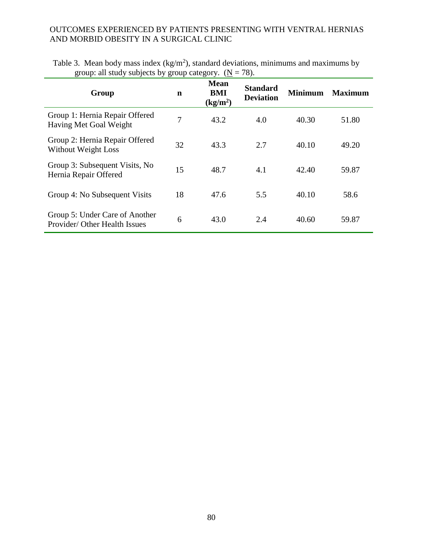| $\mathbf{S}$ cap, an state <i>subjects</i> by $\mathbf{S}$ cap category. $\mathbf{S}$ |             |                                            | $\cdot$ $\circ$ $\cdot$             |                |                |
|---------------------------------------------------------------------------------------|-------------|--------------------------------------------|-------------------------------------|----------------|----------------|
| Group                                                                                 | $\mathbf n$ | <b>Mean</b><br>BMI<br>(kg/m <sup>2</sup> ) | <b>Standard</b><br><b>Deviation</b> | <b>Minimum</b> | <b>Maximum</b> |
| Group 1: Hernia Repair Offered<br>Having Met Goal Weight                              | 7           | 43.2                                       | 4.0                                 | 40.30          | 51.80          |
| Group 2: Hernia Repair Offered<br><b>Without Weight Loss</b>                          | 32          | 43.3                                       | 2.7                                 | 40.10          | 49.20          |
| Group 3: Subsequent Visits, No<br>Hernia Repair Offered                               | 15          | 48.7                                       | 4.1                                 | 42.40          | 59.87          |
| Group 4: No Subsequent Visits                                                         | 18          | 47.6                                       | 5.5                                 | 40.10          | 58.6           |
| Group 5: Under Care of Another<br>Provider/ Other Health Issues                       | 6           | 43.0                                       | 2.4                                 | 40.60          | 59.87          |

|  | Table 3. Mean body mass index (kg/m <sup>2</sup> ), standard deviations, minimums and maximums by |  |  |  |
|--|---------------------------------------------------------------------------------------------------|--|--|--|
|  | group: all study subjects by group category. $(N = 78)$ .                                         |  |  |  |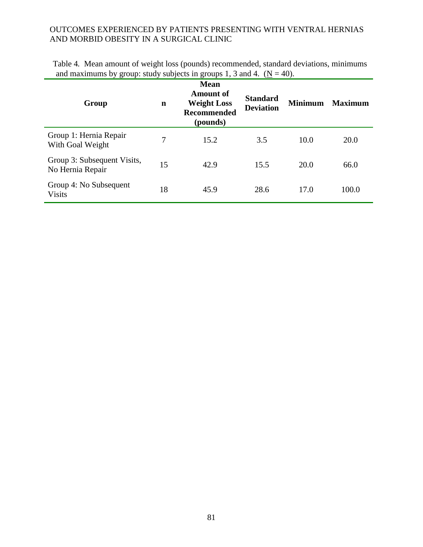| Group                                           | $\mathbf n$ | <b>Mean</b><br><b>Amount of</b><br><b>Weight Loss</b><br>Recommended<br>(pounds) | <b>Standard</b><br><b>Deviation</b> | <b>Minimum</b> | <b>Maximum</b> |
|-------------------------------------------------|-------------|----------------------------------------------------------------------------------|-------------------------------------|----------------|----------------|
| Group 1: Hernia Repair<br>With Goal Weight      | 7           | 15.2                                                                             | 3.5                                 | 10.0           | 20.0           |
| Group 3: Subsequent Visits,<br>No Hernia Repair | 15          | 42.9                                                                             | 15.5                                | 20.0           | 66.0           |
| Group 4: No Subsequent<br><b>Visits</b>         | 18          | 45.9                                                                             | 28.6                                | 17.0           | 100.0          |

Table 4*.* Mean amount of weight loss (pounds) recommended, standard deviations, minimums and maximums by group: study subjects in groups 1, 3 and 4.  $(N = 40)$ .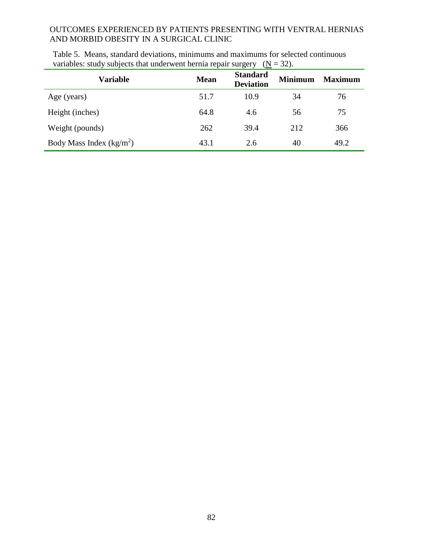| <b>Variable</b>           | <b>Mean</b> | <b>Standard</b><br><b>Deviation</b> | <b>Minimum</b> | <b>Maximum</b> |
|---------------------------|-------------|-------------------------------------|----------------|----------------|
| Age (years)               | 51.7        | 10.9                                | 34             | 76             |
| Height (inches)           | 64.8        | 4.6                                 | 56             | 75             |
| Weight (pounds)           | 262         | 39.4                                | 212            | 366            |
| Body Mass Index $(kg/m2)$ | 43.1        | 2.6                                 | 40             | 49.2           |

Table 5.Means, standard deviations, minimums and maximums for selected continuous variables: study subjects that underwent hernia repair surgery  $(N = 32)$ .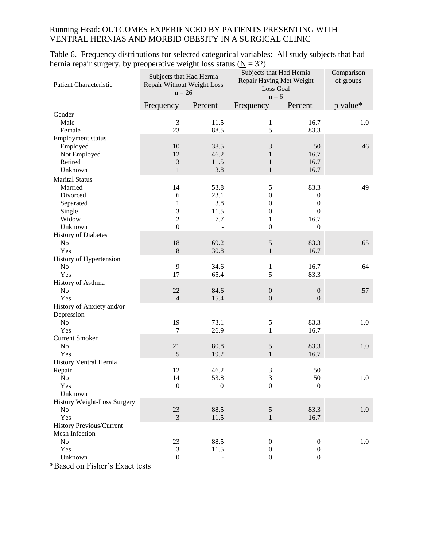Table 6. Frequency distributions for selected categorical variables: All study subjects that had hernia repair surgery, by preoperative weight loss status ( $N = 32$ ).

| Patient Characteristic            | Subjects that Had Hernia<br>Repair Without Weight Loss<br>$n = 26$ |              | Subjects that Had Hernia<br>Repair Having Met Weight<br>Loss Goal<br>$n = 6$ |                  | Comparison<br>of groups |
|-----------------------------------|--------------------------------------------------------------------|--------------|------------------------------------------------------------------------------|------------------|-------------------------|
|                                   | Frequency                                                          | Percent      | Frequency                                                                    | Percent          | p value*                |
| Gender                            |                                                                    |              |                                                                              |                  |                         |
| Male                              | 3                                                                  | 11.5         | $\mathbf{1}$                                                                 | 16.7             | 1.0                     |
| Female                            | 23                                                                 | 88.5         | 5                                                                            | 83.3             |                         |
| Employment status                 |                                                                    |              |                                                                              |                  |                         |
| Employed                          | 10                                                                 | 38.5         | $\mathfrak{Z}$                                                               | 50               | .46                     |
| Not Employed                      | 12                                                                 | 46.2         | $\mathbf{1}$                                                                 | 16.7             |                         |
| Retired                           | 3                                                                  | 11.5         | 1                                                                            | 16.7             |                         |
| Unknown                           | $\mathbf{1}$                                                       | 3.8          | $\mathbf{1}$                                                                 | 16.7             |                         |
| <b>Marital Status</b>             |                                                                    |              |                                                                              |                  |                         |
| Married                           | 14                                                                 | 53.8         | 5                                                                            | 83.3             | .49                     |
| Divorced                          | 6                                                                  | 23.1         | $\boldsymbol{0}$                                                             | $\boldsymbol{0}$ |                         |
| Separated                         | 1                                                                  | 3.8          | $\boldsymbol{0}$                                                             | $\boldsymbol{0}$ |                         |
| Single                            | 3                                                                  | 11.5         | $\mathbf{0}$                                                                 | $\theta$         |                         |
| Widow                             | $\overline{c}$                                                     | 7.7          | 1                                                                            | 16.7             |                         |
| Unknown                           | $\overline{0}$                                                     |              | $\boldsymbol{0}$                                                             | $\boldsymbol{0}$ |                         |
| <b>History of Diabetes</b>        |                                                                    |              |                                                                              |                  |                         |
| No                                | 18                                                                 | 69.2         | $\sqrt{5}$                                                                   | 83.3             | .65                     |
| Yes                               | $8\,$                                                              | 30.8         | $\mathbf{1}$                                                                 | 16.7             |                         |
| History of Hypertension           |                                                                    |              |                                                                              |                  |                         |
| No                                | 9                                                                  | 34.6         | 1                                                                            | 16.7             | .64                     |
| Yes                               | 17                                                                 | 65.4         | 5                                                                            | 83.3             |                         |
| History of Asthma                 |                                                                    |              |                                                                              |                  |                         |
| N <sub>o</sub>                    | 22                                                                 | 84.6         | $\boldsymbol{0}$                                                             | $\boldsymbol{0}$ | .57                     |
| Yes                               | $\overline{4}$                                                     | 15.4         | $\boldsymbol{0}$                                                             | $\boldsymbol{0}$ |                         |
| History of Anxiety and/or         |                                                                    |              |                                                                              |                  |                         |
| Depression                        |                                                                    |              |                                                                              |                  |                         |
| No                                | 19                                                                 | 73.1         | 5                                                                            | 83.3             | 1.0                     |
| Yes                               | 7                                                                  | 26.9         | 1                                                                            | 16.7             |                         |
| <b>Current Smoker</b>             |                                                                    |              |                                                                              |                  |                         |
| No                                | 21                                                                 | 80.8         | $\sqrt{5}$                                                                   | 83.3             | 1.0                     |
| Yes                               | 5                                                                  | 19.2         | $\mathbf{1}$                                                                 | 16.7             |                         |
| History Ventral Hernia            |                                                                    |              |                                                                              |                  |                         |
| Repair                            | 12                                                                 | 46.2         | 3                                                                            | 50               |                         |
| No                                | 14                                                                 | 53.8         | 3                                                                            | 50               | 1.0                     |
| Yes<br>Unknown                    | $\boldsymbol{0}$                                                   | $\mathbf{0}$ | $\boldsymbol{0}$                                                             | $\boldsymbol{0}$ |                         |
| History Weight-Loss Surgery       |                                                                    |              |                                                                              |                  |                         |
| N <sub>0</sub>                    | 23                                                                 | 88.5         |                                                                              | 83.3             | 1.0                     |
| Yes                               | $\overline{3}$                                                     | 11.5         | 5<br>$\mathbf{1}$                                                            | 16.7             |                         |
| History Previous/Current          |                                                                    |              |                                                                              |                  |                         |
| Mesh Infection                    |                                                                    |              |                                                                              |                  |                         |
| No                                | 23                                                                 | 88.5         | $\boldsymbol{0}$                                                             | $\boldsymbol{0}$ | 1.0                     |
| Yes                               | 3                                                                  | 11.5         | $\boldsymbol{0}$                                                             | $\boldsymbol{0}$ |                         |
| Unknown                           | $\boldsymbol{0}$                                                   |              | $\boldsymbol{0}$                                                             | $\boldsymbol{0}$ |                         |
| $*$ Dogod on Eigher's Expet toots |                                                                    |              |                                                                              |                  |                         |

\*Based on Fisher's Exact tests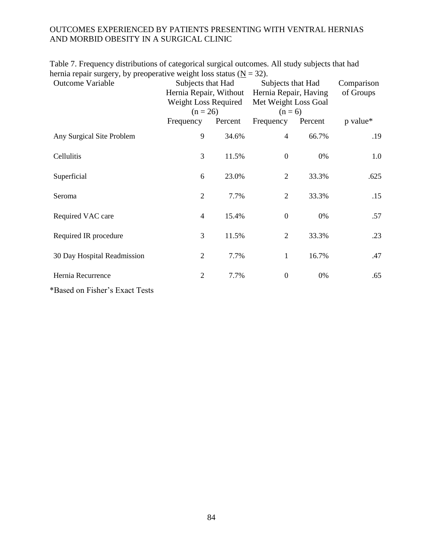Table 7. Frequency distributions of categorical surgical outcomes. All study subjects that had hernia repair surgery, by preoperative weight loss status ( $N = 32$ ).

| <b>Outcome Variable</b>        | Subjects that Had<br>Hernia Repair, Without<br>Weight Loss Required<br>$(n = 26)$ |         | Subjects that Had<br>Hernia Repair, Having<br>Met Weight Loss Goal<br>$(n=6)$ | Comparison<br>of Groups |          |
|--------------------------------|-----------------------------------------------------------------------------------|---------|-------------------------------------------------------------------------------|-------------------------|----------|
|                                | Frequency                                                                         | Percent | Frequency                                                                     | Percent                 | p value* |
| Any Surgical Site Problem      | 9                                                                                 | 34.6%   | $\overline{4}$                                                                | 66.7%                   | .19      |
| Cellulitis                     | 3                                                                                 | 11.5%   | $\boldsymbol{0}$                                                              | 0%                      | 1.0      |
| Superficial                    | 6                                                                                 | 23.0%   | $\overline{2}$                                                                | 33.3%                   | .625     |
| Seroma                         | $\overline{2}$                                                                    | 7.7%    | $\overline{2}$                                                                | 33.3%                   | .15      |
| Required VAC care              | $\overline{4}$                                                                    | 15.4%   | $\boldsymbol{0}$                                                              | 0%                      | .57      |
| Required IR procedure          | 3                                                                                 | 11.5%   | $\overline{2}$                                                                | 33.3%                   | .23      |
| 30 Day Hospital Readmission    | $\overline{2}$                                                                    | 7.7%    | 1                                                                             | 16.7%                   | .47      |
| Hernia Recurrence              | $\overline{2}$                                                                    | 7.7%    | $\boldsymbol{0}$                                                              | 0%                      | .65      |
| *Based on Fisher's Exact Tests |                                                                                   |         |                                                                               |                         |          |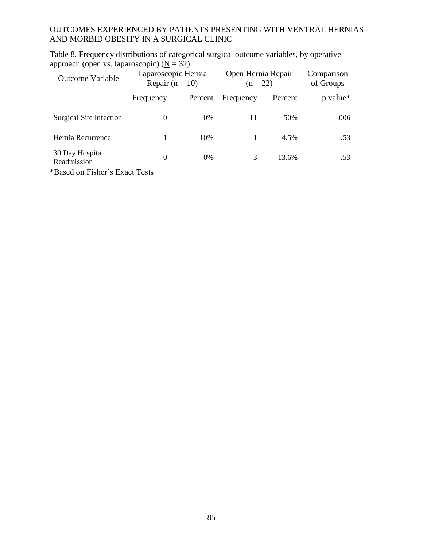Table 8. Frequency distributions of categorical surgical outcome variables, by operative approach (open vs. laparoscopic) ( $\underline{N} = 32$ ).

| <b>Outcome Variable</b>                                                 | Laparoscopic Hernia<br>Repair $(n = 10)$ |         | Open Hernia Repair<br>$(n = 22)$ | Comparison<br>of Groups |                      |
|-------------------------------------------------------------------------|------------------------------------------|---------|----------------------------------|-------------------------|----------------------|
|                                                                         | Frequency                                | Percent | Frequency                        | Percent                 | p value <sup>*</sup> |
| Surgical Site Infection                                                 | $\theta$                                 | $0\%$   | 11                               | 50%                     | .006                 |
| Hernia Recurrence                                                       |                                          | 10%     |                                  | 4.5%                    | .53                  |
| 30 Day Hospital<br>Readmission<br>$\mathbf{r}$ , the state $\mathbf{r}$ | $\theta$                                 | $0\%$   | 3                                | 13.6%                   | .53                  |

\*Based on Fisher's Exact Tests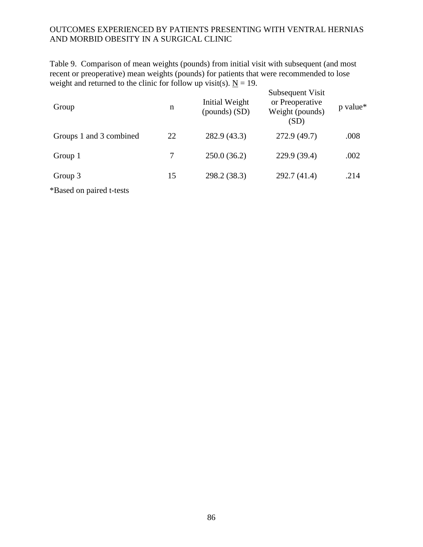Table 9. Comparison of mean weights (pounds) from initial visit with subsequent (and most recent or preoperative) mean weights (pounds) for patients that were recommended to lose weight and returned to the clinic for follow up visit(s).  $N = 19$ .  $S_{\text{sub}}$ 

| Group                    | n  | Initial Weight<br>$(pounds)$ (SD) | Subsequent Visit<br>or Preoperative<br>Weight (pounds)<br>(SD) | p value* |
|--------------------------|----|-----------------------------------|----------------------------------------------------------------|----------|
| Groups 1 and 3 combined  | 22 | 282.9 (43.3)                      | 272.9 (49.7)                                                   | .008     |
| Group 1                  | 7  | 250.0(36.2)                       | 229.9 (39.4)                                                   | .002     |
| Group 3                  | 15 | 298.2 (38.3)                      | 292.7(41.4)                                                    | .214     |
| *Based on paired t-tests |    |                                   |                                                                |          |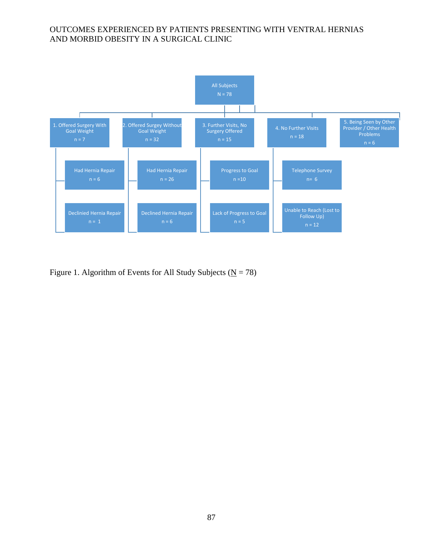

Figure 1. Algorithm of Events for All Study Subjects ( $N = 78$ )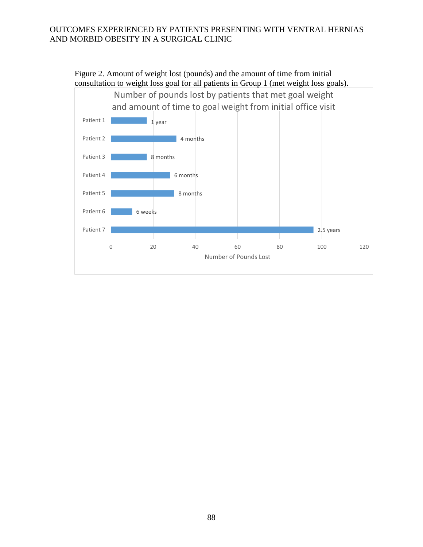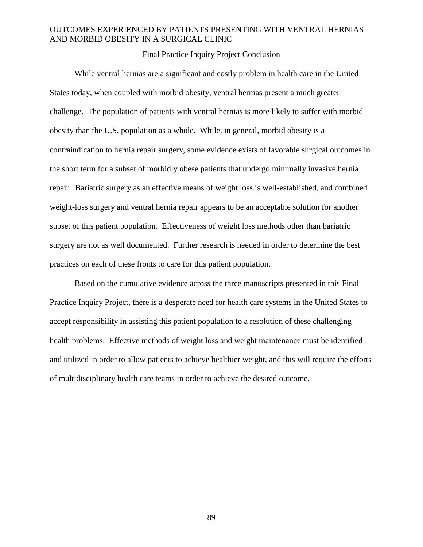Final Practice Inquiry Project Conclusion

While ventral hernias are a significant and costly problem in health care in the United States today, when coupled with morbid obesity, ventral hernias present a much greater challenge. The population of patients with ventral hernias is more likely to suffer with morbid obesity than the U.S. population as a whole. While, in general, morbid obesity is a contraindication to hernia repair surgery, some evidence exists of favorable surgical outcomes in the short term for a subset of morbidly obese patients that undergo minimally invasive hernia repair. Bariatric surgery as an effective means of weight loss is well-established, and combined weight-loss surgery and ventral hernia repair appears to be an acceptable solution for another subset of this patient population. Effectiveness of weight loss methods other than bariatric surgery are not as well documented. Further research is needed in order to determine the best practices on each of these fronts to care for this patient population.

Based on the cumulative evidence across the three manuscripts presented in this Final Practice Inquiry Project, there is a desperate need for health care systems in the United States to accept responsibility in assisting this patient population to a resolution of these challenging health problems. Effective methods of weight loss and weight maintenance must be identified and utilized in order to allow patients to achieve healthier weight, and this will require the efforts of multidisciplinary health care teams in order to achieve the desired outcome.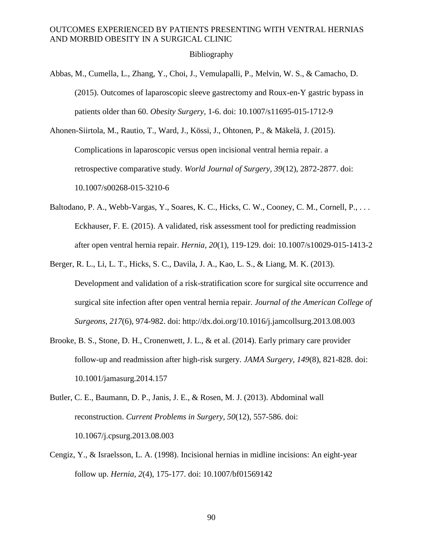#### Bibliography

- Abbas, M., Cumella, L., Zhang, Y., Choi, J., Vemulapalli, P., Melvin, W. S., & Camacho, D. (2015). Outcomes of laparoscopic sleeve gastrectomy and Roux-en-Y gastric bypass in patients older than 60. *Obesity Surgery,* 1-6. doi: 10.1007/s11695-015-1712-9
- Ahonen-Siirtola, M., Rautio, T., Ward, J., Kössi, J., Ohtonen, P., & Mäkelä, J. (2015). Complications in laparoscopic versus open incisional ventral hernia repair. a retrospective comparative study. *World Journal of Surgery, 39*(12), 2872-2877. doi: 10.1007/s00268-015-3210-6
- Baltodano, P. A., Webb-Vargas, Y., Soares, K. C., Hicks, C. W., Cooney, C. M., Cornell, P., ... Eckhauser, F. E. (2015). A validated, risk assessment tool for predicting readmission after open ventral hernia repair. *Hernia, 20*(1), 119-129. doi: 10.1007/s10029-015-1413-2
- Berger, R. L., Li, L. T., Hicks, S. C., Davila, J. A., Kao, L. S., & Liang, M. K. (2013). Development and validation of a risk-stratification score for surgical site occurrence and surgical site infection after open ventral hernia repair. *Journal of the American College of Surgeons, 217*(6), 974-982. doi: http://dx.doi.org/10.1016/j.jamcollsurg.2013.08.003
- Brooke, B. S., Stone, D. H., Cronenwett, J. L., & et al. (2014). Early primary care provider follow-up and readmission after high-risk surgery. *JAMA Surgery, 149*(8), 821-828. doi: 10.1001/jamasurg.2014.157
- Butler, C. E., Baumann, D. P., Janis, J. E., & Rosen, M. J. (2013). Abdominal wall reconstruction. *Current Problems in Surgery, 50*(12), 557-586. doi: 10.1067/j.cpsurg.2013.08.003
- Cengiz, Y., & Israelsson, L. A. (1998). Incisional hernias in midline incisions: An eight-year follow up. *Hernia, 2*(4), 175-177. doi: 10.1007/bf01569142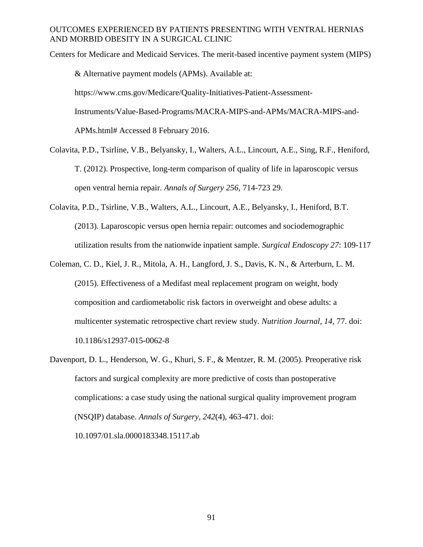Centers for Medicare and Medicaid Services. The merit-based incentive payment system (MIPS) & Alternative payment models (APMs). Available at: https://www.cms.gov/Medicare/Quality-Initiatives-Patient-Assessment-Instruments/Value-Based-Programs/MACRA-MIPS-and-APMs/MACRA-MIPS-and-APMs.html# Accessed 8 February 2016.

- Colavita, P.D., Tsirline, V.B., Belyansky, I., Walters, A.L., Lincourt, A.E., Sing, R.F., Heniford, T. (2012). Prospective, long-term comparison of quality of life in laparoscopic versus open ventral hernia repair. *Annals of Surgery 256*, 714-723 29.
- Colavita, P.D., Tsirline, V.B., Walters, A.L., Lincourt, A.E., Belyansky, I., Heniford, B.T. (2013). Laparoscopic versus open hernia repair: outcomes and sociodemographic utilization results from the nationwide inpatient sample. *Surgical Endoscopy 27*: 109-117
- Coleman, C. D., Kiel, J. R., Mitola, A. H., Langford, J. S., Davis, K. N., & Arterburn, L. M. (2015). Effectiveness of a Medifast meal replacement program on weight, body composition and cardiometabolic risk factors in overweight and obese adults: a multicenter systematic retrospective chart review study. *Nutrition Journal, 14*, 77. doi: 10.1186/s12937-015-0062-8
- Davenport, D. L., Henderson, W. G., Khuri, S. F., & Mentzer, R. M. (2005). Preoperative risk factors and surgical complexity are more predictive of costs than postoperative complications: a case study using the national surgical quality improvement program (NSQIP) database. *Annals of Surgery, 242*(4), 463-471. doi: 10.1097/01.sla.0000183348.15117.ab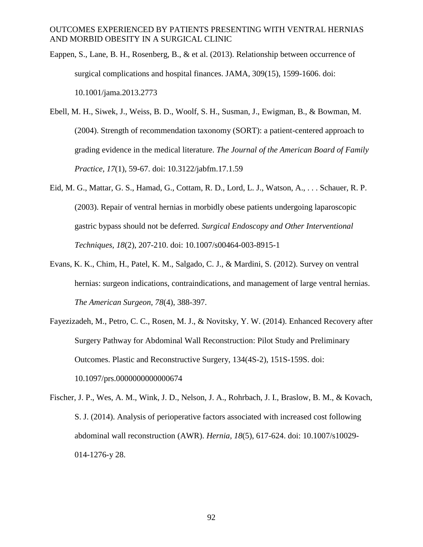- Eappen, S., Lane, B. H., Rosenberg, B., & et al. (2013). Relationship between occurrence of surgical complications and hospital finances. JAMA, 309(15), 1599-1606. doi: 10.1001/jama.2013.2773
- Ebell, M. H., Siwek, J., Weiss, B. D., Woolf, S. H., Susman, J., Ewigman, B., & Bowman, M. (2004). Strength of recommendation taxonomy (SORT): a patient-centered approach to grading evidence in the medical literature. *The Journal of the American Board of Family Practice, 17*(1), 59-67. doi: 10.3122/jabfm.17.1.59
- Eid, M. G., Mattar, G. S., Hamad, G., Cottam, R. D., Lord, L. J., Watson, A., . . . Schauer, R. P. (2003). Repair of ventral hernias in morbidly obese patients undergoing laparoscopic gastric bypass should not be deferred*. Surgical Endoscopy and Other Interventional Techniques, 18*(2), 207-210. doi: 10.1007/s00464-003-8915-1
- Evans, K. K., Chim, H., Patel, K. M., Salgado, C. J., & Mardini, S. (2012). Survey on ventral hernias: surgeon indications, contraindications, and management of large ventral hernias. *The American Surgeon, 78*(4), 388-397.
- Fayezizadeh, M., Petro, C. C., Rosen, M. J., & Novitsky, Y. W. (2014). Enhanced Recovery after Surgery Pathway for Abdominal Wall Reconstruction: Pilot Study and Preliminary Outcomes. Plastic and Reconstructive Surgery, 134(4S-2), 151S-159S. doi: 10.1097/prs.0000000000000674
- Fischer, J. P., Wes, A. M., Wink, J. D., Nelson, J. A., Rohrbach, J. I., Braslow, B. M., & Kovach, S. J. (2014). Analysis of perioperative factors associated with increased cost following abdominal wall reconstruction (AWR). *Hernia, 18*(5), 617-624. doi: 10.1007/s10029- 014-1276-y 28.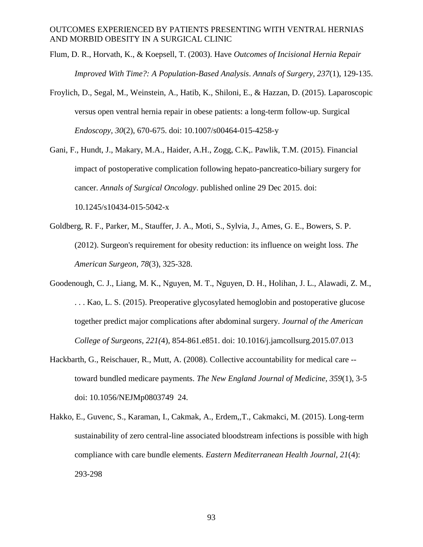- Flum, D. R., Horvath, K., & Koepsell, T. (2003). Have *Outcomes of Incisional Hernia Repair Improved With Time?: A Population-Based Analysis*. *Annals of Surgery, 237*(1), 129-135.
- Froylich, D., Segal, M., Weinstein, A., Hatib, K., Shiloni, E., & Hazzan, D. (2015). Laparoscopic versus open ventral hernia repair in obese patients: a long-term follow-up. Surgical *Endoscopy, 30*(2), 670-675. doi: 10.1007/s00464-015-4258-y
- Gani, F., Hundt, J., Makary, M.A., Haider, A.H., Zogg, C.K,. Pawlik, T.M. (2015). Financial impact of postoperative complication following hepato-pancreatico-biliary surgery for cancer. *Annals of Surgical Oncology*. published online 29 Dec 2015. doi: 10.1245/s10434-015-5042-x
- Goldberg, R. F., Parker, M., Stauffer, J. A., Moti, S., Sylvia, J., Ames, G. E., Bowers, S. P. (2012). Surgeon's requirement for obesity reduction: its influence on weight loss. *The American Surgeon, 78*(3), 325-328.
- Goodenough, C. J., Liang, M. K., Nguyen, M. T., Nguyen, D. H., Holihan, J. L., Alawadi, Z. M., . . . Kao, L. S. (2015). Preoperative glycosylated hemoglobin and postoperative glucose together predict major complications after abdominal surgery. *Journal of the American College of Surgeons, 221(*4), 854-861.e851. doi: 10.1016/j.jamcollsurg.2015.07.013
- Hackbarth, G., Reischauer, R., Mutt, A. (2008). Collective accountability for medical care toward bundled medicare payments. *The New England Journal of Medicine, 359*(1), 3-5 doi: 10.1056/NEJMp0803749 24.
- Hakko, E., Guvenc, S., Karaman, I., Cakmak, A., Erdem,,T., Cakmakci, M. (2015). Long-term sustainability of zero central-line associated bloodstream infections is possible with high compliance with care bundle elements. *Eastern Mediterranean Health Journal, 21*(4): 293-298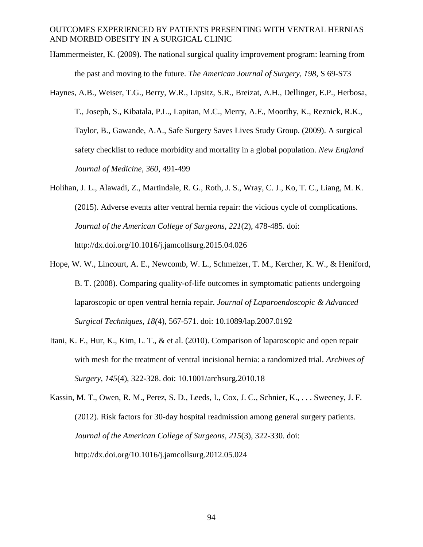- Hammermeister, K. (2009). The national surgical quality improvement program: learning from the past and moving to the future. *The American Journal of Surgery, 198*, S 69-S73
- Haynes, A.B., Weiser, T.G., Berry, W.R., Lipsitz, S.R., Breizat, A.H., Dellinger, E.P., Herbosa, T., Joseph, S., Kibatala, P.L., Lapitan, M.C., Merry, A.F., Moorthy, K., Reznick, R.K., Taylor, B., Gawande, A.A., Safe Surgery Saves Lives Study Group. (2009). A surgical safety checklist to reduce morbidity and mortality in a global population. *New England Journal of Medicine, 360*, 491-499
- Holihan, J. L., Alawadi, Z., Martindale, R. G., Roth, J. S., Wray, C. J., Ko, T. C., Liang, M. K. (2015). Adverse events after ventral hernia repair: the vicious cycle of complications. *Journal of the American College of Surgeons, 221*(2), 478-485. doi: http://dx.doi.org/10.1016/j.jamcollsurg.2015.04.026
- Hope, W. W., Lincourt, A. E., Newcomb, W. L., Schmelzer, T. M., Kercher, K. W., & Heniford, B. T. (2008). Comparing quality-of-life outcomes in symptomatic patients undergoing laparoscopic or open ventral hernia repair. *Journal of Laparoendoscopic & Advanced Surgical Techniques, 18(*4), 567-571. doi: 10.1089/lap.2007.0192
- Itani, K. F., Hur, K., Kim, L. T., & et al. (2010). Comparison of laparoscopic and open repair with mesh for the treatment of ventral incisional hernia: a randomized trial. *Archives of Surgery, 145*(4), 322-328. doi: 10.1001/archsurg.2010.18
- Kassin, M. T., Owen, R. M., Perez, S. D., Leeds, I., Cox, J. C., Schnier, K., . . . Sweeney, J. F. (2012). Risk factors for 30-day hospital readmission among general surgery patients. *Journal of the American College of Surgeons, 215*(3), 322-330. doi: http://dx.doi.org/10.1016/j.jamcollsurg.2012.05.024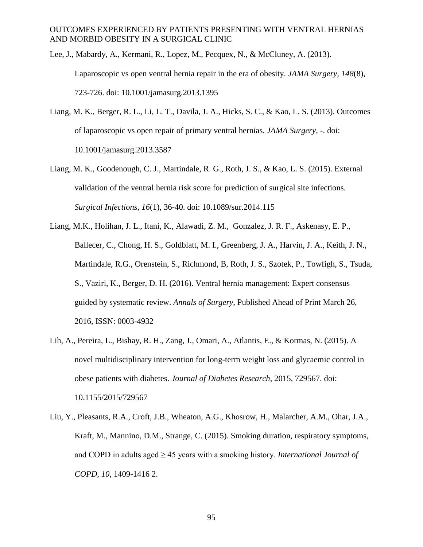Lee, J., Mabardy, A., Kermani, R., Lopez, M., Pecquex, N., & McCluney, A. (2013). Laparoscopic vs open ventral hernia repair in the era of obesity. *JAMA Surgery, 148*(8), 723-726. doi: 10.1001/jamasurg.2013.1395

- Liang, M. K., Berger, R. L., Li, L. T., Davila, J. A., Hicks, S. C., & Kao, L. S. (2013). Outcomes of laparoscopic vs open repair of primary ventral hernias. *JAMA Surgery*, -. doi: 10.1001/jamasurg.2013.3587
- Liang, M. K., Goodenough, C. J., Martindale, R. G., Roth, J. S., & Kao, L. S. (2015). External validation of the ventral hernia risk score for prediction of surgical site infections. *Surgical Infections, 16*(1), 36-40. doi: 10.1089/sur.2014.115
- Liang, M.K., Holihan, J. L., Itani, K., Alawadi, Z. M., Gonzalez, J. R. F., Askenasy, E. P., Ballecer, C., Chong, H. S., Goldblatt, M. I., Greenberg, J. A., Harvin, J. A., Keith, J. N., Martindale, R.G., Orenstein, S., Richmond, B, Roth, J. S., Szotek, P., Towfigh, S., Tsuda, S., Vaziri, K., Berger, D. H. (2016). Ventral hernia management: Expert consensus guided by systematic review. *Annals of Surgery*, Published Ahead of Print March 26, 2016, ISSN: 0003-4932
- Lih, A., Pereira, L., Bishay, R. H., Zang, J., Omari, A., Atlantis, E., & Kormas, N. (2015). A novel multidisciplinary intervention for long-term weight loss and glycaemic control in obese patients with diabetes. *Journal of Diabetes Research*, 2015, 729567. doi: 10.1155/2015/729567
- Liu, Y., Pleasants, R.A., Croft, J.B., Wheaton, A.G., Khosrow, H., Malarcher, A.M., Ohar, J.A., Kraft, M., Mannino, D.M., Strange, C. (2015). Smoking duration, respiratory symptoms, and COPD in adults aged ≥ 45 years with a smoking history. *International Journal of COPD, 10*, 1409-1416 2.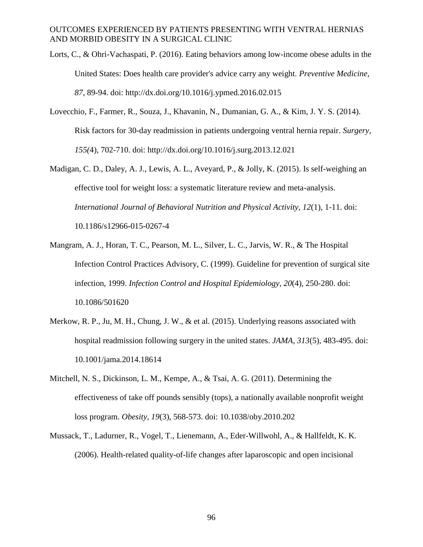- Lorts, C., & Ohri-Vachaspati, P. (2016). Eating behaviors among low-income obese adults in the United States: Does health care provider's advice carry any weight. *Preventive Medicine, 87*, 89-94. doi: http://dx.doi.org/10.1016/j.ypmed.2016.02.015
- Lovecchio, F., Farmer, R., Souza, J., Khavanin, N., Dumanian, G. A., & Kim, J. Y. S. (2014). Risk factors for 30-day readmission in patients undergoing ventral hernia repair. *Surgery, 155(*4), 702-710. doi: http://dx.doi.org/10.1016/j.surg.2013.12.021
- Madigan, C. D., Daley, A. J., Lewis, A. L., Aveyard, P., & Jolly, K. (2015). Is self-weighing an effective tool for weight loss: a systematic literature review and meta-analysis. *International Journal of Behavioral Nutrition and Physical Activity, 12*(1), 1-11. doi: 10.1186/s12966-015-0267-4
- Mangram, A. J., Horan, T. C., Pearson, M. L., Silver, L. C., Jarvis, W. R., & The Hospital Infection Control Practices Advisory, C. (1999). Guideline for prevention of surgical site infection, 1999. *Infection Control and Hospital Epidemiology, 20*(4), 250-280. doi: 10.1086/501620
- Merkow, R. P., Ju, M. H., Chung, J. W., & et al. (2015). Underlying reasons associated with hospital readmission following surgery in the united states. *JAMA, 313*(5), 483-495. doi: 10.1001/jama.2014.18614
- Mitchell, N. S., Dickinson, L. M., Kempe, A., & Tsai, A. G. (2011). Determining the effectiveness of take off pounds sensibly (tops), a nationally available nonprofit weight loss program. *Obesity, 19*(3), 568-573. doi: 10.1038/oby.2010.202
- Mussack, T., Ladurner, R., Vogel, T., Lienemann, A., Eder-Willwohl, A., & Hallfeldt, K. K. (2006). Health-related quality-of-life changes after laparoscopic and open incisional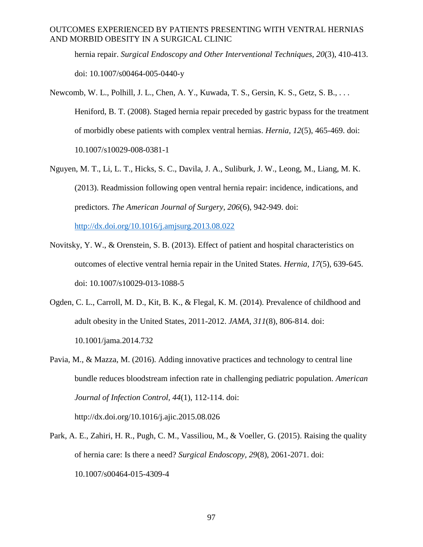hernia repair. *Surgical Endoscopy and Other Interventional Techniques, 20*(3), 410-413. doi: 10.1007/s00464-005-0440-y

- Newcomb, W. L., Polhill, J. L., Chen, A. Y., Kuwada, T. S., Gersin, K. S., Getz, S. B., . . . Heniford, B. T. (2008). Staged hernia repair preceded by gastric bypass for the treatment of morbidly obese patients with complex ventral hernias. *Hernia, 12*(5), 465-469. doi: 10.1007/s10029-008-0381-1
- Nguyen, M. T., Li, L. T., Hicks, S. C., Davila, J. A., Suliburk, J. W., Leong, M., Liang, M. K. (2013). Readmission following open ventral hernia repair: incidence, indications, and predictors. *The American Journal of Surgery, 206*(6), 942-949. doi:

<http://dx.doi.org/10.1016/j.amjsurg.2013.08.022>

- Novitsky, Y. W., & Orenstein, S. B. (2013). Effect of patient and hospital characteristics on outcomes of elective ventral hernia repair in the United States. *Hernia, 17*(5), 639-645. doi: 10.1007/s10029-013-1088-5
- Ogden, C. L., Carroll, M. D., Kit, B. K., & Flegal, K. M. (2014). Prevalence of childhood and adult obesity in the United States, 2011-2012. *JAMA, 311*(8), 806-814. doi: 10.1001/jama.2014.732
- Pavia, M., & Mazza, M. (2016). Adding innovative practices and technology to central line bundle reduces bloodstream infection rate in challenging pediatric population. *American Journal of Infection Control, 44*(1), 112-114. doi:

http://dx.doi.org/10.1016/j.ajic.2015.08.026

Park, A. E., Zahiri, H. R., Pugh, C. M., Vassiliou, M., & Voeller, G. (2015). Raising the quality of hernia care: Is there a need? *Surgical Endoscopy, 29*(8), 2061-2071. doi: 10.1007/s00464-015-4309-4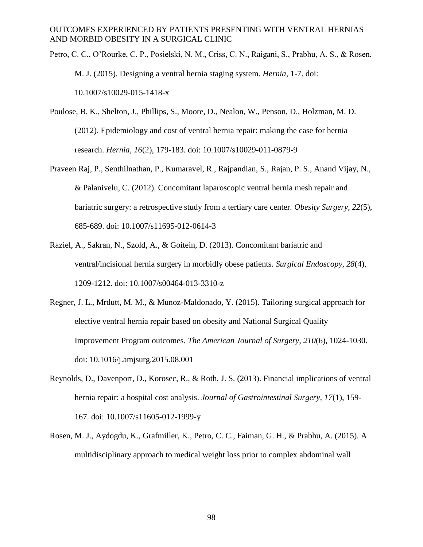- Petro, C. C., O'Rourke, C. P., Posielski, N. M., Criss, C. N., Raigani, S., Prabhu, A. S., & Rosen, M. J. (2015). Designing a ventral hernia staging system. *Hernia*, 1-7. doi: 10.1007/s10029-015-1418-x
- Poulose, B. K., Shelton, J., Phillips, S., Moore, D., Nealon, W., Penson, D., Holzman, M. D. (2012). Epidemiology and cost of ventral hernia repair: making the case for hernia research. *Hernia, 16*(2), 179-183. doi: 10.1007/s10029-011-0879-9
- Praveen Raj, P., Senthilnathan, P., Kumaravel, R., Rajpandian, S., Rajan, P. S., Anand Vijay, N., & Palanivelu, C. (2012). Concomitant laparoscopic ventral hernia mesh repair and bariatric surgery: a retrospective study from a tertiary care center. *Obesity Surgery, 22*(5), 685-689. doi: 10.1007/s11695-012-0614-3
- Raziel, A., Sakran, N., Szold, A., & Goitein, D. (2013). Concomitant bariatric and ventral/incisional hernia surgery in morbidly obese patients. *Surgical Endoscopy, 28*(4), 1209-1212. doi: 10.1007/s00464-013-3310-z
- Regner, J. L., Mrdutt, M. M., & Munoz-Maldonado, Y. (2015). Tailoring surgical approach for elective ventral hernia repair based on obesity and National Surgical Quality Improvement Program outcomes. *The American Journal of Surgery, 210*(6), 1024-1030. doi: 10.1016/j.amjsurg.2015.08.001
- Reynolds, D., Davenport, D., Korosec, R., & Roth, J. S. (2013). Financial implications of ventral hernia repair: a hospital cost analysis. *Journal of Gastrointestinal Surgery, 17*(1), 159- 167. doi: 10.1007/s11605-012-1999-y
- Rosen, M. J., Aydogdu, K., Grafmiller, K., Petro, C. C., Faiman, G. H., & Prabhu, A. (2015). A multidisciplinary approach to medical weight loss prior to complex abdominal wall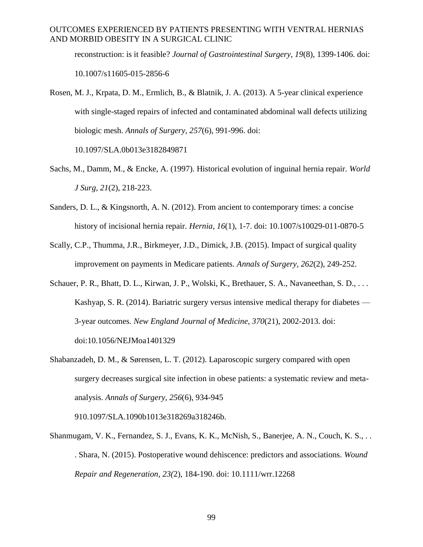reconstruction: is it feasible? *Journal of Gastrointestinal Surgery, 19*(8), 1399-1406. doi: 10.1007/s11605-015-2856-6

- Rosen, M. J., Krpata, D. M., Ermlich, B., & Blatnik, J. A. (2013). A 5-year clinical experience with single-staged repairs of infected and contaminated abdominal wall defects utilizing biologic mesh. *Annals of Surgery, 257*(6), 991-996. doi: 10.1097/SLA.0b013e3182849871
- Sachs, M., Damm, M., & Encke, A. (1997). Historical evolution of inguinal hernia repair. *World J Surg, 21*(2), 218-223.
- Sanders, D. L., & Kingsnorth, A. N. (2012). From ancient to contemporary times: a concise history of incisional hernia repair. *Hernia, 16*(1), 1-7. doi: 10.1007/s10029-011-0870-5
- Scally, C.P., Thumma, J.R., Birkmeyer, J.D., Dimick, J.B. (2015). Impact of surgical quality improvement on payments in Medicare patients. *Annals of Surgery, 262*(2), 249-252.
- Schauer, P. R., Bhatt, D. L., Kirwan, J. P., Wolski, K., Brethauer, S. A., Navaneethan, S. D., . . . Kashyap, S. R. (2014). Bariatric surgery versus intensive medical therapy for diabetes — 3-year outcomes. *New England Journal of Medicine, 370*(21), 2002-2013. doi: doi:10.1056/NEJMoa1401329
- Shabanzadeh, D. M., & Sørensen, L. T. (2012). Laparoscopic surgery compared with open surgery decreases surgical site infection in obese patients: a systematic review and metaanalysis. *Annals of Surgery, 256*(6), 934-945

910.1097/SLA.1090b1013e318269a318246b.

Shanmugam, V. K., Fernandez, S. J., Evans, K. K., McNish, S., Banerjee, A. N., Couch, K. S., . . . Shara, N. (2015). Postoperative wound dehiscence: predictors and associations. *Wound Repair and Regeneration, 23(*2), 184-190. doi: 10.1111/wrr.12268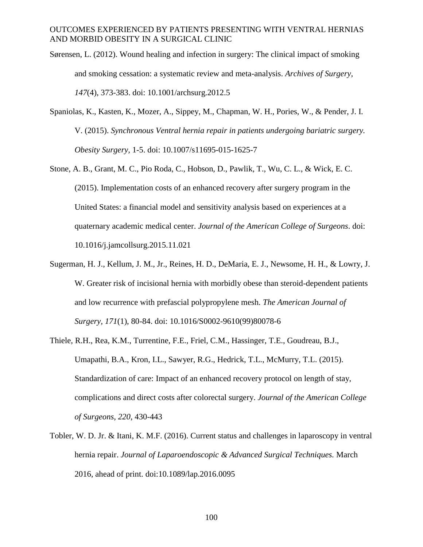- Sørensen, L. (2012). Wound healing and infection in surgery: The clinical impact of smoking and smoking cessation: a systematic review and meta-analysis. *Archives of Surgery, 147*(4), 373-383. doi: 10.1001/archsurg.2012.5
- Spaniolas, K., Kasten, K., Mozer, A., Sippey, M., Chapman, W. H., Pories, W., & Pender, J. I. V. (2015). *Synchronous Ventral hernia repair in patients undergoing bariatric surgery. Obesity Surgery,* 1-5. doi: 10.1007/s11695-015-1625-7
- Stone, A. B., Grant, M. C., Pio Roda, C., Hobson, D., Pawlik, T., Wu, C. L., & Wick, E. C. (2015). Implementation costs of an enhanced recovery after surgery program in the United States: a financial model and sensitivity analysis based on experiences at a quaternary academic medical center. *Journal of the American College of Surgeons*. doi: 10.1016/j.jamcollsurg.2015.11.021
- Sugerman, H. J., Kellum, J. M., Jr., Reines, H. D., DeMaria, E. J., Newsome, H. H., & Lowry, J. W. Greater risk of incisional hernia with morbidly obese than steroid-dependent patients and low recurrence with prefascial polypropylene mesh. *The American Journal of Surgery, 171*(1), 80-84. doi: 10.1016/S0002-9610(99)80078-6
- Thiele, R.H., Rea, K.M., Turrentine, F.E., Friel, C.M., Hassinger, T.E., Goudreau, B.J., Umapathi, B.A., Kron, I.L., Sawyer, R.G., Hedrick, T.L., McMurry, T.L. (2015). Standardization of care: Impact of an enhanced recovery protocol on length of stay, complications and direct costs after colorectal surgery. *Journal of the American College of Surgeons, 220*, 430-443
- Tobler, W. D. Jr. & Itani, K. M.F. (2016). Current status and challenges in laparoscopy in ventral hernia repair. *Journal of Laparoendoscopic & Advanced Surgical Techniques.* March 2016, ahead of print. doi:10.1089/lap.2016.0095